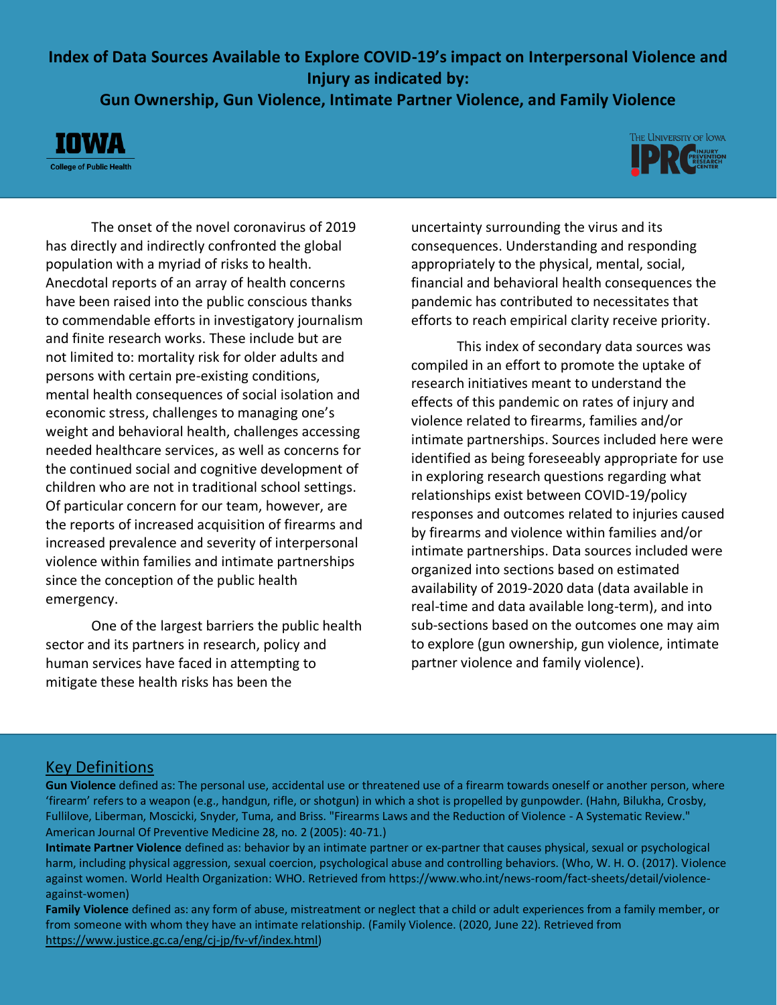### **Index of Data Sources Available to Explore COVID-19's impact on Interpersonal Violence and Injury as indicated by:**

**Gun Ownership, Gun Violence, Intimate Partner Violence, and Family Violence**





The onset of the novel coronavirus of 2019 has directly and indirectly confronted the global population with a myriad of risks to health. Anecdotal reports of an array of health concerns have been raised into the public conscious thanks to commendable efforts in investigatory journalism and finite research works. These include but are not limited to: mortality risk for older adults and persons with certain pre-existing conditions, mental health consequences of social isolation and economic stress, challenges to managing one's weight and behavioral health, challenges accessing needed healthcare services, as well as concerns for the continued social and cognitive development of children who are not in traditional school settings. Of particular concern for our team, however, are the reports of increased acquisition of firearms and increased prevalence and severity of interpersonal violence within families and intimate partnerships since the conception of the public health emergency.

One of the largest barriers the public health sector and its partners in research, policy and human services have faced in attempting to mitigate these health risks has been the

uncertainty surrounding the virus and its consequences. Understanding and responding appropriately to the physical, mental, social, financial and behavioral health consequences the pandemic has contributed to necessitates that efforts to reach empirical clarity receive priority.

This index of secondary data sources was compiled in an effort to promote the uptake of research initiatives meant to understand the effects of this pandemic on rates of injury and violence related to firearms, families and/or intimate partnerships. Sources included here were identified as being foreseeably appropriate for use in exploring research questions regarding what relationships exist between COVID-19/policy responses and outcomes related to injuries caused by firearms and violence within families and/or intimate partnerships. Data sources included were organized into sections based on estimated availability of 2019-2020 data (data available in real-time and data available long-term), and into sub-sections based on the outcomes one may aim to explore (gun ownership, gun violence, intimate partner violence and family violence).

#### Key Definitions

**Gun Violence** defined as: The personal use, accidental use or threatened use of a firearm towards oneself or another person, where 'firearm' refers to a weapon (e.g., handgun, rifle, or shotgun) in which a shot is propelled by gunpowder. (Hahn, Bilukha, Crosby, Fullilove, Liberman, Moscicki, Snyder, Tuma, and Briss. "Firearms Laws and the Reduction of Violence - A Systematic Review." American Journal Of Preventive Medicine 28, no. 2 (2005): 40-71.)

**Intimate Partner Violence** defined as: behavior by an intimate partner or ex-partner that causes physical, sexual or psychological harm, including physical aggression, sexual coercion, psychological abuse and controlling behaviors. (Who, W. H. O. (2017). Violence against women. World Health Organization: WHO. Retrieved from https://www.who.int/news-room/fact-sheets/detail/violenceagainst-women)

**Family Violence** defined as: any form of abuse, mistreatment or neglect that a child or adult experiences from a family member, or from someone with whom they have an intimate relationship. (Family Violence. (2020, June 22). Retrieved from [https://www.justice.gc.ca/eng/cj-jp/fv-vf/index.html\)](https://www.justice.gc.ca/eng/cj-jp/fv-vf/index.html)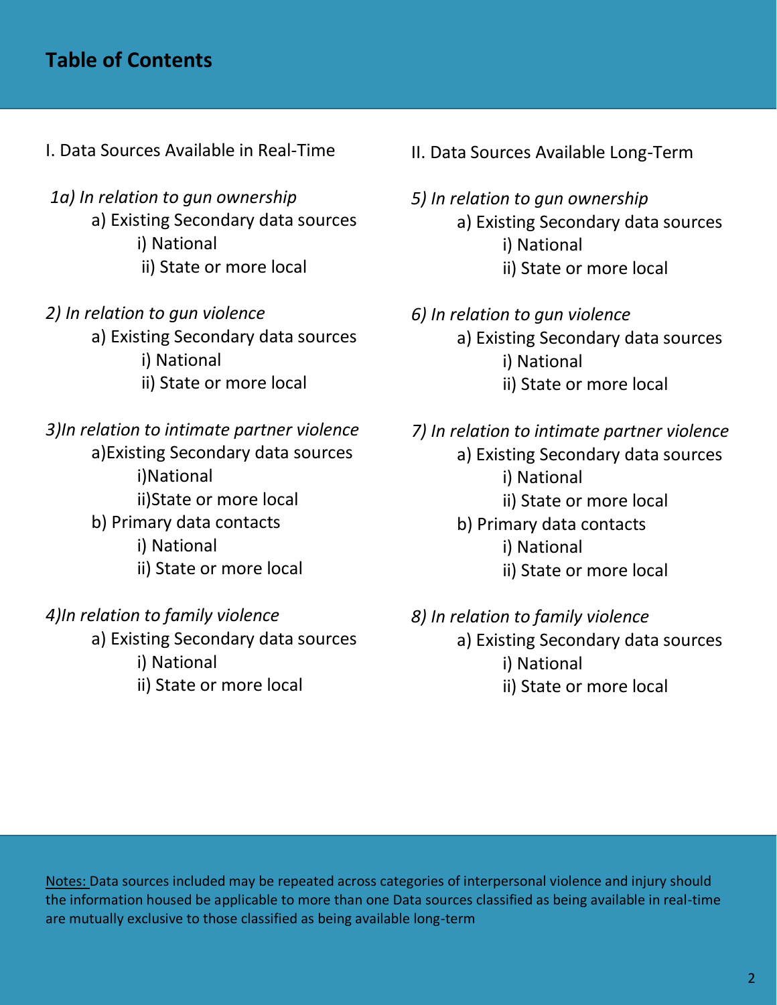# **Table of Contents**

- I. Data Sources Available in Real-Time
- *1a) In relation to gun ownership* a) Existing Secondary data sources i) National ii) State or more local
- *2) In relation to gun violence* a) Existing Secondary data sources i) National ii) State or more local

*3)In relation to intimate partner violence* a)Existing Secondary data sources i)National ii)State or more local b) Primary data contacts i) National ii) State or more local

*4)In relation to family violence* a) Existing Secondary data sources i) National ii) State or more local

- II. Data Sources Available Long-Term
- *5) In relation to gun ownership* a) Existing Secondary data sources i) National ii) State or more local
- *6) In relation to gun violence* a) Existing Secondary data sources i) National ii) State or more local
- *7) In relation to intimate partner violence* a) Existing Secondary data sources i) National ii) State or more local b) Primary data contacts i) National ii) State or more local

*8) In relation to family violence* a) Existing Secondary data sources i) National ii) State or more local

Notes: Data sources included may be repeated across categories of interpersonal violence and injury should the information housed be applicable to more than one Data sources classified as being available in real-time are mutually exclusive to those classified as being available long-term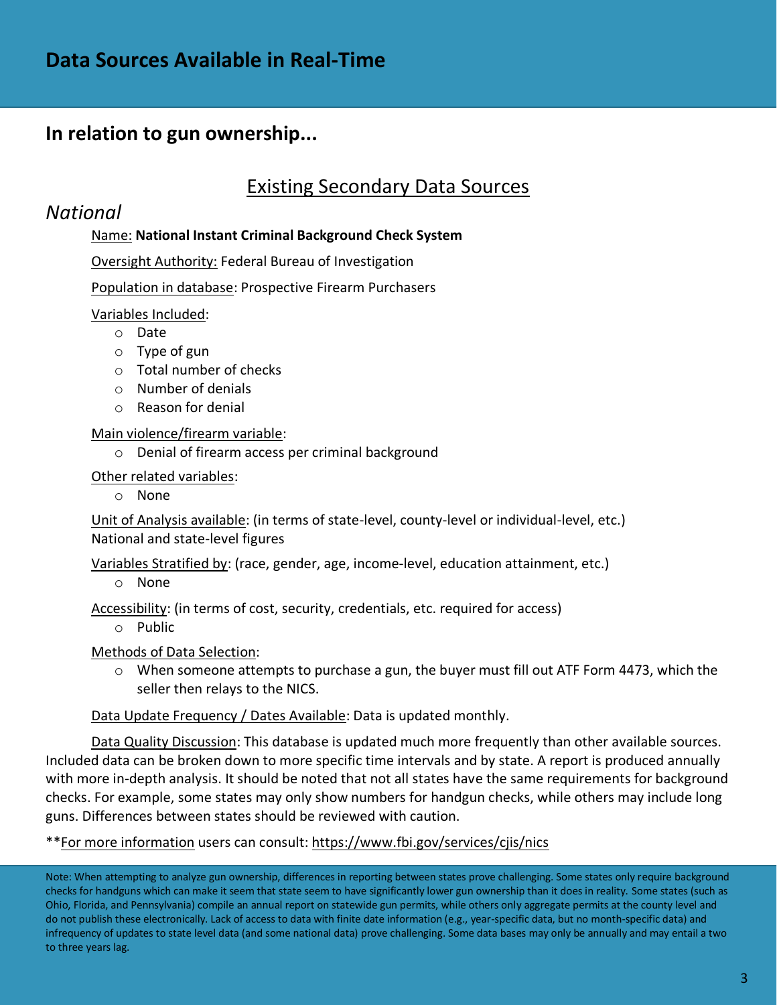# **In relation to gun ownership...**

# Existing Secondary Data Sources

### *National*

### Name: **National Instant Criminal Background Check System**

Oversight Authority: Federal Bureau of Investigation

Population in database: Prospective Firearm Purchasers

Variables Included:

- o Date
- o Type of gun
- o Total number of checks
- o Number of denials
- o Reason for denial

Main violence/firearm variable:

o Denial of firearm access per criminal background

Other related variables:

o None

Unit of Analysis available: (in terms of state-level, county-level or individual-level, etc.) National and state-level figures

Variables Stratified by: (race, gender, age, income-level, education attainment, etc.)

o None

Accessibility: (in terms of cost, security, credentials, etc. required for access)

o Public

Methods of Data Selection:

 $\circ$  When someone attempts to purchase a gun, the buyer must fill out ATF Form 4473, which the seller then relays to the NICS.

Data Update Frequency / Dates Available: Data is updated monthly.

Data Quality Discussion: This database is updated much more frequently than other available sources. Included data can be broken down to more specific time intervals and by state. A report is produced annually with more in-depth analysis. It should be noted that not all states have the same requirements for background checks. For example, some states may only show numbers for handgun checks, while others may include long guns. Differences between states should be reviewed with caution.

\*\*For more information users can consult:<https://www.fbi.gov/services/cjis/nics>

Note: When attempting to analyze gun ownership, differences in reporting between states prove challenging. Some states only require background checks for handguns which can make it seem that state seem to have significantly lower gun ownership than it does in reality. Some states (such as Ohio, Florida, and Pennsylvania) compile an annual report on statewide gun permits, while others only aggregate permits at the county level and do not publish these electronically. Lack of access to data with finite date information (e.g., year-specific data, but no month-specific data) and infrequency of updates to state level data (and some national data) prove challenging. Some data bases may only be annually and may entail a two to three years lag.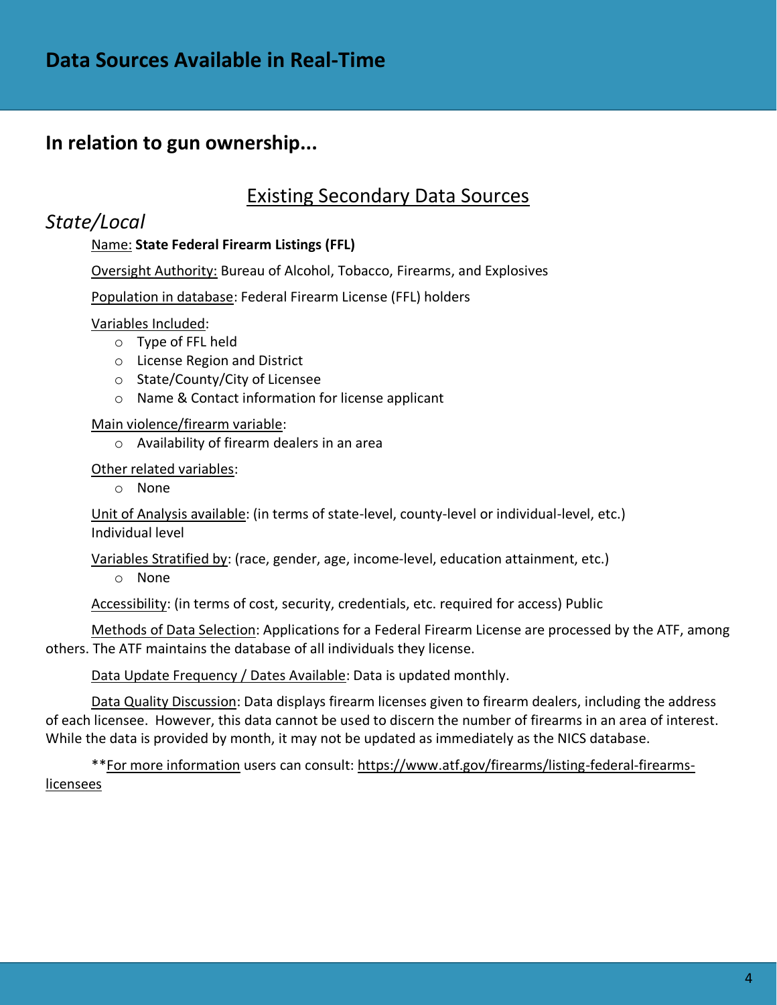### **In relation to gun ownership...**

### Existing Secondary Data Sources

### *State/Local*

### Name: **State Federal Firearm Listings (FFL)**

Oversight Authority: Bureau of Alcohol, Tobacco, Firearms, and Explosives

Population in database: Federal Firearm License (FFL) holders

#### Variables Included:

- o Type of FFL held
- o License Region and District
- o State/County/City of Licensee
- o Name & Contact information for license applicant

#### Main violence/firearm variable:

o Availability of firearm dealers in an area

#### Other related variables:

o None

Unit of Analysis available: (in terms of state-level, county-level or individual-level, etc.) Individual level

Variables Stratified by: (race, gender, age, income-level, education attainment, etc.)

o None

Accessibility: (in terms of cost, security, credentials, etc. required for access) Public

Methods of Data Selection: Applications for a Federal Firearm License are processed by the ATF, among others. The ATF maintains the database of all individuals they license.

Data Update Frequency / Dates Available: Data is updated monthly.

Data Quality Discussion: Data displays firearm licenses given to firearm dealers, including the address of each licensee. However, this data cannot be used to discern the number of firearms in an area of interest. While the data is provided by month, it may not be updated as immediately as the NICS database.

\*\*For more information users can consult: [https://www.atf.gov/firearms/listing-federal-firearms](https://www.atf.gov/firearms/listing-federal-firearms-licensees)[licensees](https://www.atf.gov/firearms/listing-federal-firearms-licensees)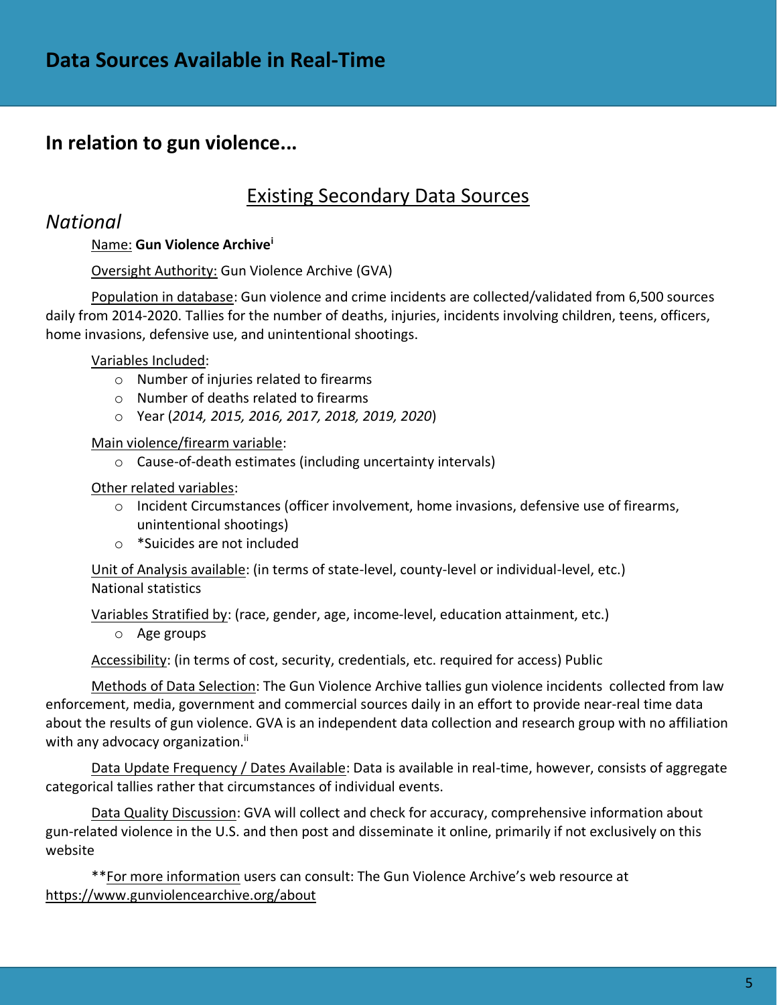## Existing Secondary Data Sources

### *National*

### Name: **Gun Violence Archive<sup>i</sup>**

### Oversight Authority: Gun Violence Archive (GVA)

Population in database: Gun violence and crime incidents are collected/validated from 6,500 sources daily from 2014-2020. Tallies for the number of deaths, injuries, incidents involving children, teens, officers, home invasions, defensive use, and unintentional shootings.

### Variables Included:

- o Number of injuries related to firearms
- o Number of deaths related to firearms
- o Year (*2014, 2015, 2016, 2017, 2018, 2019, 2020*)

Main violence/firearm variable:

o Cause-of-death estimates (including uncertainty intervals)

### Other related variables:

- $\circ$  Incident Circumstances (officer involvement, home invasions, defensive use of firearms, unintentional shootings)
- o \*Suicides are not included

Unit of Analysis available: (in terms of state-level, county-level or individual-level, etc.) National statistics

Variables Stratified by: (race, gender, age, income-level, education attainment, etc.)

o Age groups

Accessibility: (in terms of cost, security, credentials, etc. required for access) Public

Methods of Data Selection: The Gun Violence Archive tallies gun violence incidents collected from law enforcement, media, government and commercial sources daily in an effort to provide near-real time data about the results of gun violence. GVA is an independent data collection and research group with no affiliation with any advocacy organization.<sup>ii</sup>

Data Update Frequency / Dates Available: Data is available in real-time, however, consists of aggregate categorical tallies rather that circumstances of individual events.

Data Quality Discussion: GVA will collect and check for accuracy, comprehensive information about gun-related violence in the U.S. and then post and disseminate it online, primarily if not exclusively on this website

\*\*For more information users can consult: The Gun Violence Archive's web resource at <https://www.gunviolencearchive.org/about>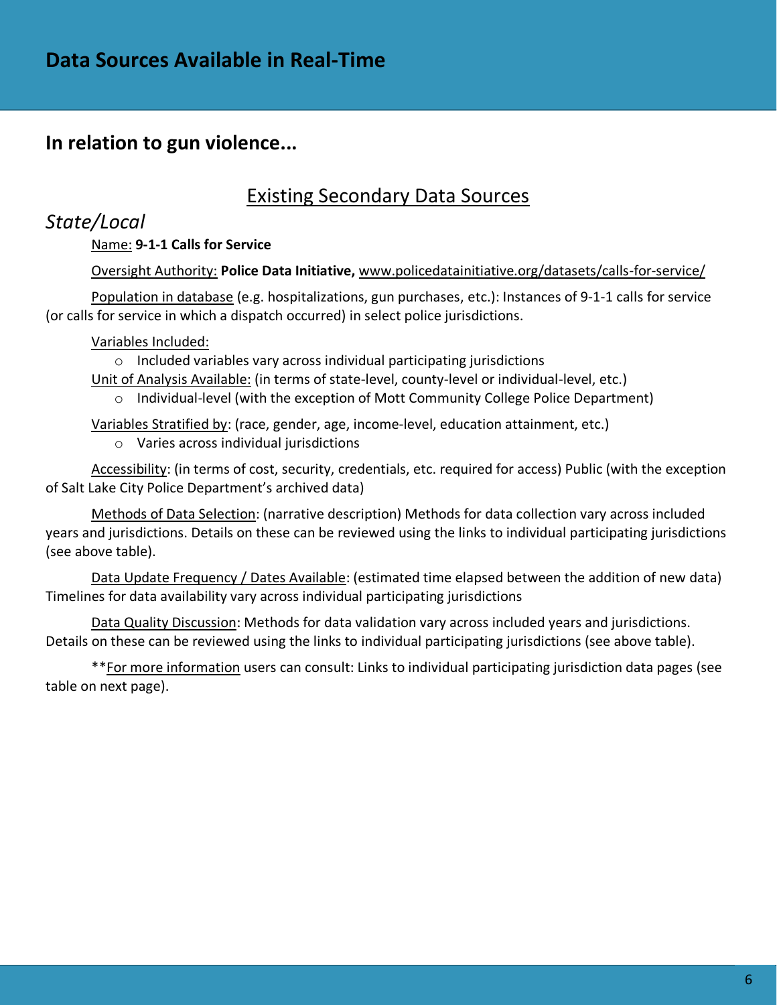### Existing Secondary Data Sources

### *State/Local*

### Name: **9-1-1 Calls for Service**

### Oversight Authority: **Police Data Initiative,** [www.policedatainitiative.org/datasets/calls-for-service/](http://www.policedatainitiative.org/datasets/calls-for-service/)

Population in database (e.g. hospitalizations, gun purchases, etc.): Instances of 9-1-1 calls for service (or calls for service in which a dispatch occurred) in select police jurisdictions.

### Variables Included:

o Included variables vary across individual participating jurisdictions

Unit of Analysis Available: (in terms of state-level, county-level or individual-level, etc.)

o Individual-level (with the exception of Mott Community College Police Department)

Variables Stratified by: (race, gender, age, income-level, education attainment, etc.)

o Varies across individual jurisdictions

Accessibility: (in terms of cost, security, credentials, etc. required for access) Public (with the exception of Salt Lake City Police Department's archived data)

Methods of Data Selection: (narrative description) Methods for data collection vary across included years and jurisdictions. Details on these can be reviewed using the links to individual participating jurisdictions (see above table).

Data Update Frequency / Dates Available: (estimated time elapsed between the addition of new data) Timelines for data availability vary across individual participating jurisdictions

Data Quality Discussion: Methods for data validation vary across included years and jurisdictions. Details on these can be reviewed using the links to individual participating jurisdictions (see above table).

\*\*For more information users can consult: Links to individual participating jurisdiction data pages (see table on next page).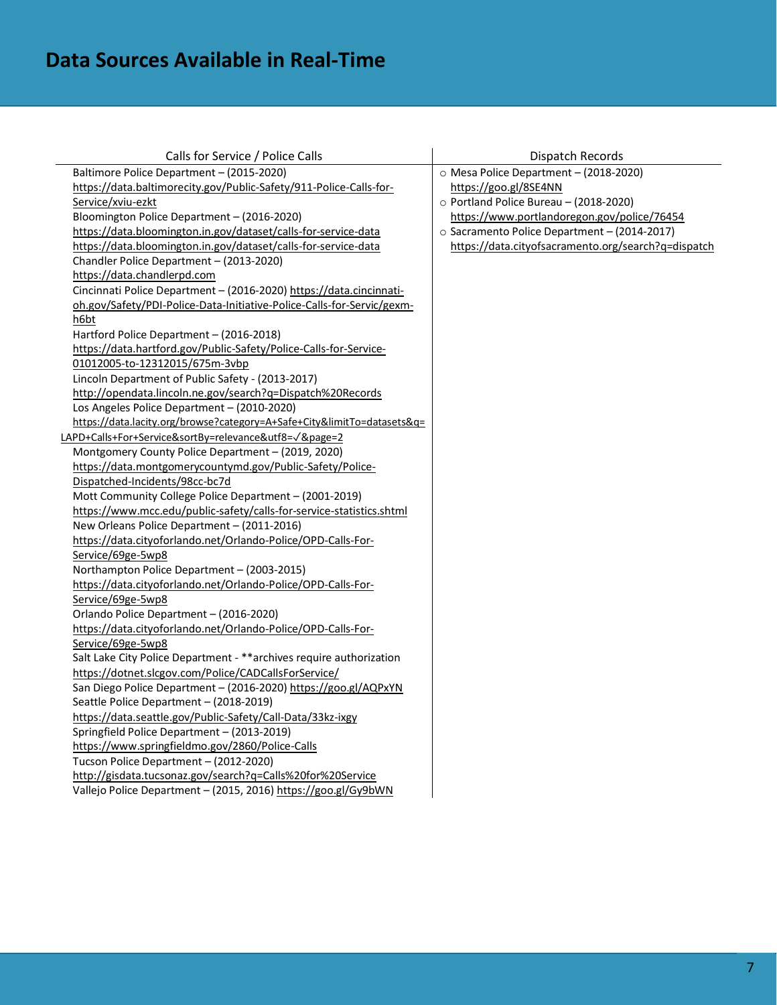| Calls for Service / Police Calls                                        | Dispatch Records                                    |
|-------------------------------------------------------------------------|-----------------------------------------------------|
| Baltimore Police Department - (2015-2020)                               | O Mesa Police Department - (2018-2020)              |
| https://data.baltimorecity.gov/Public-Safety/911-Police-Calls-for-      | https://goo.gl/8SE4NN                               |
| Service/xviu-ezkt                                                       | o Portland Police Bureau - (2018-2020)              |
| Bloomington Police Department - (2016-2020)                             | https://www.portlandoregon.gov/police/76454         |
| https://data.bloomington.in.gov/dataset/calls-for-service-data          | o Sacramento Police Department - (2014-2017)        |
| https://data.bloomington.in.gov/dataset/calls-for-service-data          | https://data.cityofsacramento.org/search?q=dispatch |
| Chandler Police Department - (2013-2020)                                |                                                     |
| https://data.chandlerpd.com                                             |                                                     |
| Cincinnati Police Department - (2016-2020) https://data.cincinnati-     |                                                     |
| oh.gov/Safety/PDI-Police-Data-Initiative-Police-Calls-for-Servic/gexm-  |                                                     |
| h6bt                                                                    |                                                     |
| Hartford Police Department - (2016-2018)                                |                                                     |
| https://data.hartford.gov/Public-Safety/Police-Calls-for-Service-       |                                                     |
| 01012005-to-12312015/675m-3vbp                                          |                                                     |
| Lincoln Department of Public Safety - (2013-2017)                       |                                                     |
| http://opendata.lincoln.ne.gov/search?q=Dispatch%20Records              |                                                     |
| Los Angeles Police Department - (2010-2020)                             |                                                     |
| https://data.lacity.org/browse?category=A+Safe+City&limitTo=datasets&q= |                                                     |
| LAPD+Calls+For+Service&sortBy=relevance&utf8=V&page=2                   |                                                     |
| Montgomery County Police Department - (2019, 2020)                      |                                                     |
| https://data.montgomerycountymd.gov/Public-Safety/Police-               |                                                     |
| Dispatched-Incidents/98cc-bc7d                                          |                                                     |
| Mott Community College Police Department - (2001-2019)                  |                                                     |
| https://www.mcc.edu/public-safety/calls-for-service-statistics.shtml    |                                                     |
| New Orleans Police Department - (2011-2016)                             |                                                     |
| https://data.cityoforlando.net/Orlando-Police/OPD-Calls-For-            |                                                     |
| Service/69ge-5wp8                                                       |                                                     |
| Northampton Police Department - (2003-2015)                             |                                                     |
| https://data.cityoforlando.net/Orlando-Police/OPD-Calls-For-            |                                                     |
| Service/69ge-5wp8                                                       |                                                     |
| Orlando Police Department - (2016-2020)                                 |                                                     |
| https://data.cityoforlando.net/Orlando-Police/OPD-Calls-For-            |                                                     |
| Service/69ge-5wp8                                                       |                                                     |
| Salt Lake City Police Department - ** archives require authorization    |                                                     |
| https://dotnet.slcgov.com/Police/CADCallsForService/                    |                                                     |
| San Diego Police Department - (2016-2020) https://goo.gl/AQPxYN         |                                                     |
| Seattle Police Department - (2018-2019)                                 |                                                     |
| https://data.seattle.gov/Public-Safety/Call-Data/33kz-ixgy              |                                                     |
| Springfield Police Department - (2013-2019)                             |                                                     |
| https://www.springfieldmo.gov/2860/Police-Calls                         |                                                     |
| Tucson Police Department - (2012-2020)                                  |                                                     |
| http://gisdata.tucsonaz.gov/search?q=Calls%20for%20Service              |                                                     |
| Vallejo Police Department - (2015, 2016) https://goo.gl/Gy9bWN          |                                                     |
|                                                                         |                                                     |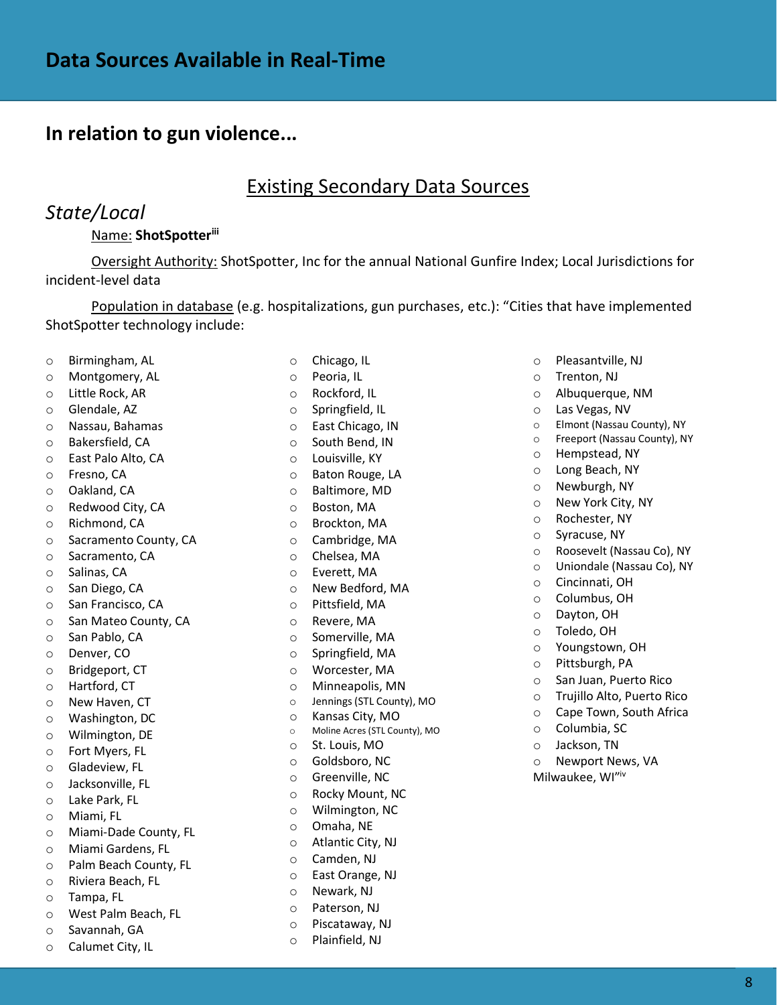### Existing Secondary Data Sources

# *State/Local*

#### Name: **ShotSpotteriii**

Oversight Authority: ShotSpotter, Inc for the annual National Gunfire Index; Local Jurisdictions for incident-level data

Population in database (e.g. hospitalizations, gun purchases, etc.): "Cities that have implemented ShotSpotter technology include:

- o Birmingham, AL
- o Montgomery, AL
- o Little Rock, AR
- o Glendale, AZ
- o Nassau, Bahamas
- o Bakersfield, CA
- o East Palo Alto, CA
- o Fresno, CA
- o Oakland, CA
- o Redwood City, CA
- o Richmond, CA
- o Sacramento County, CA
- o Sacramento, CA
- o Salinas, CA
- o San Diego, CA
- o San Francisco, CA
- o San Mateo County, CA
- o San Pablo, CA
- o Denver, CO
- o Bridgeport, CT
- o Hartford, CT
- o New Haven, CT
- o Washington, DC
- o Wilmington, DE
- o Fort Myers, FL
- o Gladeview, FL
- o Jacksonville, FL
- o Lake Park, FL
- o Miami, FL
- o Miami-Dade County, FL
- o Miami Gardens, FL
- o Palm Beach County, FL
- o Riviera Beach, FL
- o Tampa, FL
- o West Palm Beach, FL
- o Savannah, GA
- o Calumet City, IL
- o Chicago, IL
- o Peoria, IL
- o Rockford, IL
- o Springfield, IL
- o East Chicago, IN
- o South Bend, IN
- o Louisville, KY
- o Baton Rouge, LA
- o Baltimore, MD
- o Boston, MA
- o Brockton, MA
- o Cambridge, MA
- o Chelsea, MA
- o Everett, MA
- o New Bedford, MA
- o Pittsfield, MA
- o Revere, MA
- o Somerville, MA
- o Springfield, MA
- o Worcester, MA
- o Minneapolis, MN
- o Jennings (STL County), MO
- o Kansas City, MO
- o Moline Acres (STL County), MO
- o St. Louis, MO
- o Goldsboro, NC
- o Greenville, NC
- o Rocky Mount, NC
- o Wilmington, NC
- o Omaha, NE
- o Atlantic City, NJ
- o Camden, NJ
- o East Orange, NJ
- o Newark, NJ
- o Paterson, NJ
- o Piscataway, NJ
- o Plainfield, NJ
- o Pleasantville, NJ
- o Trenton, NJ
- o Albuquerque, NM
- o Las Vegas, NV
- o Elmont (Nassau County), NY
- o Freeport (Nassau County), NY
- o Hempstead, NY
- o Long Beach, NY
- o Newburgh, NY
- o New York City, NY
- o Rochester, NY
- o Syracuse, NY
- o Roosevelt (Nassau Co), NY
- o Uniondale (Nassau Co), NY
- o Cincinnati, OH
- o Columbus, OH
- o Dayton, OH
- o Toledo, OH

o Columbia, SC o Jackson, TN

o Newport News, VA Milwaukee, WI"iv

8

o Youngstown, OH o Pittsburgh, PA

o San Juan, Puerto Rico o Trujillo Alto, Puerto Rico o Cape Town, South Africa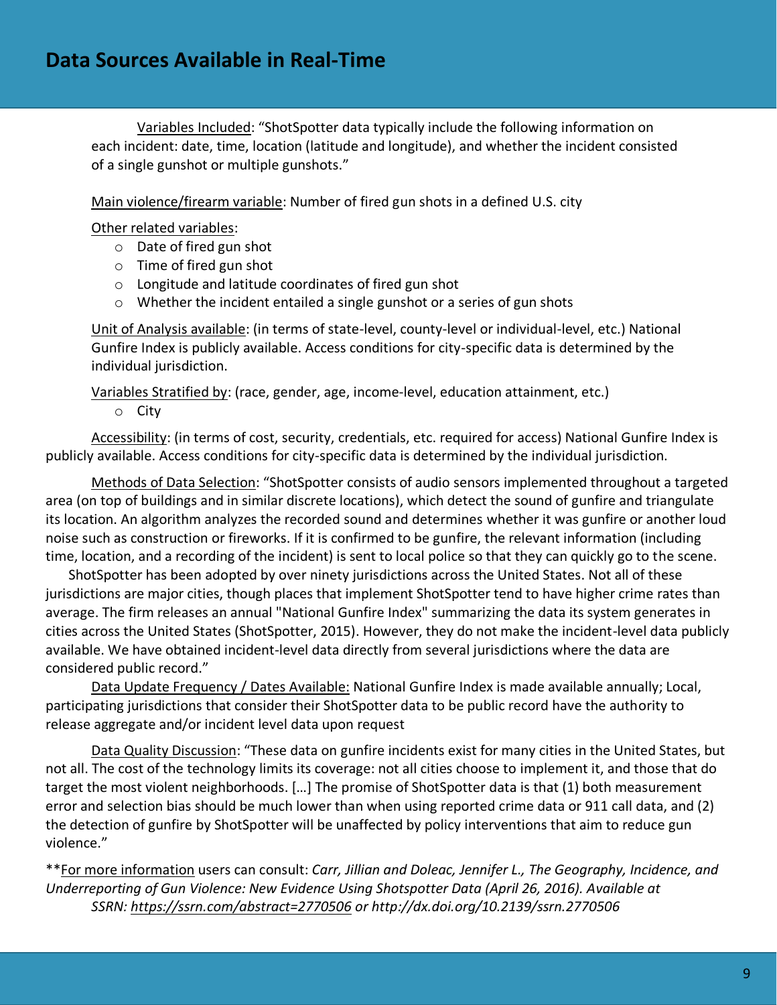Variables Included: "ShotSpotter data typically include the following information on each incident: date, time, location (latitude and longitude), and whether the incident consisted of a single gunshot or multiple gunshots."

Main violence/firearm variable: Number of fired gun shots in a defined U.S. city

Other related variables:

- o Date of fired gun shot
- o Time of fired gun shot
- o Longitude and latitude coordinates of fired gun shot
- o Whether the incident entailed a single gunshot or a series of gun shots

Unit of Analysis available: (in terms of state-level, county-level or individual-level, etc.) National Gunfire Index is publicly available. Access conditions for city-specific data is determined by the individual jurisdiction.

Variables Stratified by: (race, gender, age, income-level, education attainment, etc.)

o City

Accessibility: (in terms of cost, security, credentials, etc. required for access) National Gunfire Index is publicly available. Access conditions for city-specific data is determined by the individual jurisdiction.

Methods of Data Selection: "ShotSpotter consists of audio sensors implemented throughout a targeted area (on top of buildings and in similar discrete locations), which detect the sound of gunfire and triangulate its location. An algorithm analyzes the recorded sound and determines whether it was gunfire or another loud noise such as construction or fireworks. If it is confirmed to be gunfire, the relevant information (including time, location, and a recording of the incident) is sent to local police so that they can quickly go to the scene.

ShotSpotter has been adopted by over ninety jurisdictions across the United States. Not all of these jurisdictions are major cities, though places that implement ShotSpotter tend to have higher crime rates than average. The firm releases an annual "National Gunfire Index" summarizing the data its system generates in cities across the United States (ShotSpotter, 2015). However, they do not make the incident-level data publicly available. We have obtained incident-level data directly from several jurisdictions where the data are considered public record."

Data Update Frequency / Dates Available: National Gunfire Index is made available annually; Local, participating jurisdictions that consider their ShotSpotter data to be public record have the authority to release aggregate and/or incident level data upon request

Data Quality Discussion: "These data on gunfire incidents exist for many cities in the United States, but not all. The cost of the technology limits its coverage: not all cities choose to implement it, and those that do target the most violent neighborhoods. […] The promise of ShotSpotter data is that (1) both measurement error and selection bias should be much lower than when using reported crime data or 911 call data, and (2) the detection of gunfire by ShotSpotter will be unaffected by policy interventions that aim to reduce gun violence."

\*\*For more information users can consult: *Carr, Jillian and Doleac, Jennifer L., The Geography, Incidence, and Underreporting of Gun Violence: New Evidence Using Shotspotter Data (April 26, 2016). Available at SSRN: <https://ssrn.com/abstract=2770506> or http://dx.doi.org/10.2139/ssrn.2770506*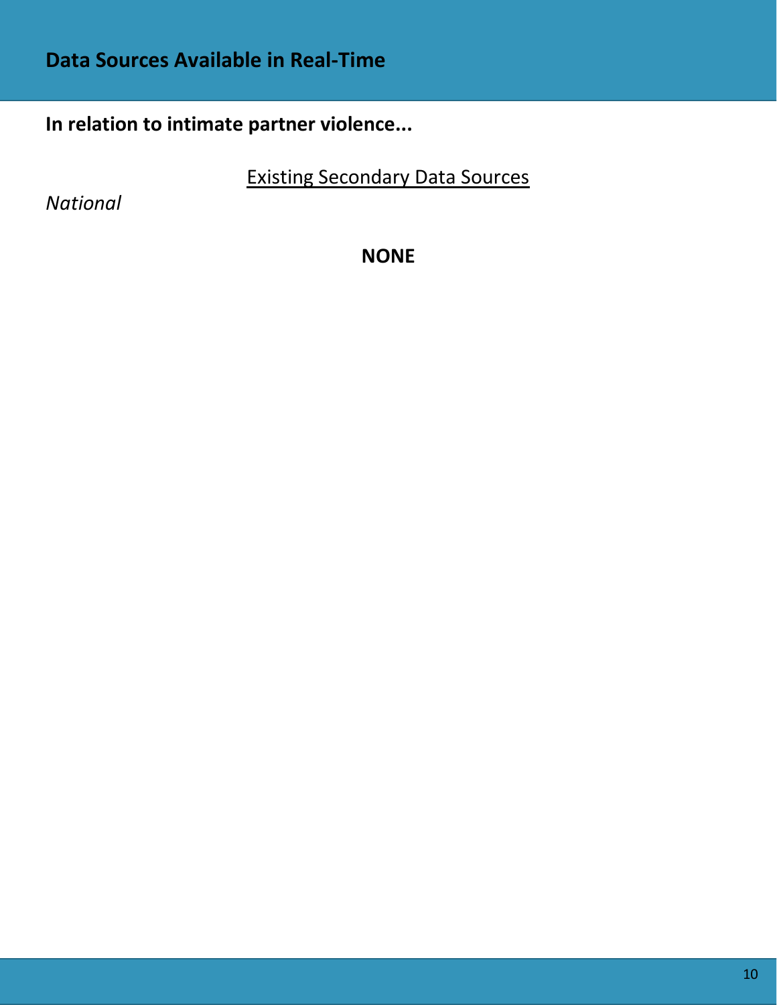# **In relation to intimate partner violence...**

Existing Secondary Data Sources

*National*

**NONE**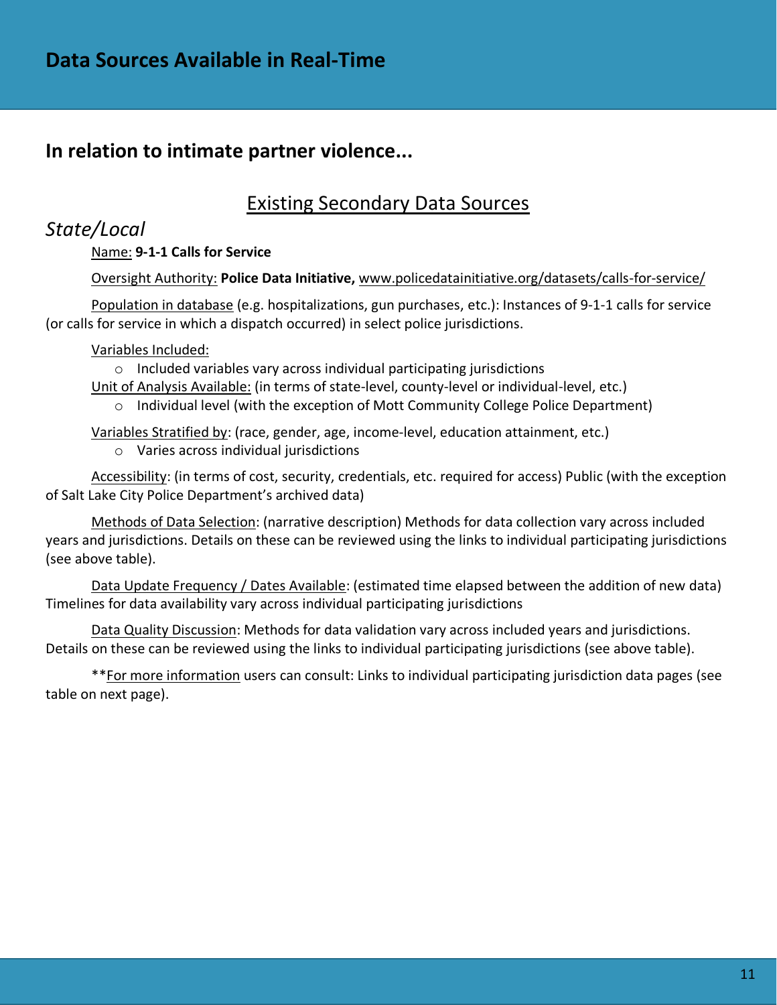## **In relation to intimate partner violence...**

# Existing Secondary Data Sources

### *State/Local*

### Name: **9-1-1 Calls for Service**

### Oversight Authority: **Police Data Initiative,** [www.policedatainitiative.org/datasets/calls-for-service/](http://www.policedatainitiative.org/datasets/calls-for-service/)

Population in database (e.g. hospitalizations, gun purchases, etc.): Instances of 9-1-1 calls for service (or calls for service in which a dispatch occurred) in select police jurisdictions.

Variables Included:

o Included variables vary across individual participating jurisdictions

Unit of Analysis Available: (in terms of state-level, county-level or individual-level, etc.)

 $\circ$  Individual level (with the exception of Mott Community College Police Department)

Variables Stratified by: (race, gender, age, income-level, education attainment, etc.)

o Varies across individual jurisdictions

Accessibility: (in terms of cost, security, credentials, etc. required for access) Public (with the exception of Salt Lake City Police Department's archived data)

Methods of Data Selection: (narrative description) Methods for data collection vary across included years and jurisdictions. Details on these can be reviewed using the links to individual participating jurisdictions (see above table).

Data Update Frequency / Dates Available: (estimated time elapsed between the addition of new data) Timelines for data availability vary across individual participating jurisdictions

Data Quality Discussion: Methods for data validation vary across included years and jurisdictions. Details on these can be reviewed using the links to individual participating jurisdictions (see above table).

\*\*For more information users can consult: Links to individual participating jurisdiction data pages (see table on next page).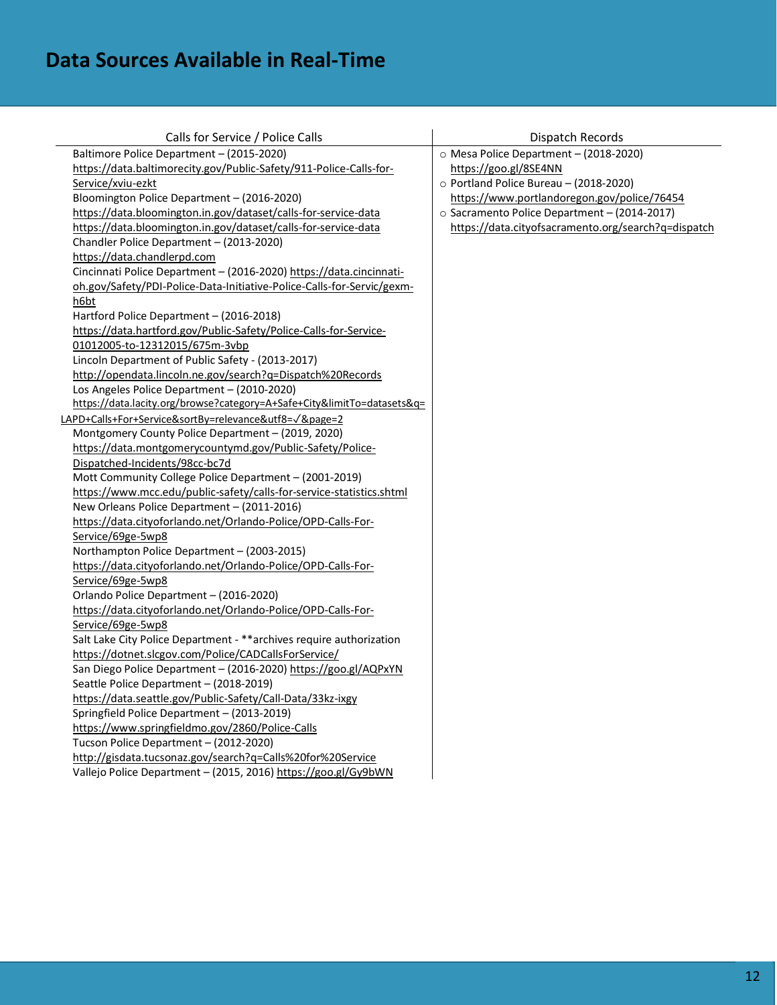# **Data Sources Available in Real-Time**

| Calls for Service / Police Calls                                        | Dispatch Records                                    |
|-------------------------------------------------------------------------|-----------------------------------------------------|
| Baltimore Police Department - (2015-2020)                               | O Mesa Police Department - (2018-2020)              |
| https://data.baltimorecity.gov/Public-Safety/911-Police-Calls-for-      | https://goo.gl/8SE4NN                               |
| Service/xviu-ezkt                                                       | o Portland Police Bureau - (2018-2020)              |
| Bloomington Police Department - (2016-2020)                             | https://www.portlandoregon.gov/police/76454         |
| https://data.bloomington.in.gov/dataset/calls-for-service-data          | o Sacramento Police Department - (2014-2017)        |
| https://data.bloomington.in.gov/dataset/calls-for-service-data          | https://data.cityofsacramento.org/search?q=dispatch |
| Chandler Police Department - (2013-2020)                                |                                                     |
| https://data.chandlerpd.com                                             |                                                     |
| Cincinnati Police Department - (2016-2020) https://data.cincinnati-     |                                                     |
| oh.gov/Safety/PDI-Police-Data-Initiative-Police-Calls-for-Servic/gexm-  |                                                     |
| h6bt                                                                    |                                                     |
| Hartford Police Department - (2016-2018)                                |                                                     |
| https://data.hartford.gov/Public-Safety/Police-Calls-for-Service-       |                                                     |
| 01012005-to-12312015/675m-3vbp                                          |                                                     |
| Lincoln Department of Public Safety - (2013-2017)                       |                                                     |
| http://opendata.lincoln.ne.gov/search?q=Dispatch%20Records              |                                                     |
| Los Angeles Police Department - (2010-2020)                             |                                                     |
| https://data.lacity.org/browse?category=A+Safe+City&limitTo=datasets&q= |                                                     |
| LAPD+Calls+For+Service&sortBy=relevance&utf8=V&page=2                   |                                                     |
| Montgomery County Police Department - (2019, 2020)                      |                                                     |
| https://data.montgomerycountymd.gov/Public-Safety/Police-               |                                                     |
| Dispatched-Incidents/98cc-bc7d                                          |                                                     |
| Mott Community College Police Department - (2001-2019)                  |                                                     |
| https://www.mcc.edu/public-safety/calls-for-service-statistics.shtml    |                                                     |
| New Orleans Police Department - (2011-2016)                             |                                                     |
| https://data.cityoforlando.net/Orlando-Police/OPD-Calls-For-            |                                                     |
| Service/69ge-5wp8                                                       |                                                     |
| Northampton Police Department - (2003-2015)                             |                                                     |
| https://data.cityoforlando.net/Orlando-Police/OPD-Calls-For-            |                                                     |
| Service/69ge-5wp8                                                       |                                                     |
| Orlando Police Department - (2016-2020)                                 |                                                     |
| https://data.cityoforlando.net/Orlando-Police/OPD-Calls-For-            |                                                     |
| Service/69ge-5wp8                                                       |                                                     |
| Salt Lake City Police Department - ** archives require authorization    |                                                     |
| https://dotnet.slcgov.com/Police/CADCallsForService/                    |                                                     |
| San Diego Police Department - (2016-2020) https://goo.gl/AQPxYN         |                                                     |
| Seattle Police Department - (2018-2019)                                 |                                                     |
| https://data.seattle.gov/Public-Safety/Call-Data/33kz-ixgy              |                                                     |
| Springfield Police Department - (2013-2019)                             |                                                     |
| https://www.springfieldmo.gov/2860/Police-Calls                         |                                                     |
| Tucson Police Department - (2012-2020)                                  |                                                     |
| http://gisdata.tucsonaz.gov/search?q=Calls%20for%20Service              |                                                     |
| Vallejo Police Department - (2015, 2016) https://goo.gl/Gy9bWN          |                                                     |
|                                                                         |                                                     |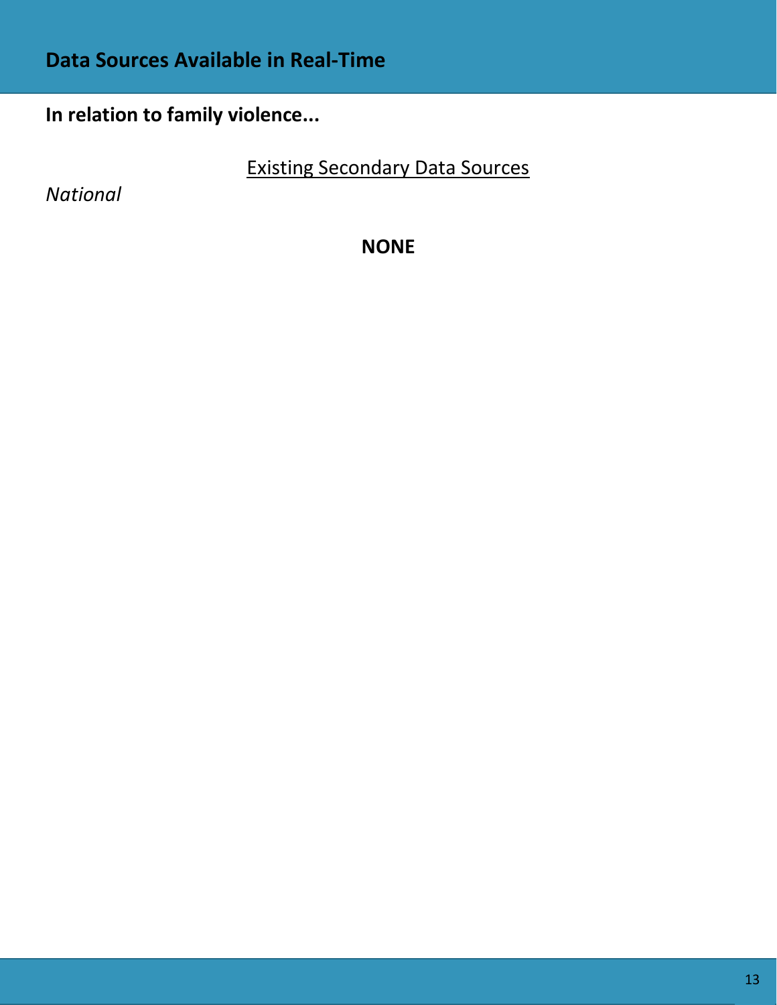# **Data Sources Available in Real-Time**

# **In relation to family violence...**

Existing Secondary Data Sources

*National*

**NONE**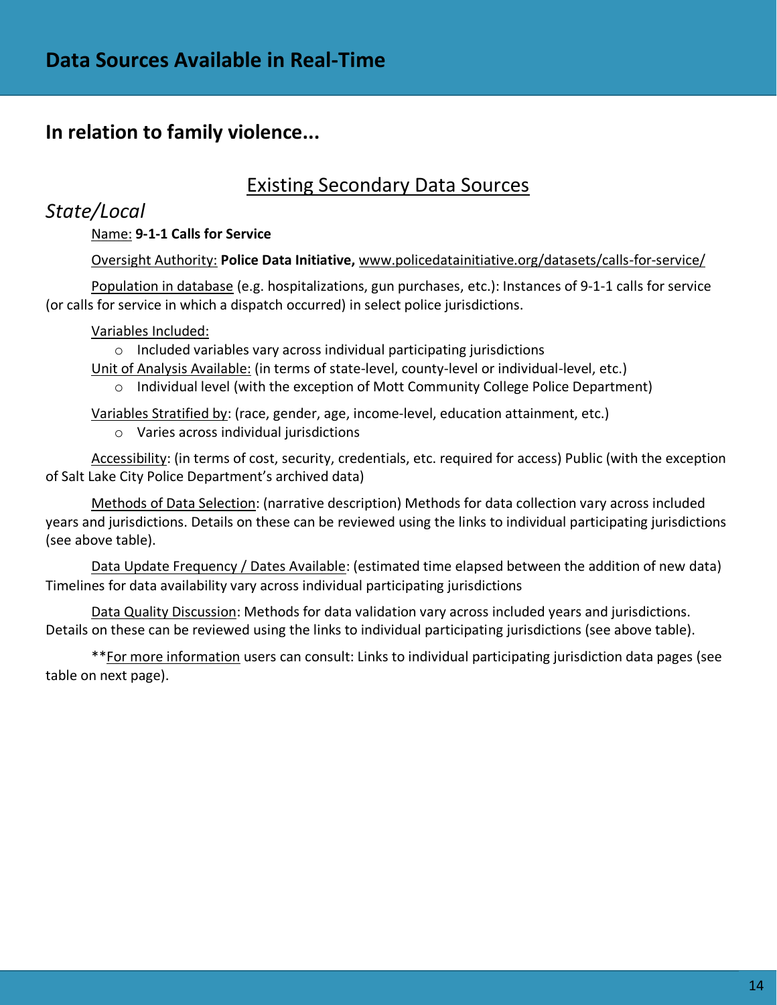## **In relation to family violence...**

## Existing Secondary Data Sources

### *State/Local*

### Name: **9-1-1 Calls for Service**

### Oversight Authority: **Police Data Initiative,** [www.policedatainitiative.org/datasets/calls-for-service/](http://www.policedatainitiative.org/datasets/calls-for-service/)

Population in database (e.g. hospitalizations, gun purchases, etc.): Instances of 9-1-1 calls for service (or calls for service in which a dispatch occurred) in select police jurisdictions.

#### Variables Included:

o Included variables vary across individual participating jurisdictions Unit of Analysis Available: (in terms of state-level, county-level or individual-level, etc.)

 $\circ$  Individual level (with the exception of Mott Community College Police Department)

Variables Stratified by: (race, gender, age, income-level, education attainment, etc.)

o Varies across individual jurisdictions

Accessibility: (in terms of cost, security, credentials, etc. required for access) Public (with the exception of Salt Lake City Police Department's archived data)

Methods of Data Selection: (narrative description) Methods for data collection vary across included years and jurisdictions. Details on these can be reviewed using the links to individual participating jurisdictions (see above table).

Data Update Frequency / Dates Available: (estimated time elapsed between the addition of new data) Timelines for data availability vary across individual participating jurisdictions

Data Quality Discussion: Methods for data validation vary across included years and jurisdictions. Details on these can be reviewed using the links to individual participating jurisdictions (see above table).

\*\*For more information users can consult: Links to individual participating jurisdiction data pages (see table on next page).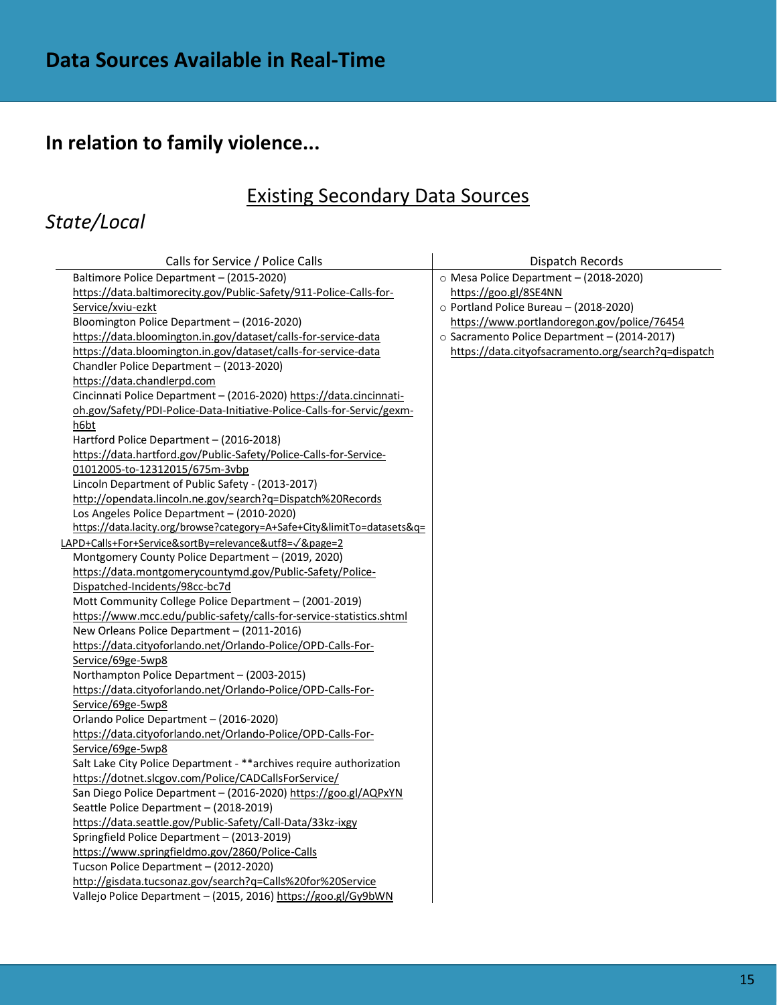# **In relation to family violence...**

# Existing Secondary Data Sources

# *State/Local*

| Calls for Service / Police Calls                                        | Dispatch Records                                    |
|-------------------------------------------------------------------------|-----------------------------------------------------|
| Baltimore Police Department - (2015-2020)                               | O Mesa Police Department - (2018-2020)              |
| https://data.baltimorecity.gov/Public-Safety/911-Police-Calls-for-      | https://goo.gl/8SE4NN                               |
| Service/xviu-ezkt                                                       | o Portland Police Bureau - (2018-2020)              |
| Bloomington Police Department - (2016-2020)                             | https://www.portlandoregon.gov/police/76454         |
| https://data.bloomington.in.gov/dataset/calls-for-service-data          | o Sacramento Police Department - (2014-2017)        |
| https://data.bloomington.in.gov/dataset/calls-for-service-data          | https://data.cityofsacramento.org/search?q=dispatch |
| Chandler Police Department - (2013-2020)                                |                                                     |
| https://data.chandlerpd.com                                             |                                                     |
| Cincinnati Police Department - (2016-2020) https://data.cincinnati-     |                                                     |
| oh.gov/Safety/PDI-Police-Data-Initiative-Police-Calls-for-Servic/gexm-  |                                                     |
| h6bt                                                                    |                                                     |
| Hartford Police Department - (2016-2018)                                |                                                     |
| https://data.hartford.gov/Public-Safety/Police-Calls-for-Service-       |                                                     |
| 01012005-to-12312015/675m-3vbp                                          |                                                     |
| Lincoln Department of Public Safety - (2013-2017)                       |                                                     |
| http://opendata.lincoln.ne.gov/search?q=Dispatch%20Records              |                                                     |
| Los Angeles Police Department - (2010-2020)                             |                                                     |
| https://data.lacity.org/browse?category=A+Safe+City&limitTo=datasets&q= |                                                     |
| LAPD+Calls+For+Service&sortBy=relevance&utf8=V&page=2                   |                                                     |
| Montgomery County Police Department - (2019, 2020)                      |                                                     |
| https://data.montgomerycountymd.gov/Public-Safety/Police-               |                                                     |
| Dispatched-Incidents/98cc-bc7d                                          |                                                     |
| Mott Community College Police Department - (2001-2019)                  |                                                     |
| https://www.mcc.edu/public-safety/calls-for-service-statistics.shtml    |                                                     |
| New Orleans Police Department - (2011-2016)                             |                                                     |
| https://data.cityoforlando.net/Orlando-Police/OPD-Calls-For-            |                                                     |
| Service/69ge-5wp8                                                       |                                                     |
| Northampton Police Department - (2003-2015)                             |                                                     |
| https://data.cityoforlando.net/Orlando-Police/OPD-Calls-For-            |                                                     |
| Service/69ge-5wp8                                                       |                                                     |
| Orlando Police Department - (2016-2020)                                 |                                                     |
| https://data.cityoforlando.net/Orlando-Police/OPD-Calls-For-            |                                                     |
| Service/69ge-5wp8                                                       |                                                     |
| Salt Lake City Police Department - ** archives require authorization    |                                                     |
| https://dotnet.slcgov.com/Police/CADCallsForService/                    |                                                     |
| San Diego Police Department - (2016-2020) https://goo.gl/AQPxYN         |                                                     |
| Seattle Police Department - (2018-2019)                                 |                                                     |
| https://data.seattle.gov/Public-Safety/Call-Data/33kz-ixgy              |                                                     |
| Springfield Police Department - (2013-2019)                             |                                                     |
| https://www.springfieldmo.gov/2860/Police-Calls                         |                                                     |
| Tucson Police Department - (2012-2020)                                  |                                                     |
| http://gisdata.tucsonaz.gov/search?q=Calls%20for%20Service              |                                                     |
| Vallejo Police Department - (2015, 2016) https://goo.gl/Gy9bWN          |                                                     |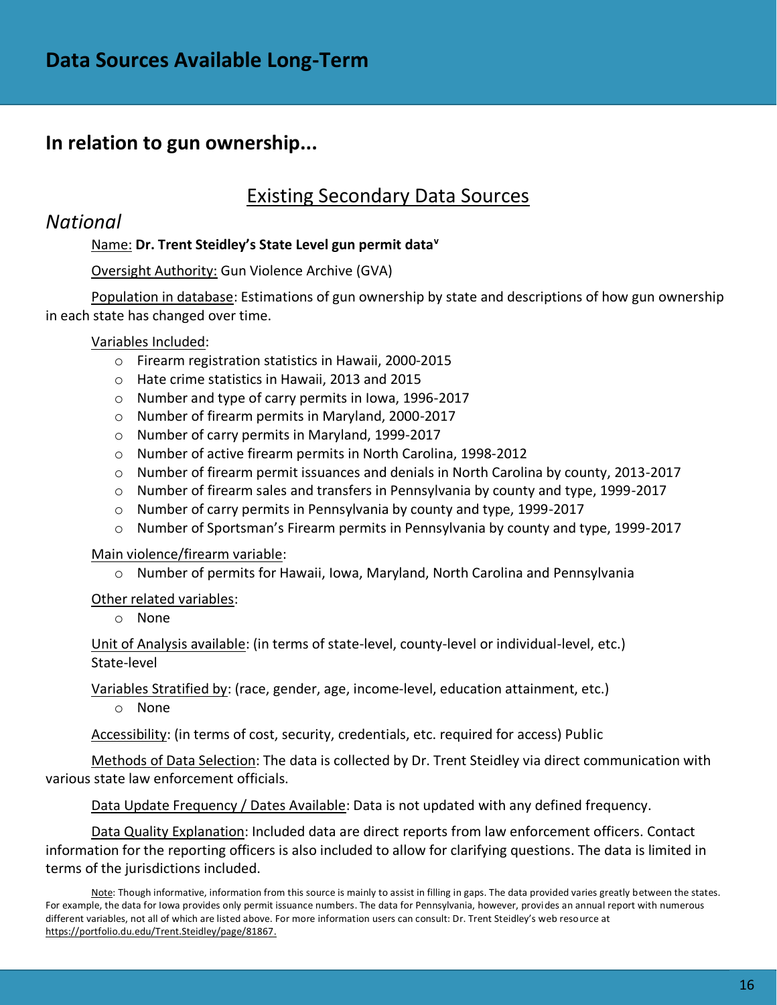### **In relation to gun ownership...**

## Existing Secondary Data Sources

### *National*

### Name: **Dr. Trent Steidley's State Level gun permit data<sup>v</sup>**

### Oversight Authority: Gun Violence Archive (GVA)

Population in database: Estimations of gun ownership by state and descriptions of how gun ownership in each state has changed over time.

### Variables Included:

- o Firearm registration statistics in Hawaii, 2000-2015
- o Hate crime statistics in Hawaii, 2013 and 2015
- o Number and type of carry permits in Iowa, 1996-2017
- o Number of firearm permits in Maryland, 2000-2017
- o Number of carry permits in Maryland, 1999-2017
- o Number of active firearm permits in North Carolina, 1998-2012
- $\circ$  Number of firearm permit issuances and denials in North Carolina by county, 2013-2017
- o Number of firearm sales and transfers in Pennsylvania by county and type, 1999-2017
- o Number of carry permits in Pennsylvania by county and type, 1999-2017
- o Number of Sportsman's Firearm permits in Pennsylvania by county and type, 1999-2017

Main violence/firearm variable:

o Number of permits for Hawaii, Iowa, Maryland, North Carolina and Pennsylvania

#### Other related variables:

o None

Unit of Analysis available: (in terms of state-level, county-level or individual-level, etc.) State-level

Variables Stratified by: (race, gender, age, income-level, education attainment, etc.)

o None

Accessibility: (in terms of cost, security, credentials, etc. required for access) Public

Methods of Data Selection: The data is collected by Dr. Trent Steidley via direct communication with various state law enforcement officials.

Data Update Frequency / Dates Available: Data is not updated with any defined frequency.

Data Quality Explanation: Included data are direct reports from law enforcement officers. Contact information for the reporting officers is also included to allow for clarifying questions. The data is limited in terms of the jurisdictions included.

Note: Though informative, information from this source is mainly to assist in filling in gaps. The data provided varies greatly between the states. For example, the data for Iowa provides only permit issuance numbers. The data for Pennsylvania, however, provides an annual report with numerous different variables, not all of which are listed above. For more information users can consult: Dr. Trent Steidley's web resource at [https://portfolio.du.edu/Trent.Steidley/page/81867.](https://portfolio.du.edu/Trent.Steidley/page/81867)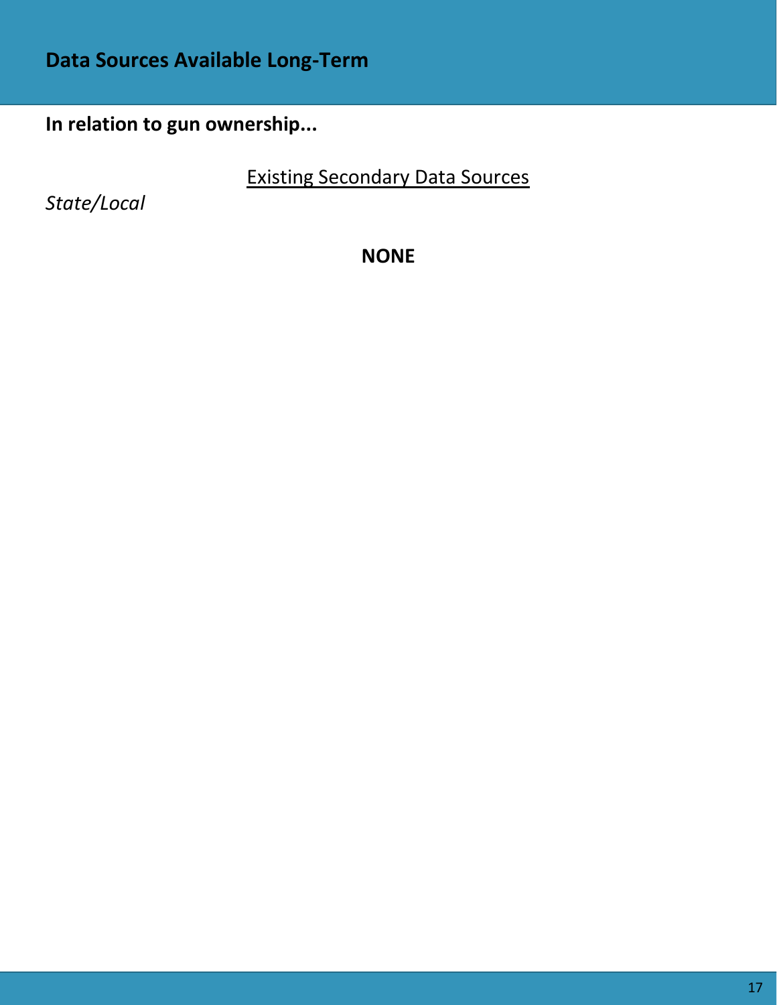# **Data Sources Available Long-Term**

**In relation to gun ownership...**

Existing Secondary Data Sources

*State/Local*

**NONE**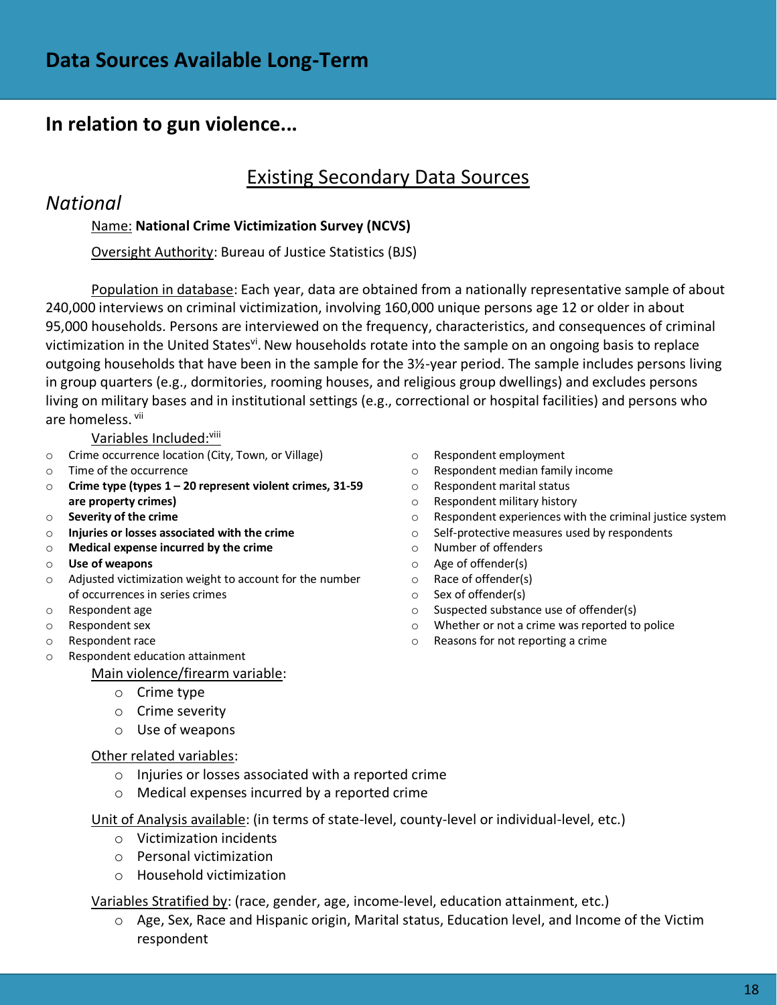# Existing Secondary Data Sources

### *National*

### Name: **National Crime Victimization Survey (NCVS)**

Oversight Authority: Bureau of Justice Statistics (BJS)

Population in database: Each year, data are obtained from a nationally representative sample of about 240,000 interviews on criminal victimization, involving 160,000 unique persons age 12 or older in about 95,000 households. Persons are interviewed on the frequency, characteristics, and consequences of criminal victimization in the United States<sup>vi</sup>. New households rotate into the sample on an ongoing basis to replace outgoing households that have been in the sample for the 3½-year period. The sample includes persons living in group quarters (e.g., dormitories, rooming houses, and religious group dwellings) and excludes persons living on military bases and in institutional settings (e.g., correctional or hospital facilities) and persons who are homeless. vij

Variables Included: Vili

- o Crime occurrence location (City, Town, or Village)
- o Time of the occurrence
- o **Crime type (types 1 – 20 represent violent crimes, 31-59 are property crimes)**
- o **Severity of the crime**
- o **Injuries or losses associated with the crime**
- o **Medical expense incurred by the crime**
- o **Use of weapons**
- o Adjusted victimization weight to account for the number of occurrences in series crimes
- o Respondent age
- o Respondent sex
- o Respondent race
- o Respondent education attainment

Main violence/firearm variable:

- o Crime type
- o Crime severity
- o Use of weapons

#### Other related variables:

- o Injuries or losses associated with a reported crime
- o Medical expenses incurred by a reported crime

Unit of Analysis available: (in terms of state-level, county-level or individual-level, etc.)

- o Victimization incidents
- o Personal victimization
- o Household victimization

Variables Stratified by: (race, gender, age, income-level, education attainment, etc.)

o Age, Sex, Race and Hispanic origin, Marital status, Education level, and Income of the Victim respondent

- o Respondent employment
- o Respondent median family income
- o Respondent marital status
- o Respondent military history
- o Respondent experiences with the criminal justice system
- o Self-protective measures used by respondents
- o Number of offenders
- o Age of offender(s)
- o Race of offender(s)
- o Sex of offender(s)
- o Suspected substance use of offender(s)
- o Whether or not a crime was reported to police
- o Reasons for not reporting a crime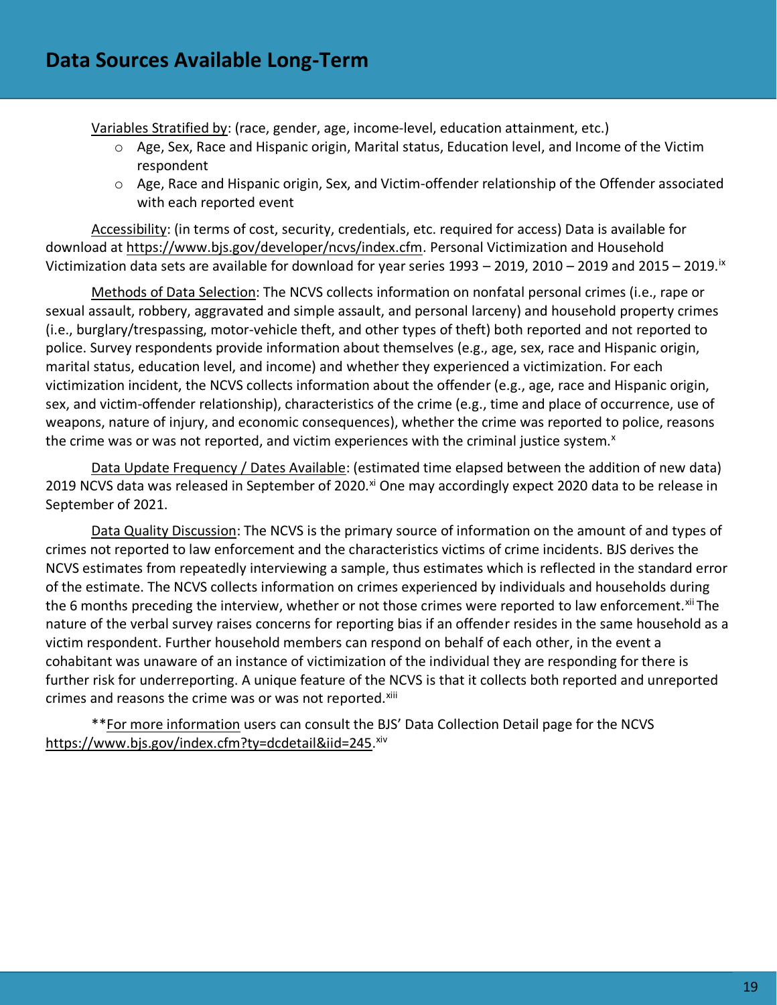Variables Stratified by: (race, gender, age, income-level, education attainment, etc.)

- o Age, Sex, Race and Hispanic origin, Marital status, Education level, and Income of the Victim respondent
- o Age, Race and Hispanic origin, Sex, and Victim-offender relationship of the Offender associated with each reported event

Accessibility: (in terms of cost, security, credentials, etc. required for access) Data is available for download at [https://www.bjs.gov/developer/ncvs/index.cfm.](https://www.bjs.gov/developer/ncvs/index.cfm) Personal Victimization and Household Victimization data sets are available for download for year series 1993 – 2019, 2010 – 2019 and 2015 – 2019.ix

Methods of Data Selection: The NCVS collects information on nonfatal personal crimes (i.e., rape or sexual assault, robbery, aggravated and simple assault, and personal larceny) and household property crimes (i.e., burglary/trespassing, motor-vehicle theft, and other types of theft) both reported and not reported to police. Survey respondents provide information about themselves (e.g., age, sex, race and Hispanic origin, marital status, education level, and income) and whether they experienced a victimization. For each victimization incident, the NCVS collects information about the offender (e.g., age, race and Hispanic origin, sex, and victim-offender relationship), characteristics of the crime (e.g., time and place of occurrence, use of weapons, nature of injury, and economic consequences), whether the crime was reported to police, reasons the crime was or was not reported, and victim experiences with the criminal justice system.<sup>x</sup>

Data Update Frequency / Dates Available: (estimated time elapsed between the addition of new data) 2019 NCVS data was released in September of 2020.<sup>xi</sup> One may accordingly expect 2020 data to be release in September of 2021.

Data Quality Discussion: The NCVS is the primary source of information on the amount of and types of crimes not reported to law enforcement and the characteristics victims of crime incidents. BJS derives the NCVS estimates from repeatedly interviewing a sample, thus estimates which is reflected in the standard error of the estimate. The NCVS collects information on crimes experienced by individuals and households during the 6 months preceding the interview, whether or not those crimes were reported to law enforcement.<sup>xii</sup> The nature of the verbal survey raises concerns for reporting bias if an offender resides in the same household as a victim respondent. Further household members can respond on behalf of each other, in the event a cohabitant was unaware of an instance of victimization of the individual they are responding for there is further risk for underreporting. A unique feature of the NCVS is that it collects both reported and unreported crimes and reasons the crime was or was not reported.<sup>xiii</sup>

\*\*For more information users can consult the BJS' Data Collection Detail page for the NCVS [https://www.bjs.gov/index.cfm?ty=dcdetail&iid=245.](https://www.bjs.gov/index.cfm?ty=dcdetail&iid=245) xiv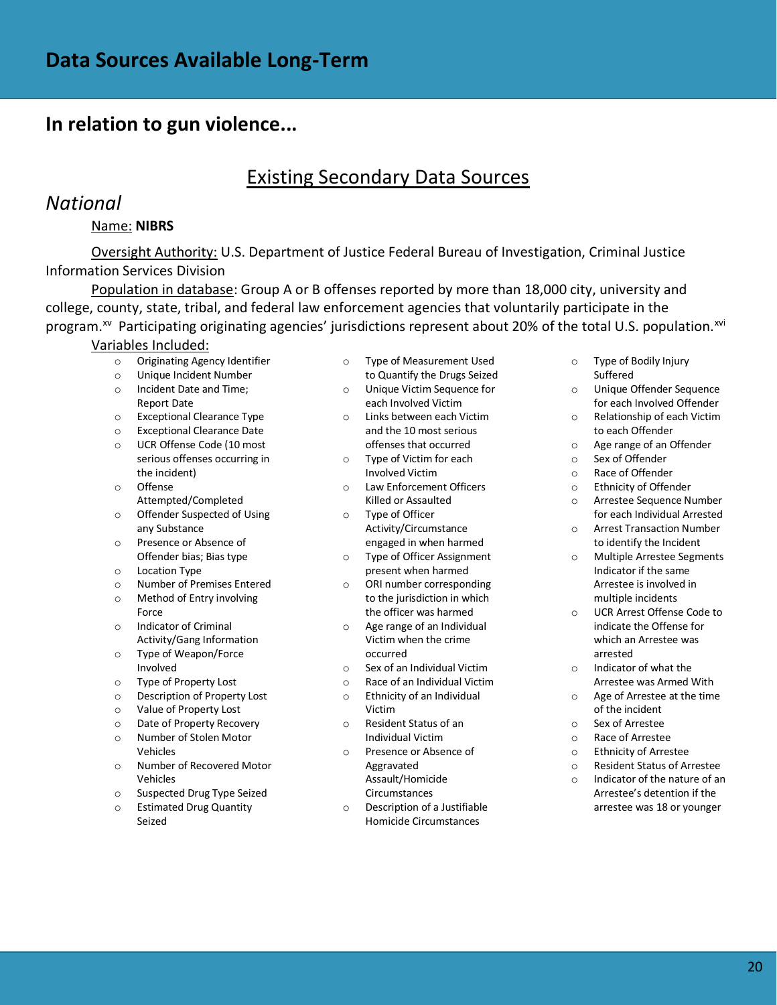# Existing Secondary Data Sources

### *National*

#### Name: **NIBRS**

Oversight Authority: U.S. Department of Justice Federal Bureau of Investigation, Criminal Justice Information Services Division

Population in database: Group A or B offenses reported by more than 18,000 city, university and college, county, state, tribal, and federal law enforcement agencies that voluntarily participate in the program.<sup>xv</sup> Participating originating agencies' jurisdictions represent about 20% of the total U.S. population.<sup>xvi</sup>

#### Variables Included:

- o Originating Agency Identifier
- o Unique Incident Number
- o Incident Date and Time; Report Date
- o Exceptional Clearance Type
- o Exceptional Clearance Date
- o UCR Offense Code (10 most serious offenses occurring in the incident)
- o Offense Attempted/Completed
- o Offender Suspected of Using any Substance
- o Presence or Absence of Offender bias; Bias type
- o Location Type
- o Number of Premises Entered o Method of Entry involving
- Force o Indicator of Criminal
- Activity/Gang Information o Type of Weapon/Force
- Involved
- o Type of Property Lost
- o Description of Property Lost
- o Value of Property Lost
- o Date of Property Recovery o Number of Stolen Motor
- Vehicles o Number of Recovered Motor
- Vehicles
- o Suspected Drug Type Seized
- o Estimated Drug Quantity Seized
- o Type of Measurement Used to Quantify the Drugs Seized
- o Unique Victim Sequence for each Involved Victim
- o Links between each Victim and the 10 most serious offenses that occurred
- o Type of Victim for each Involved Victim
- o Law Enforcement Officers Killed or Assaulted
- o Type of Officer Activity/Circumstance engaged in when harmed
- o Type of Officer Assignment present when harmed
- o ORI number corresponding to the jurisdiction in which the officer was harmed
- o Age range of an Individual Victim when the crime occurred
- o Sex of an Individual Victim
- o Race of an Individual Victim
- o Ethnicity of an Individual Victim
- o Resident Status of an Individual Victim
- o Presence or Absence of Aggravated Assault/Homicide Circumstances
- Description of a Justifiable Homicide Circumstances
- o Type of Bodily Injury Suffered
- o Unique Offender Sequence for each Involved Offender
- o Relationship of each Victim to each Offender
- o Age range of an Offender
- o Sex of Offender
- o Race of Offender
- o Ethnicity of Offender
- o Arrestee Sequence Number for each Individual Arrested
- o Arrest Transaction Number to identify the Incident
- o Multiple Arrestee Segments Indicator if the same Arrestee is involved in multiple incidents
- o UCR Arrest Offense Code to indicate the Offense for which an Arrestee was arrested
- o Indicator of what the Arrestee was Armed With
- o Age of Arrestee at the time of the incident
- o Sex of Arrestee
- o Race of Arrestee
- o Ethnicity of Arrestee
- o Resident Status of Arrestee
- $\circ$  Indicator of the nature of an Arrestee's detention if the arrestee was 18 or younger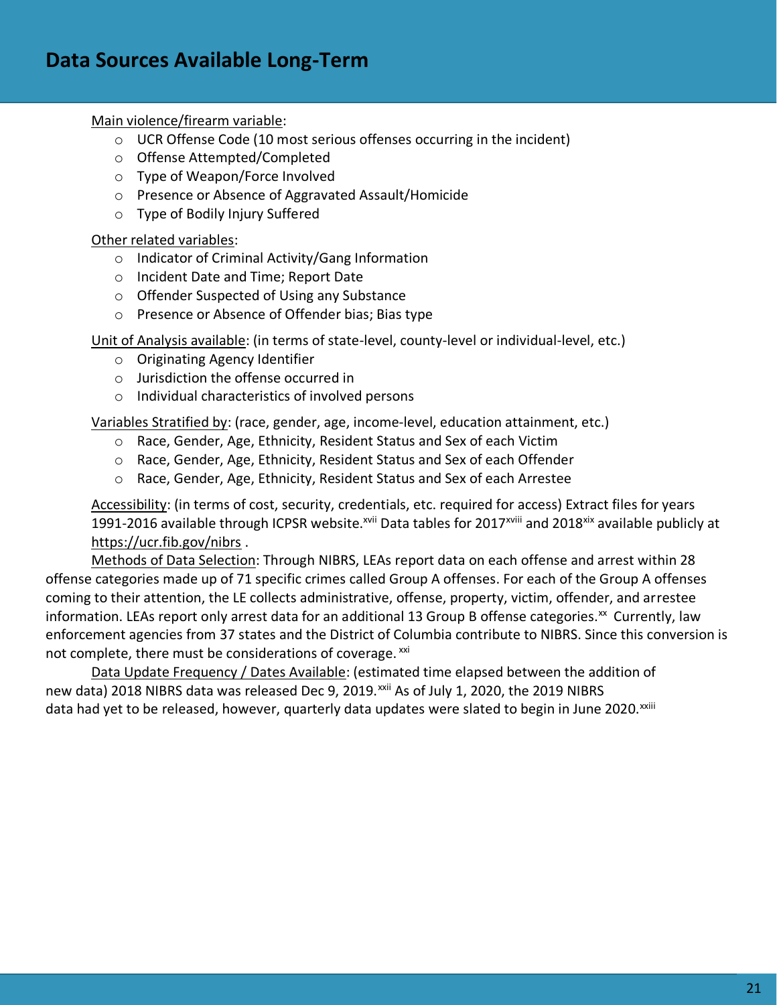Main violence/firearm variable:

- o UCR Offense Code (10 most serious offenses occurring in the incident)
- o Offense Attempted/Completed
- o Type of Weapon/Force Involved
- o Presence or Absence of Aggravated Assault/Homicide
- o Type of Bodily Injury Suffered

Other related variables:

- o Indicator of Criminal Activity/Gang Information
- o Incident Date and Time; Report Date
- o Offender Suspected of Using any Substance
- o Presence or Absence of Offender bias; Bias type

Unit of Analysis available: (in terms of state-level, county-level or individual-level, etc.)

- o Originating Agency Identifier
- o Jurisdiction the offense occurred in
- o Individual characteristics of involved persons

Variables Stratified by: (race, gender, age, income-level, education attainment, etc.)

- o Race, Gender, Age, Ethnicity, Resident Status and Sex of each Victim
- o Race, Gender, Age, Ethnicity, Resident Status and Sex of each Offender
- o Race, Gender, Age, Ethnicity, Resident Status and Sex of each Arrestee

Accessibility: (in terms of cost, security, credentials, etc. required for access) Extract files for years 1991-2016 available through ICPSR website.<sup>xvii</sup> Data tables for 2017<sup>xviii</sup> and 2018<sup>xix</sup> available publicly at <https://ucr.fib.gov/nibrs> .

Methods of Data Selection: Through NIBRS, LEAs report data on each offense and arrest within 28 offense categories made up of 71 specific crimes called Group A offenses. For each of the Group A offenses coming to their attention, the LE collects administrative, offense, property, victim, offender, and arrestee information. LEAs report only arrest data for an additional 13 Group B offense categories.<sup>xx</sup> Currently, law enforcement agencies from 37 states and the District of Columbia contribute to NIBRS. Since this conversion is not complete, there must be considerations of coverage. xxi

Data Update Frequency / Dates Available: (estimated time elapsed between the addition of new data) 2018 NIBRS data was released Dec 9, 2019.<sup>xxii</sup> As of July 1, 2020, the 2019 NIBRS data had yet to be released, however, quarterly data updates were slated to begin in June 2020.<sup>xxiii</sup>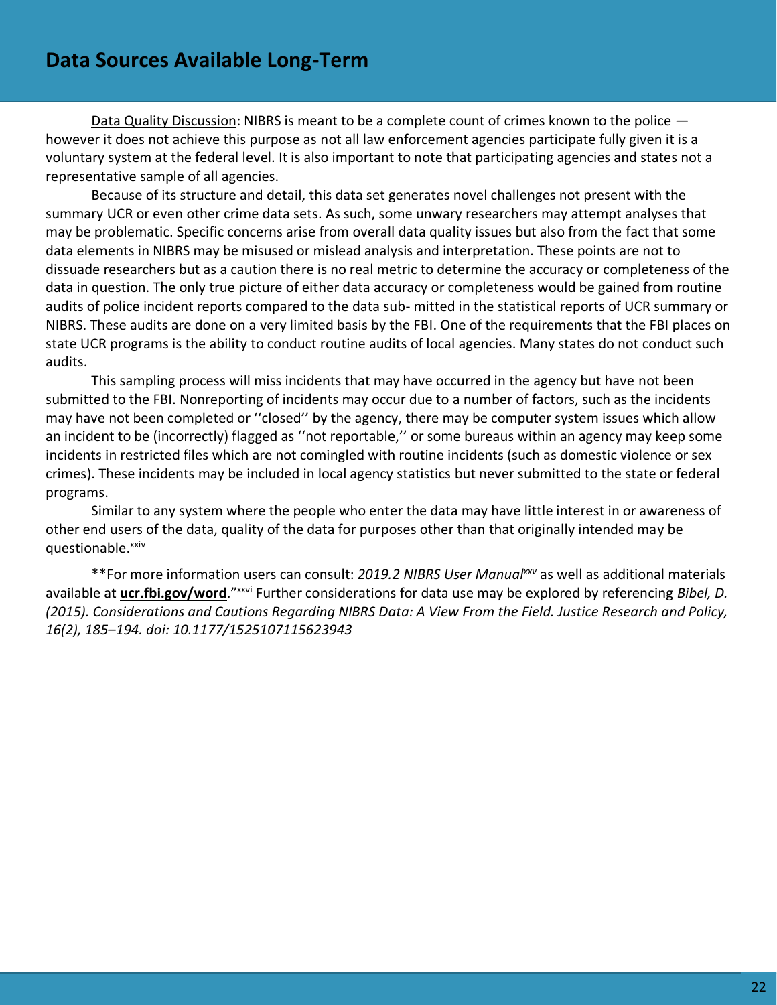Data Quality Discussion: NIBRS is meant to be a complete count of crimes known to the police  $$ however it does not achieve this purpose as not all law enforcement agencies participate fully given it is a voluntary system at the federal level. It is also important to note that participating agencies and states not a representative sample of all agencies.

Because of its structure and detail, this data set generates novel challenges not present with the summary UCR or even other crime data sets. As such, some unwary researchers may attempt analyses that may be problematic. Specific concerns arise from overall data quality issues but also from the fact that some data elements in NIBRS may be misused or mislead analysis and interpretation. These points are not to dissuade researchers but as a caution there is no real metric to determine the accuracy or completeness of the data in question. The only true picture of either data accuracy or completeness would be gained from routine audits of police incident reports compared to the data sub- mitted in the statistical reports of UCR summary or NIBRS. These audits are done on a very limited basis by the FBI. One of the requirements that the FBI places on state UCR programs is the ability to conduct routine audits of local agencies. Many states do not conduct such audits.

This sampling process will miss incidents that may have occurred in the agency but have not been submitted to the FBI. Nonreporting of incidents may occur due to a number of factors, such as the incidents may have not been completed or ''closed'' by the agency, there may be computer system issues which allow an incident to be (incorrectly) flagged as ''not reportable,'' or some bureaus within an agency may keep some incidents in restricted files which are not comingled with routine incidents (such as domestic violence or sex crimes). These incidents may be included in local agency statistics but never submitted to the state or federal programs.

Similar to any system where the people who enter the data may have little interest in or awareness of other end users of the data, quality of the data for purposes other than that originally intended may be questionable.xxiv

\*\*For more information users can consult: *2019.2 NIBRS User Manualxxv* as well as additional materials available at **[ucr.fbi.gov/word](https://ucr.fbi.gov/word/)**."xxvi Further considerations for data use may be explored by referencing *Bibel, D. (2015). Considerations and Cautions Regarding NIBRS Data: A View From the Field. Justice Research and Policy, 16(2), 185–194. doi: 10.1177/1525107115623943*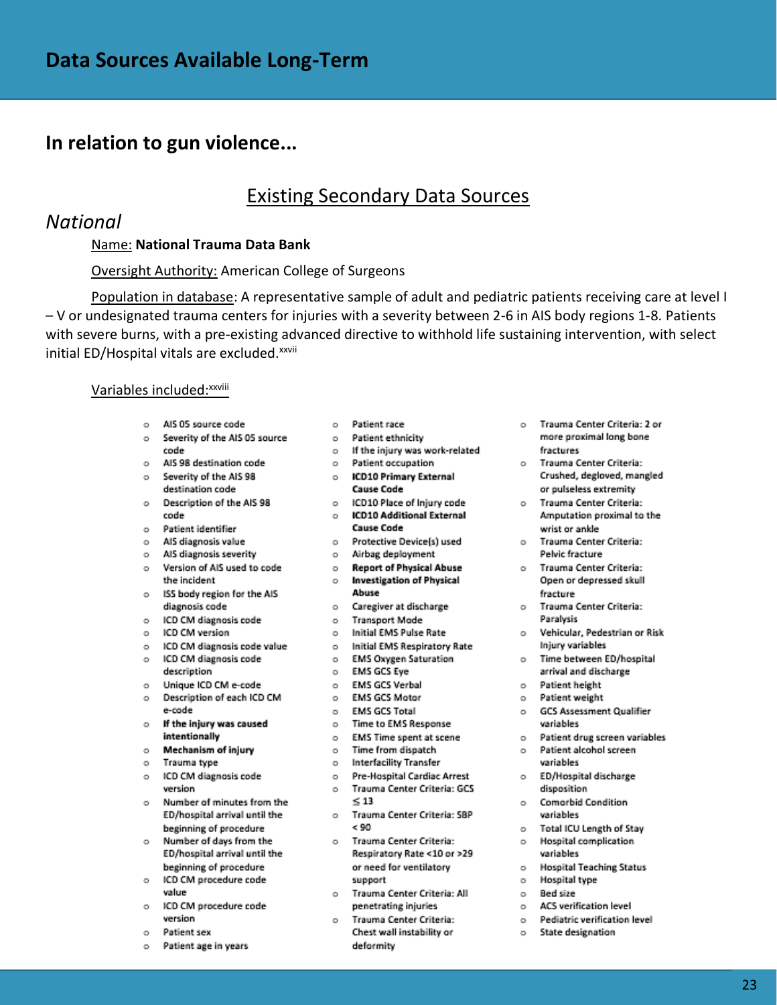### Existing Secondary Data Sources

### *National*

#### Name: **National Trauma Data Bank**

#### Oversight Authority: American College of Surgeons

Population in database: A representative sample of adult and pediatric patients receiving care at level I – V or undesignated trauma centers for injuries with a severity between 2-6 in AIS body regions 1-8. Patients with severe burns, with a pre-existing advanced directive to withhold life sustaining intervention, with select initial ED/Hospital vitals are excluded.<sup>xxvii</sup>

#### Variables included: XXVIII

- o AIS 05 source code
- o Severity of the AIS 05 source code
- AIS 98 destination code  $\sim$
- o Als 98 destination code<br>o Severity of the AlS 98 destination code
- Description of the AIS 98  $\sim$ code
- Patient identifier  $\circ$
- o AIS diagnosis value
- o AIS diagnosis severity
- o Version of AIS used to code the incident
- o ISS body region for the AIS diagnosis code
- o ICD CM diagnosis code
- o ICD CM version
- o ICD CM diagnosis code value
- o ICD CM diagnosis code
- description
- o Unique ICD CM e-code Description of each ICD CM  $\sim$ e-code
- o If the injury was caused intentionally
- Mechanism of injury  $\circ$
- Trauma type  $\circ$
- o ICD CM diagnosis code version
- o Number of minutes from the ED/hospital arrival until the beginning of procedure
- o Number of days from the ED/hospital arrival until the beginning of procedure
- o ICD CM procedure code value
- o ICD CM procedure code version
- o Patient sex
- o Patient age in years
- o Patient race
- o Patient ethnicity
- o If the injury was work-related
- o Patient occupation
- o ICD10 Primary External **Cause Code**
- o ICD10 Place of Injury code
	- o ICD10 Additional External **Cause Code**
- o Protective Device(s) used
- o Airbag deployment
- o Report of Physical Abuse o Investigation of Physical Abuse
- o Caregiver at discharge
- o Transport Mode
- o Initial EMS Pulse Rate
- o Initial EMS Respiratory Rate
- o EMS Oxygen Saturation
- o EMS GCS Eye
- o EMS GCS Verbal
- o EMS GCS Motor
- o EMS GCS Total
- o Time to EMS Response
- o EMS Time spent at scene
- o Time from dispatch o Interfacility Transfer
- 
- o Pre-Hospital Cardiac Arrest o Trauma Center Criteria: GCS  $\leq 13$
- o Trauma Center Criteria: SBP  $< 90$
- o Trauma Center Criteria: Respiratory Rate <10 or >29 or need for ventilatory support
- o Trauma Center Criteria: All penetrating injuries
- o Trauma Center Criteria: Chest wall instability or deformity
- o Trauma Center Criteria: 2 or more proximal long bone fractures
- o Trauma Center Criteria: Crushed, degloved, mangled or pulseless extremity
- o Trauma Center Criteria: Amputation proximal to the wrist or ankle
- o Trauma Center Criteria: Pelvic fracture
- o Trauma Center Criteria: Open or depressed skull fracture
- o Trauma Center Criteria: Paralysis
- o Vehicular, Pedestrian or Risk Iniury variables
- o Time between ED/hospital arrival and discharge
- o Patient height
- o Patient weight
- o GCS Assessment Qualifier variables
- o Patient drug screen variables
- o Patient alcohol screen variables
- o ED/Hospital discharge disposition
- o Comorbid Condition variables
- o Total ICU Length of Stay
- o Hospital complication variables
- o Hospital Teaching Status
- o Hospital type
- o Bed size
- o ACS verification level
- o Pediatric verification level
- o State designation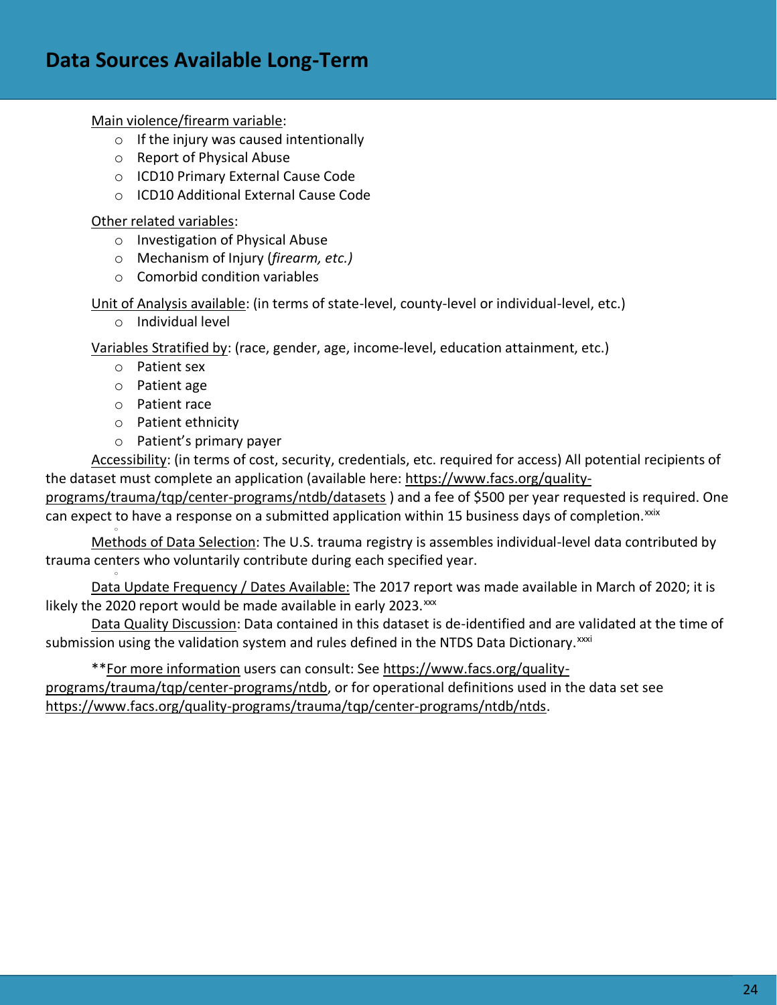# **Data Sources Available Long-Term**

Main violence/firearm variable:

- $\circ$  If the injury was caused intentionally
- o Report of Physical Abuse
- o ICD10 Primary External Cause Code
- o ICD10 Additional External Cause Code

Other related variables:

- o Investigation of Physical Abuse
- o Mechanism of Injury (*firearm, etc.)*
- o Comorbid condition variables

Unit of Analysis available: (in terms of state-level, county-level or individual-level, etc.)

o Individual level

Variables Stratified by: (race, gender, age, income-level, education attainment, etc.)

- o Patient sex
- o Patient age
- o Patient race

o

o

- o Patient ethnicity
- o Patient's primary payer

Accessibility: (in terms of cost, security, credentials, etc. required for access) All potential recipients of the dataset must complete an application (available here: [https://www.facs.org/quality-](https://www.facs.org/quality-programs/trauma/tqp/center-programs/ntdb/datasets)

[programs/trauma/tqp/center-programs/ntdb/datasets](https://www.facs.org/quality-programs/trauma/tqp/center-programs/ntdb/datasets) ) and a fee of \$500 per year requested is required. One can expect to have a response on a submitted application within 15 business days of completion.<sup>xxix</sup>

Methods of Data Selection: The U.S. trauma registry is assembles individual-level data contributed by trauma centers who voluntarily contribute during each specified year.

Data Update Frequency / Dates Available: The 2017 report was made available in March of 2020; it is likely the 2020 report would be made available in early 2023. $\frac{xx}{x}$ 

Data Quality Discussion: Data contained in this dataset is de-identified and are validated at the time of submission using the validation system and rules defined in the NTDS Data Dictionary.<sup>xxxi</sup>

\*\*For more information users can consult: See [https://www.facs.org/quality-](https://www.facs.org/quality-programs/trauma/tqp/center-programs/ntdb)

[programs/trauma/tqp/center-programs/ntdb,](https://www.facs.org/quality-programs/trauma/tqp/center-programs/ntdb) or for operational definitions used in the data set see [https://www.facs.org/quality-programs/trauma/tqp/center-programs/ntdb/ntds.](https://www.facs.org/quality-programs/trauma/tqp/center-programs/ntdb/ntds)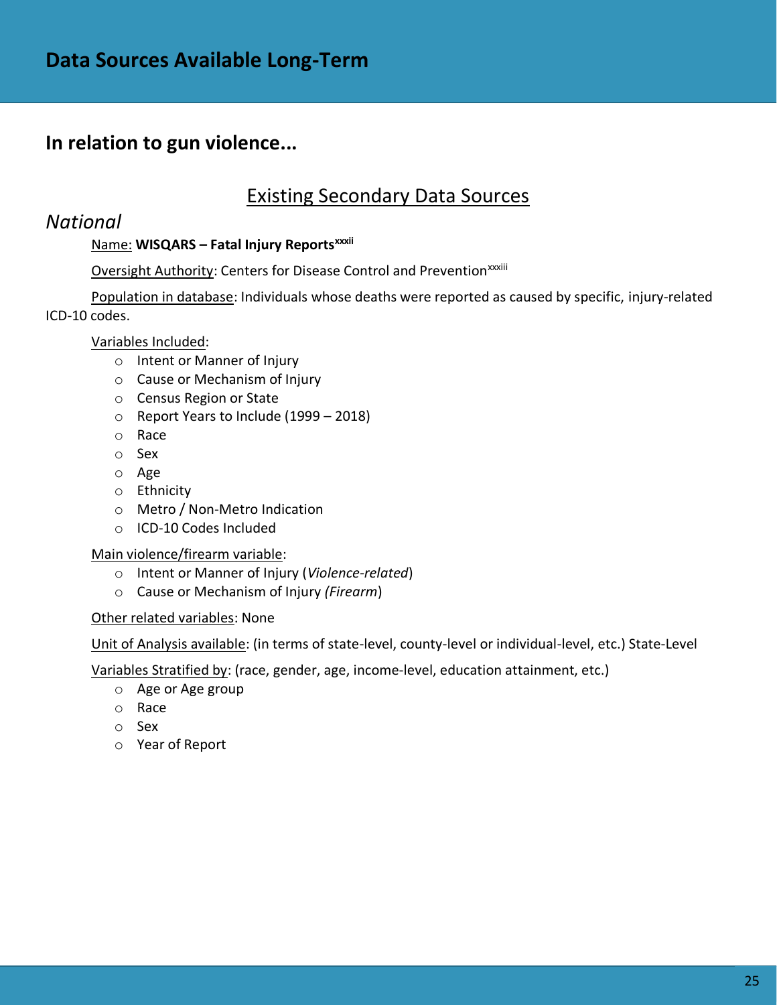# Existing Secondary Data Sources

### *National*

### Name: **WISQARS – Fatal Injury Reportsxxxii**

### Oversight Authority: Centers for Disease Control and Prevention<sup>xxxiii</sup>

Population in database: Individuals whose deaths were reported as caused by specific, injury-related ICD-10 codes.

### Variables Included:

- o Intent or Manner of Injury
- o Cause or Mechanism of Injury
- o Census Region or State
- o Report Years to Include (1999 2018)
- o Race
- o Sex
- o Age
- o Ethnicity
- o Metro / Non-Metro Indication
- o ICD-10 Codes Included

#### Main violence/firearm variable:

- o Intent or Manner of Injury (*Violence-related*)
- o Cause or Mechanism of Injury *(Firearm*)

#### Other related variables: None

Unit of Analysis available: (in terms of state-level, county-level or individual-level, etc.) State-Level

Variables Stratified by: (race, gender, age, income-level, education attainment, etc.)

- o Age or Age group
- o Race
- o Sex
- o Year of Report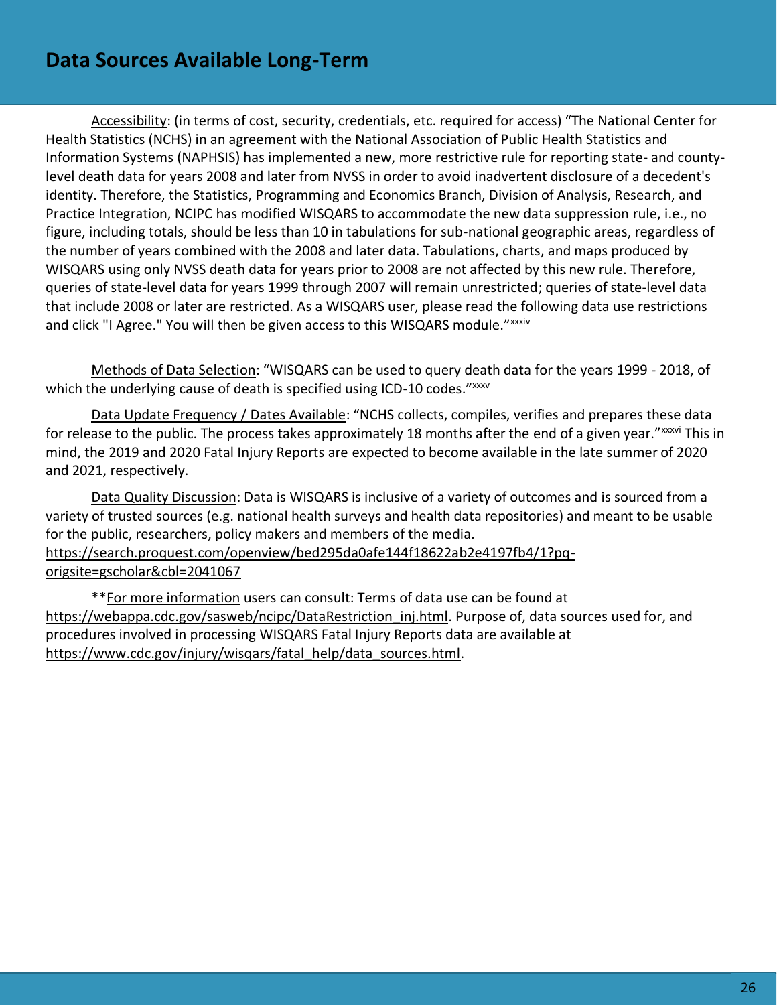# **Data Sources Available Long-Term**

Accessibility: (in terms of cost, security, credentials, etc. required for access) "The National Center for Health Statistics (NCHS) in an agreement with the National Association of Public Health Statistics and Information Systems (NAPHSIS) has implemented a new, more restrictive rule for reporting state- and countylevel death data for years 2008 and later from NVSS in order to avoid inadvertent disclosure of a decedent's identity. Therefore, the Statistics, Programming and Economics Branch, Division of Analysis, Research, and Practice Integration, NCIPC has modified WISQARS to accommodate the new data suppression rule, i.e., no figure, including totals, should be less than 10 in tabulations for sub-national geographic areas, regardless of the number of years combined with the 2008 and later data. Tabulations, charts, and maps produced by WISQARS using only NVSS death data for years prior to 2008 are not affected by this new rule. Therefore, queries of state-level data for years 1999 through 2007 will remain unrestricted; queries of state-level data that include 2008 or later are restricted. As a WISQARS user, please read the following data use restrictions and click "I Agree." You will then be given access to this WISQARS module."<sup>xxxiv</sup>

Methods of Data Selection: "WISQARS can be used to query death data for the years 1999 - 2018, of which the underlying cause of death is specified using ICD-10 codes." xxxv

Data Update Frequency / Dates Available: "NCHS collects, compiles, verifies and prepares these data for release to the public. The process takes approximately 18 months after the end of a given year." xxxvi This in mind, the 2019 and 2020 Fatal Injury Reports are expected to become available in the late summer of 2020 and 2021, respectively.

Data Quality Discussion: Data is WISQARS is inclusive of a variety of outcomes and is sourced from a variety of trusted sources (e.g. national health surveys and health data repositories) and meant to be usable for the public, researchers, policy makers and members of the media. [https://search.proquest.com/openview/bed295da0afe144f18622ab2e4197fb4/1?pq](https://search.proquest.com/openview/bed295da0afe144f18622ab2e4197fb4/1?pq-origsite=gscholar&cbl=2041067)[origsite=gscholar&cbl=2041067](https://search.proquest.com/openview/bed295da0afe144f18622ab2e4197fb4/1?pq-origsite=gscholar&cbl=2041067)

\*\*For more information users can consult: Terms of data use can be found at https://webappa.cdc.gov/sasweb/ncipc/DataRestriction inj.html. Purpose of, data sources used for, and procedures involved in processing WISQARS Fatal Injury Reports data are available at [https://www.cdc.gov/injury/wisqars/fatal\\_help/data\\_sources.html.](https://www.cdc.gov/injury/wisqars/fatal_help/data_sources.html)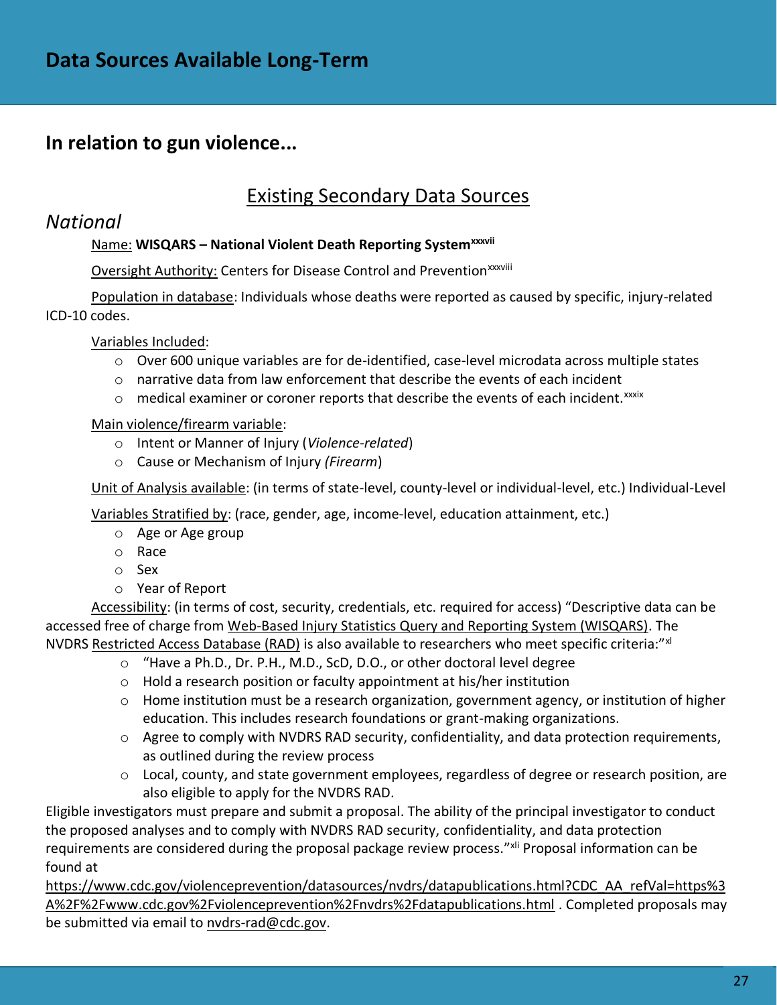## Existing Secondary Data Sources

### *National*

### Name: **WISQARS – National Violent Death Reporting Systemxxxvii**

Oversight Authority: Centers for Disease Control and Prevention<sup>xxxviii</sup>

Population in database: Individuals whose deaths were reported as caused by specific, injury-related ICD-10 codes.

Variables Included:

- $\circ$  Over 600 unique variables are for de-identified, case-level microdata across multiple states
- $\circ$  narrative data from law enforcement that describe the events of each incident
- $\circ$  medical examiner or coroner reports that describe the events of each incident. $x$ xxix

### Main violence/firearm variable:

- o Intent or Manner of Injury (*Violence-related*)
- o Cause or Mechanism of Injury *(Firearm*)

Unit of Analysis available: (in terms of state-level, county-level or individual-level, etc.) Individual-Level

Variables Stratified by: (race, gender, age, income-level, education attainment, etc.)

- o Age or Age group
- o Race
- o Sex
- o Year of Report

Accessibility: (in terms of cost, security, credentials, etc. required for access) "Descriptive data can be accessed free of charge from [Web-Based Injury Statistics Query and Reporting System \(WISQARS\).](https://wisqars.cdc.gov:8443/nvdrs/nvdrsDisplay.jsp) The NVDRS [Restricted Access Database \(RAD\)](https://www.cdc.gov/violenceprevention/nvdrs/publications.html) is also available to researchers who meet specific criteria:"xd

- o "Have a Ph.D., Dr. P.H., M.D., ScD, D.O., or other doctoral level degree
	- o Hold a research position or faculty appointment at his/her institution
	- $\circ$  Home institution must be a research organization, government agency, or institution of higher education. This includes research foundations or grant-making organizations.
	- $\circ$  Agree to comply with NVDRS RAD security, confidentiality, and data protection requirements, as outlined during the review process
	- o Local, county, and state government employees, regardless of degree or research position, are also eligible to apply for the NVDRS RAD.

Eligible investigators must prepare and submit a proposal. The ability of the principal investigator to conduct the proposed analyses and to comply with NVDRS RAD security, confidentiality, and data protection requirements are considered during the proposal package review process."<sup>xli</sup> Proposal information can be found at

[https://www.cdc.gov/violenceprevention/datasources/nvdrs/datapublications.html?CDC\\_AA\\_refVal=https%3](https://www.cdc.gov/violenceprevention/datasources/nvdrs/datapublications.html?CDC_AA_refVal=https%3A%2F%2Fwww.cdc.gov%2Fviolenceprevention%2Fnvdrs%2Fdatapublications.html) [A%2F%2Fwww.cdc.gov%2Fviolenceprevention%2Fnvdrs%2Fdatapublications.html](https://www.cdc.gov/violenceprevention/datasources/nvdrs/datapublications.html?CDC_AA_refVal=https%3A%2F%2Fwww.cdc.gov%2Fviolenceprevention%2Fnvdrs%2Fdatapublications.html) . Completed proposals may be submitted via email to [nvdrs-rad@cdc.gov.](mailto:nvdrs-rad@cdc.gov)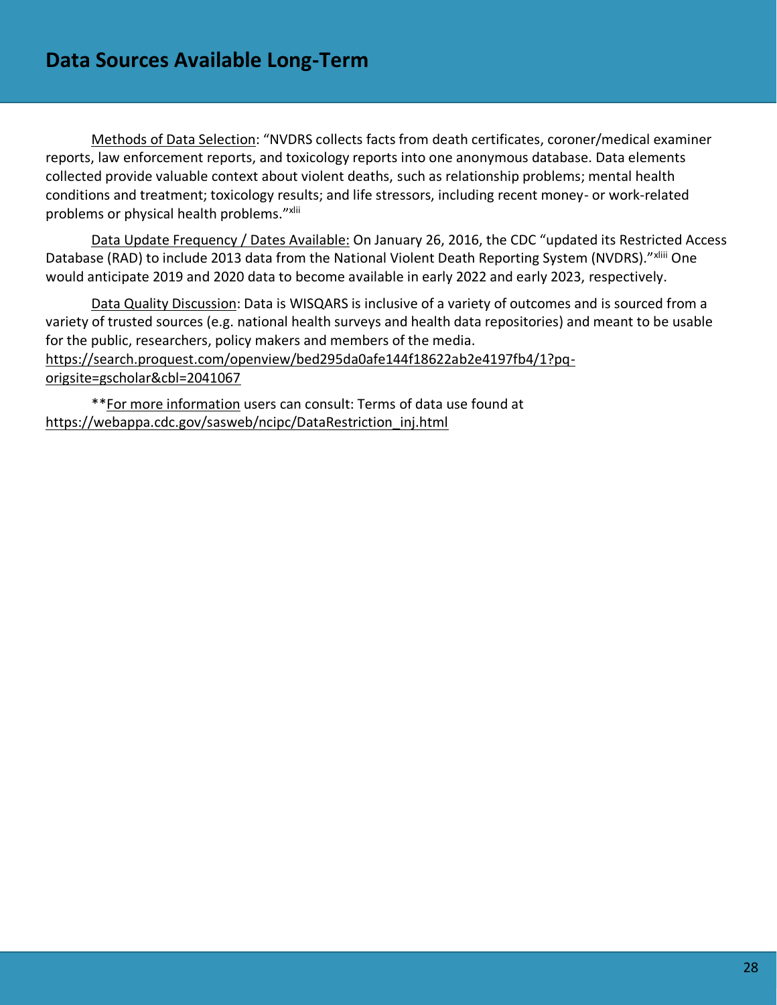Methods of Data Selection: "NVDRS collects facts from death certificates, coroner/medical examiner reports, law enforcement reports, and toxicology reports into one anonymous database. Data elements collected provide valuable context about violent deaths, such as relationship problems; mental health conditions and treatment; toxicology results; and life stressors, including recent money- or work-related problems or physical health problems."xlii

Data Update Frequency / Dates Available: On January 26, 2016, the CDC "updated its Restricted Access Database (RAD) to include 2013 data from the National Violent Death Reporting System (NVDRS)." xliii One would anticipate 2019 and 2020 data to become available in early 2022 and early 2023, respectively.

Data Quality Discussion: Data is WISQARS is inclusive of a variety of outcomes and is sourced from a variety of trusted sources (e.g. national health surveys and health data repositories) and meant to be usable for the public, researchers, policy makers and members of the media. [https://search.proquest.com/openview/bed295da0afe144f18622ab2e4197fb4/1?pq](https://search.proquest.com/openview/bed295da0afe144f18622ab2e4197fb4/1?pq-origsite=gscholar&cbl=2041067)[origsite=gscholar&cbl=2041067](https://search.proquest.com/openview/bed295da0afe144f18622ab2e4197fb4/1?pq-origsite=gscholar&cbl=2041067)

\*\*For more information users can consult: Terms of data use found at [https://webappa.cdc.gov/sasweb/ncipc/DataRestriction\\_inj.html](https://webappa.cdc.gov/sasweb/ncipc/DataRestriction_inj.html)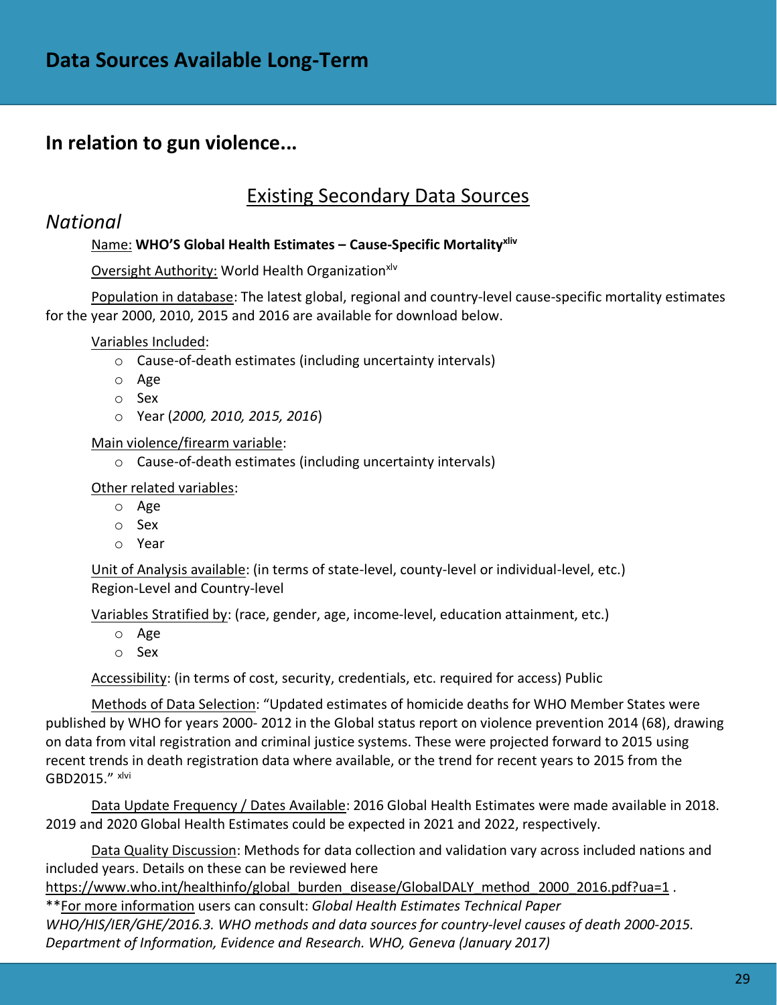### Existing Secondary Data Sources

### *National*

### Name: **WHO'S Global Health Estimates – Cause-Specific Mortalityxliv**

### Oversight Authority: World Health Organizationxlv

Population in database: The latest global, regional and country-level cause-specific mortality estimates for the year 2000, 2010, 2015 and 2016 are available for download below.

Variables Included:

- o Cause-of-death estimates (including uncertainty intervals)
- o Age
- o Sex
- o Year (*2000, 2010, 2015, 2016*)

Main violence/firearm variable:

o Cause-of-death estimates (including uncertainty intervals)

Other related variables:

- o Age
- o Sex
- o Year

Unit of Analysis available: (in terms of state-level, county-level or individual-level, etc.) Region-Level and Country-level

Variables Stratified by: (race, gender, age, income-level, education attainment, etc.)

- o Age
- o Sex

Accessibility: (in terms of cost, security, credentials, etc. required for access) Public

Methods of Data Selection: "Updated estimates of homicide deaths for WHO Member States were published by WHO for years 2000‐ 2012 in the Global status report on violence prevention 2014 (68), drawing on data from vital registration and criminal justice systems. These were projected forward to 2015 using recent trends in death registration data where available, or the trend for recent years to 2015 from the GBD2015." xlvi

Data Update Frequency / Dates Available: 2016 Global Health Estimates were made available in 2018. 2019 and 2020 Global Health Estimates could be expected in 2021 and 2022, respectively.

Data Quality Discussion: Methods for data collection and validation vary across included nations and included years. Details on these can be reviewed here

[https://www.who.int/healthinfo/global\\_burden\\_disease/GlobalDALY\\_method\\_2000\\_2016.pdf?ua=1](https://www.who.int/healthinfo/global_burden_disease/GlobalDALY_method_2000_2016.pdf?ua=1) .

\*\*For more information users can consult: *Global Health Estimates Technical Paper WHO/HIS/IER/GHE/2016.3. WHO methods and data sources for country‐level causes of death 2000‐2015. Department of Information, Evidence and Research. WHO, Geneva (January 2017)*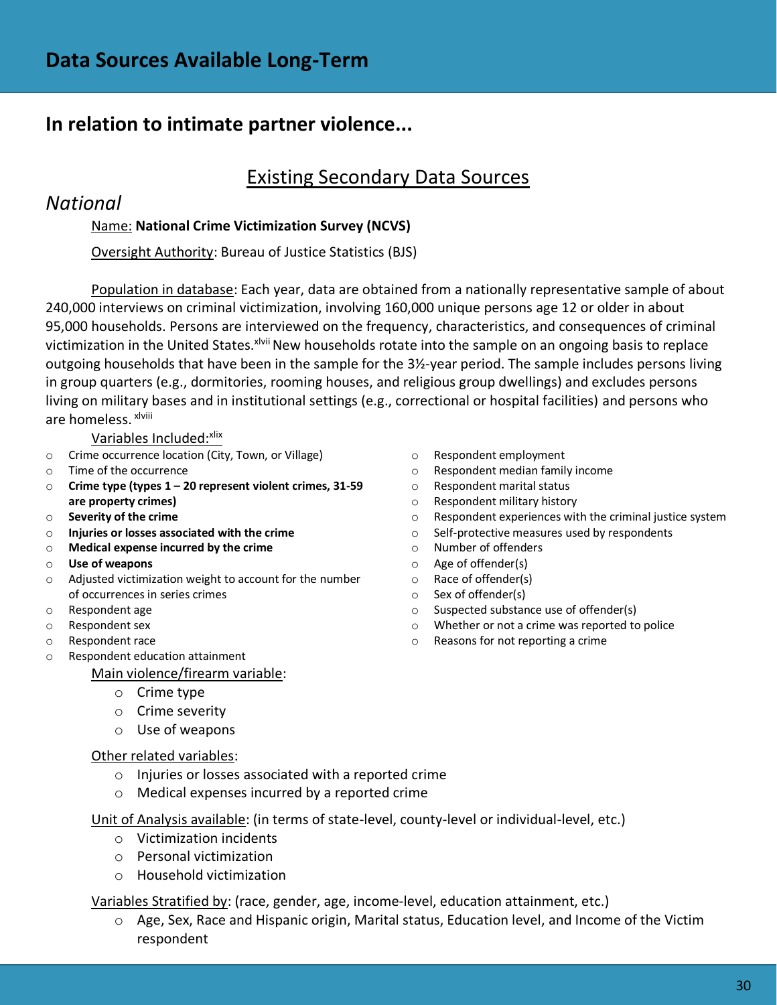# **In relation to intimate partner violence...**

# Existing Secondary Data Sources

### *National*

### Name: **National Crime Victimization Survey (NCVS)**

Oversight Authority: Bureau of Justice Statistics (BJS)

Population in database: Each year, data are obtained from a nationally representative sample of about 240,000 interviews on criminal victimization, involving 160,000 unique persons age 12 or older in about 95,000 households. Persons are interviewed on the frequency, characteristics, and consequences of criminal victimization in the United States.<sup>xlvii</sup> New households rotate into the sample on an ongoing basis to replace outgoing households that have been in the sample for the 3½-year period. The sample includes persons living in group quarters (e.g., dormitories, rooming houses, and religious group dwellings) and excludes persons living on military bases and in institutional settings (e.g., correctional or hospital facilities) and persons who are homeless. xlviii

Variables Included: Xlix

- o Crime occurrence location (City, Town, or Village)
- o Time of the occurrence
- o **Crime type (types 1 – 20 represent violent crimes, 31-59 are property crimes)**
- o **Severity of the crime**
- o **Injuries or losses associated with the crime**
- o **Medical expense incurred by the crime**
- o **Use of weapons**
- o Adjusted victimization weight to account for the number of occurrences in series crimes
- o Respondent age
- o Respondent sex
- o Respondent race
- o Respondent education attainment

Main violence/firearm variable:

- o Crime type
- o Crime severity
- o Use of weapons

#### Other related variables:

- o Injuries or losses associated with a reported crime
- o Medical expenses incurred by a reported crime

Unit of Analysis available: (in terms of state-level, county-level or individual-level, etc.)

- o Victimization incidents
- o Personal victimization
- o Household victimization

Variables Stratified by: (race, gender, age, income-level, education attainment, etc.)

o Age, Sex, Race and Hispanic origin, Marital status, Education level, and Income of the Victim respondent

- o Respondent employment
- o Respondent median family income
- o Respondent marital status
- o Respondent military history
- o Respondent experiences with the criminal justice system
- o Self-protective measures used by respondents
- o Number of offenders
- o Age of offender(s)
- o Race of offender(s)
- o Sex of offender(s)
- o Suspected substance use of offender(s)
- o Whether or not a crime was reported to police
- o Reasons for not reporting a crime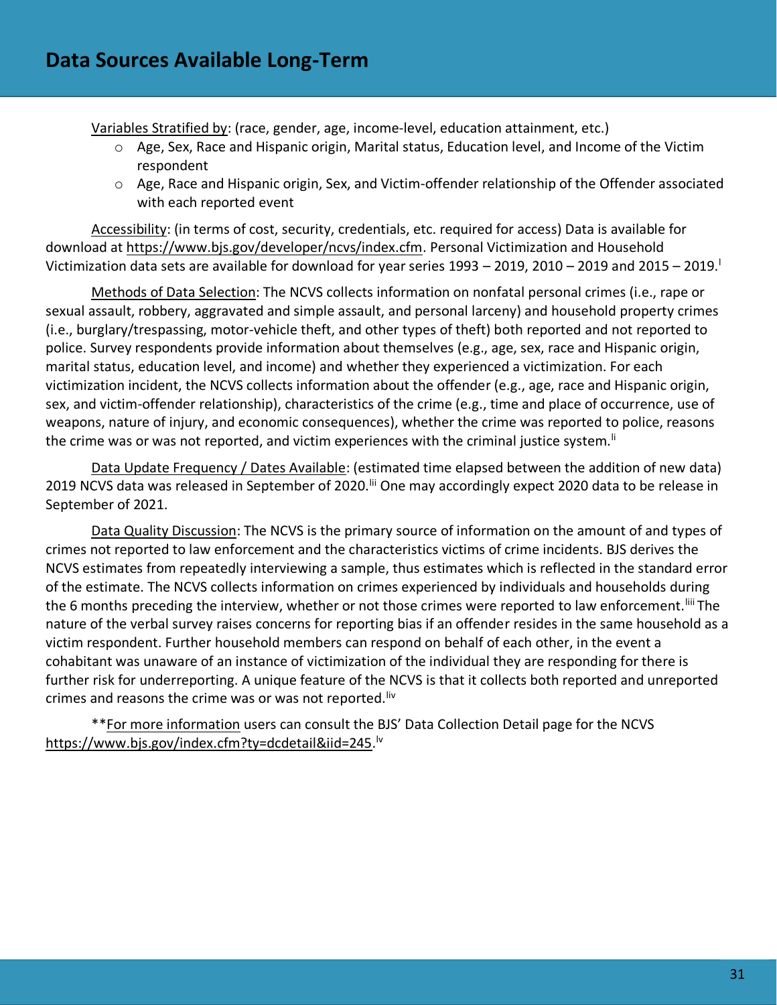Variables Stratified by: (race, gender, age, income-level, education attainment, etc.)

- o Age, Sex, Race and Hispanic origin, Marital status, Education level, and Income of the Victim respondent
- o Age, Race and Hispanic origin, Sex, and Victim-offender relationship of the Offender associated with each reported event

Accessibility: (in terms of cost, security, credentials, etc. required for access) Data is available for download at [https://www.bjs.gov/developer/ncvs/index.cfm.](https://www.bjs.gov/developer/ncvs/index.cfm) Personal Victimization and Household Victimization data sets are available for download for year series  $1993 - 2019$ , 2010 – 2019 and 2015 – 2019.

Methods of Data Selection: The NCVS collects information on nonfatal personal crimes (i.e., rape or sexual assault, robbery, aggravated and simple assault, and personal larceny) and household property crimes (i.e., burglary/trespassing, motor-vehicle theft, and other types of theft) both reported and not reported to police. Survey respondents provide information about themselves (e.g., age, sex, race and Hispanic origin, marital status, education level, and income) and whether they experienced a victimization. For each victimization incident, the NCVS collects information about the offender (e.g., age, race and Hispanic origin, sex, and victim-offender relationship), characteristics of the crime (e.g., time and place of occurrence, use of weapons, nature of injury, and economic consequences), whether the crime was reported to police, reasons the crime was or was not reported, and victim experiences with the criminal justice system.<sup>Ii</sup>

Data Update Frequency / Dates Available: (estimated time elapsed between the addition of new data) 2019 NCVS data was released in September of 2020.<sup>Iii</sup> One may accordingly expect 2020 data to be release in September of 2021.

Data Quality Discussion: The NCVS is the primary source of information on the amount of and types of crimes not reported to law enforcement and the characteristics victims of crime incidents. BJS derives the NCVS estimates from repeatedly interviewing a sample, thus estimates which is reflected in the standard error of the estimate. The NCVS collects information on crimes experienced by individuals and households during the 6 months preceding the interview, whether or not those crimes were reported to law enforcement.<sup>liii</sup> The nature of the verbal survey raises concerns for reporting bias if an offender resides in the same household as a victim respondent. Further household members can respond on behalf of each other, in the event a cohabitant was unaware of an instance of victimization of the individual they are responding for there is further risk for underreporting. A unique feature of the NCVS is that it collects both reported and unreported crimes and reasons the crime was or was not reported. Iiv

\*\*For more information users can consult the BJS' Data Collection Detail page for the NCVS [https://www.bjs.gov/index.cfm?ty=dcdetail&iid=245.](https://www.bjs.gov/index.cfm?ty=dcdetail&iid=245) lv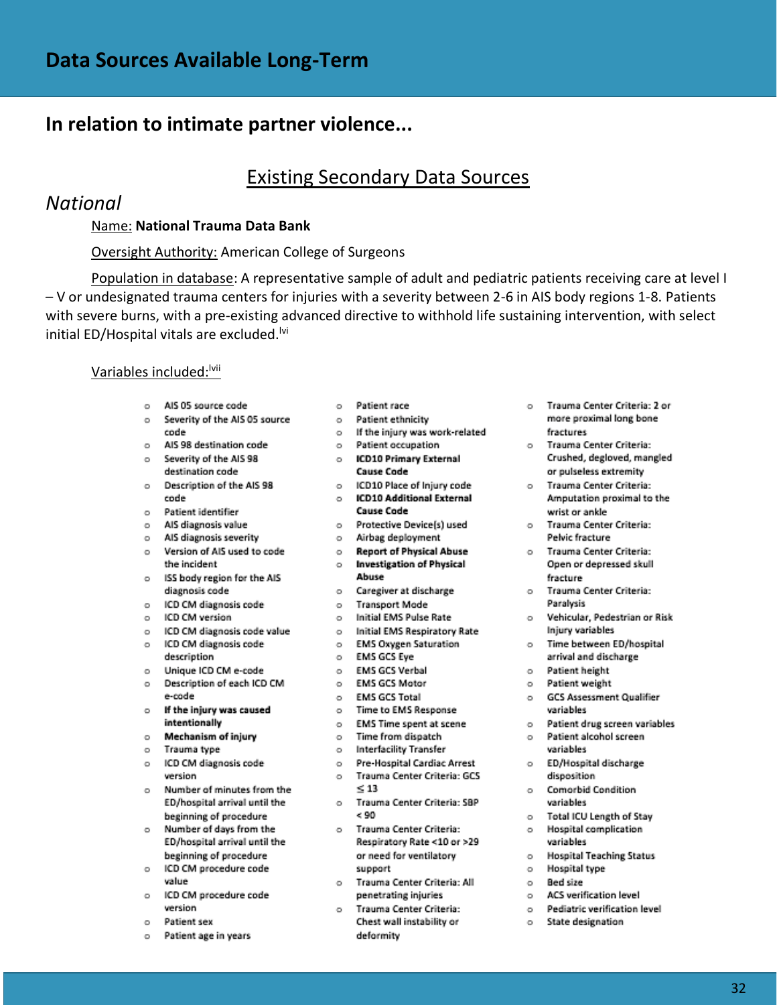## **In relation to intimate partner violence...**

# Existing Secondary Data Sources

### *National*

#### Name: **National Trauma Data Bank**

#### Oversight Authority: American College of Surgeons

Population in database: A representative sample of adult and pediatric patients receiving care at level I – V or undesignated trauma centers for injuries with a severity between 2-6 in AIS body regions 1-8. Patients with severe burns, with a pre-existing advanced directive to withhold life sustaining intervention, with select initial ED/Hospital vitals are excluded.<sup>Ivi</sup>

#### Variables included: Vvii

- o AIS 05 source code
- o Severity of the AIS 05 source code
- o AIS 98 destination code
- o Severity of the AIS 98 destination code
- o Description of the AIS 98 code
- $\circ$ Patient identifier
- AIS diagnosis value  $\circ$
- o AIS diagnosis severity
- o Version of AIS used to code the incident
- o ISS body region for the AIS diagnosis code
- ICD CM diagnosis code  $\circ$
- o ICD CM version
- o ICD CM diagnosis code value
- ICD CM diagnosis code  $\circ$
- description
- Unique ICD CM e-code  $\circ$
- Description of each ICD CM  $\circ$ e-code
- If the injury was caused  $\circ$ intentionally
- Mechanism of injury  $\circ$
- $\circ$ Trauma type
- ICD CM diagnosis code  $\circ$ version
- Number of minutes from the  $\circ$ ED/hospital arrival until the beginning of procedure
- Number of days from the  $\circ$ ED/hospital arrival until the beginning of procedure
- $\circ$ ICD CM procedure code value
- $\circ$ ICD CM procedure code version
- $\circ$ Patient sex
- $\circ$ Patient age in years
- o Patient race
- o Patient ethnicity
- o If the injury was work-related
- o Patient occupation
- o ICD10 Primary External **Cause Code**
- o ICD10 Place of Injury code o ICD10 Additional External
	- **Cause Code**
- o Protective Device(s) used
- o Airbag deployment
- o Report of Physical Abuse o Investigation of Physical Abuse
- o Caregiver at discharge
- o Transport Mode
- o Initial EMS Pulse Rate
- o Initial EMS Respiratory Rate
- o EMS Oxygen Saturation
- o EMS GCS Eye
- o EMS GCS Verbal
- o EMS GCS Motor
- o EMS GCS Total
- o Time to EMS Response
- o EMS Time spent at scene
- o Time from dispatch
- o Interfacility Transfer
- o Pre-Hospital Cardiac Arrest o Trauma Center Criteria: GCS  $\leq 13$
- o Trauma Center Criteria: SBP  $< 90$
- o Trauma Center Criteria: Respiratory Rate <10 or >29 or need for ventilatory support
- o Trauma Center Criteria: All penetrating injuries
- o Trauma Center Criteria: Chest wall instability or deformity
- o Trauma Center Criteria: 2 or more proximal long bone fractures
- o Trauma Center Criteria: Crushed, degloved, mangled or pulseless extremity
- o Trauma Center Criteria: Amputation proximal to the wrist or ankle
- o Trauma Center Criteria: Pelvic fracture
- o Trauma Center Criteria: Open or depressed skull fracture
- o Trauma Center Criteria: Paralysis
- o Vehicular, Pedestrian or Risk Injury variables
- o Time between ED/hospital arrival and discharge
- o Patient height
- o Patient weight
- o GCS Assessment Qualifier variables
- o Patient drug screen variables
- o Patient alcohol screen variables
- o ED/Hospital discharge disposition
- o Comorbid Condition variables
- o Total ICU Length of Stay
- o Hospital complication variables
- o Hospital Teaching Status
- o Hospital type
- o Bed size
- o ACS verification level
- o Pediatric verification level
- o State designation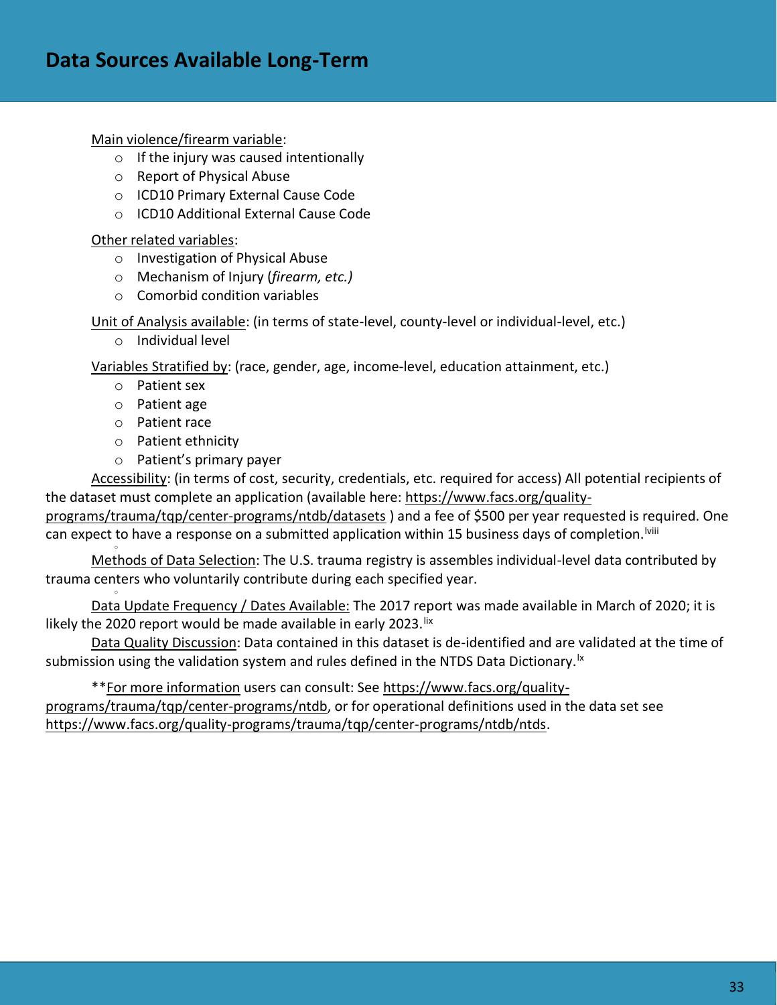Main violence/firearm variable:

- o If the injury was caused intentionally
- o Report of Physical Abuse
- o ICD10 Primary External Cause Code
- o ICD10 Additional External Cause Code

Other related variables:

- o Investigation of Physical Abuse
- o Mechanism of Injury (*firearm, etc.)*
- o Comorbid condition variables

Unit of Analysis available: (in terms of state-level, county-level or individual-level, etc.)

o Individual level

Variables Stratified by: (race, gender, age, income-level, education attainment, etc.)

- o Patient sex
- o Patient age
- o Patient race

o

o

- o Patient ethnicity
- o Patient's primary payer

Accessibility: (in terms of cost, security, credentials, etc. required for access) All potential recipients of the dataset must complete an application (available here: [https://www.facs.org/quality-](https://www.facs.org/quality-programs/trauma/tqp/center-programs/ntdb/datasets)

[programs/trauma/tqp/center-programs/ntdb/datasets](https://www.facs.org/quality-programs/trauma/tqp/center-programs/ntdb/datasets) ) and a fee of \$500 per year requested is required. One can expect to have a response on a submitted application within 15 business days of completion. Vili

Methods of Data Selection: The U.S. trauma registry is assembles individual-level data contributed by trauma centers who voluntarily contribute during each specified year.

Data Update Frequency / Dates Available: The 2017 report was made available in March of 2020; it is likely the 2020 report would be made available in early 2023. lix

Data Quality Discussion: Data contained in this dataset is de-identified and are validated at the time of submission using the validation system and rules defined in the NTDS Data Dictionary.<sup>1x</sup>

\*\*For more information users can consult: See [https://www.facs.org/quality](https://www.facs.org/quality-programs/trauma/tqp/center-programs/ntdb)[programs/trauma/tqp/center-programs/ntdb,](https://www.facs.org/quality-programs/trauma/tqp/center-programs/ntdb) or for operational definitions used in the data set see [https://www.facs.org/quality-programs/trauma/tqp/center-programs/ntdb/ntds.](https://www.facs.org/quality-programs/trauma/tqp/center-programs/ntdb/ntds)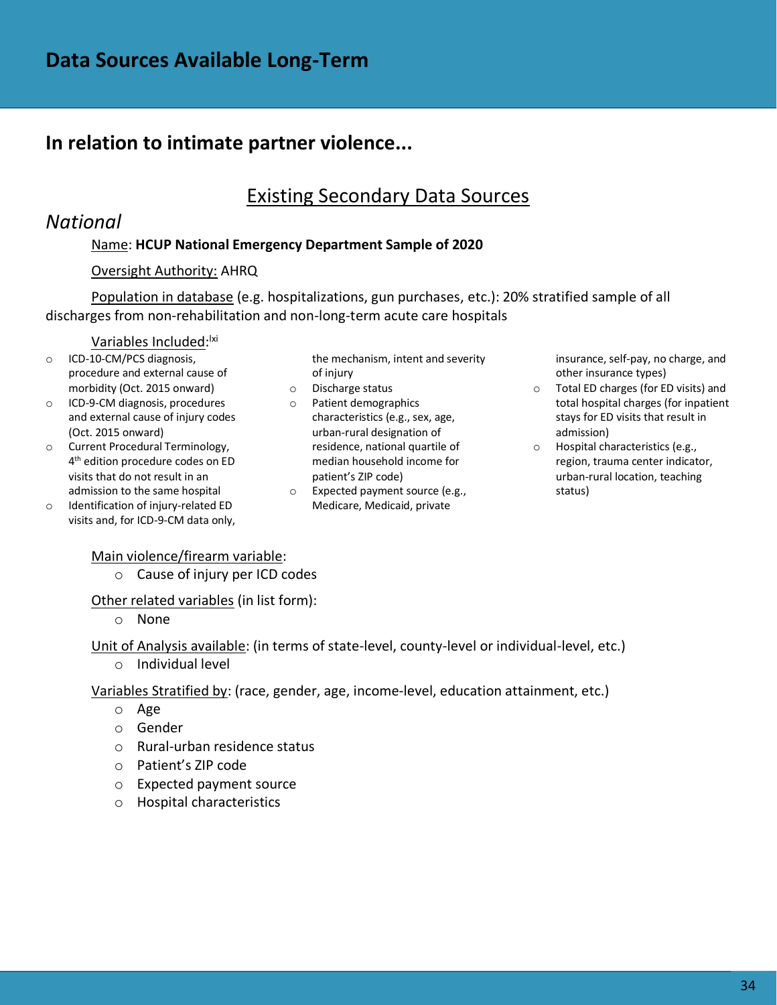# **In relation to intimate partner violence...**

## Existing Secondary Data Sources

### *National*

### Name: **HCUP National Emergency Department Sample of 2020**

### Oversight Authority: AHRQ

Population in database (e.g. hospitalizations, gun purchases, etc.): 20% stratified sample of all discharges from non-rehabilitation and non-long-term acute care hospitals

### <u>Variables Included</u>:<sup>!xi</sup>

- o ICD-10-CM/PCS diagnosis, procedure and external cause of morbidity (Oct. 2015 onward)
- o ICD-9-CM diagnosis, procedures and external cause of injury codes (Oct. 2015 onward)
- o Current Procedural Terminology, 4 th edition procedure codes on ED visits that do not result in an admission to the same hospital
- o Identification of injury-related ED visits and, for ICD-9-CM data only,

the mechanism, intent and severity of injury

- o Discharge status
- o Patient demographics characteristics (e.g., sex, age, urban-rural designation of residence, national quartile of median household income for patient's ZIP code)
- o Expected payment source (e.g., Medicare, Medicaid, private

insurance, self-pay, no charge, and other insurance types)

- o Total ED charges (for ED visits) and total hospital charges (for inpatient stays for ED visits that result in admission)
- o Hospital characteristics (e.g., region, trauma center indicator, urban-rural location, teaching status)

#### Main violence/firearm variable:

o Cause of injury per ICD codes

Other related variables (in list form):

o None

Unit of Analysis available: (in terms of state-level, county-level or individual-level, etc.)

o Individual level

Variables Stratified by: (race, gender, age, income-level, education attainment, etc.)

- o Age
- o Gender
- o Rural-urban residence status
- o Patient's ZIP code
- o Expected payment source
- o Hospital characteristics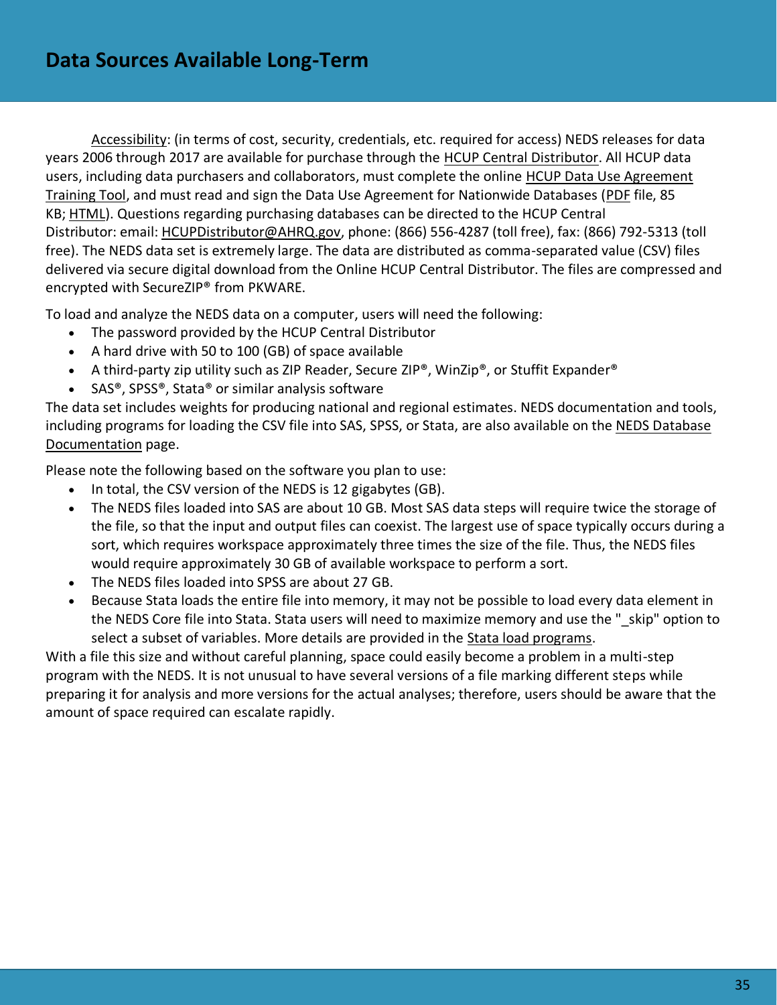Accessibility: (in terms of cost, security, credentials, etc. required for access) NEDS releases for data years 2006 through 2017 are available for purchase through the [HCUP Central Distributor.](https://www.hcup-us.ahrq.gov/tech_assist/centdist.jsp) All HCUP data users, including data purchasers and collaborators, must complete the online [HCUP Data Use Agreement](https://www.hcup-us.ahrq.gov/tech_assist/dua.jsp)  [Training Tool,](https://www.hcup-us.ahrq.gov/tech_assist/dua.jsp) and must read and sign the Data Use Agreement for Nationwide Databases [\(PDF](https://www.hcup-us.ahrq.gov/team/NationwideDUA.pdf) file, 85 KB; [HTML\)](https://www.hcup-us.ahrq.gov/team/NationwideDUA.jsp). Questions regarding purchasing databases can be directed to the HCUP Central Distributor: email: [HCUPDistributor@AHRQ.gov,](mailto:HCUPDistributor@AHRQ.gov) phone: (866) 556-4287 (toll free), fax: (866) 792-5313 (toll free). The NEDS data set is extremely large. The data are distributed as comma-separated value (CSV) files delivered via secure digital download from the Online HCUP Central Distributor. The files are compressed and encrypted with SecureZIP® from PKWARE.

To load and analyze the NEDS data on a computer, users will need the following:

- The password provided by the HCUP Central Distributor
- A hard drive with 50 to 100 (GB) of space available
- A third-party zip utility such as ZIP Reader, Secure ZIP®, WinZip®, or Stuffit Expander®
- SAS®, SPSS®, Stata® or similar analysis software

The data set includes weights for producing national and regional estimates. NEDS documentation and tools, including programs for loading the CSV file into SAS, SPSS, or Stata, are also available on the [NEDS Database](https://www.hcup-us.ahrq.gov/db/nation/neds/nedsdbdocumentation.jsp)  [Documentation](https://www.hcup-us.ahrq.gov/db/nation/neds/nedsdbdocumentation.jsp) page.

Please note the following based on the software you plan to use:

- In total, the CSV version of the NEDS is 12 gigabytes (GB).
- The NEDS files loaded into SAS are about 10 GB. Most SAS data steps will require twice the storage of the file, so that the input and output files can coexist. The largest use of space typically occurs during a sort, which requires workspace approximately three times the size of the file. Thus, the NEDS files would require approximately 30 GB of available workspace to perform a sort.
- The NEDS files loaded into SPSS are about 27 GB.
- Because Stata loads the entire file into memory, it may not be possible to load every data element in the NEDS Core file into Stata. Stata users will need to maximize memory and use the " skip" option to select a subset of variables. More details are provided in the [Stata load programs.](https://www.hcup-us.ahrq.gov/db/nation/neds/nedsstataloadprog.jsp)

With a file this size and without careful planning, space could easily become a problem in a multi-step program with the NEDS. It is not unusual to have several versions of a file marking different steps while preparing it for analysis and more versions for the actual analyses; therefore, users should be aware that the amount of space required can escalate rapidly.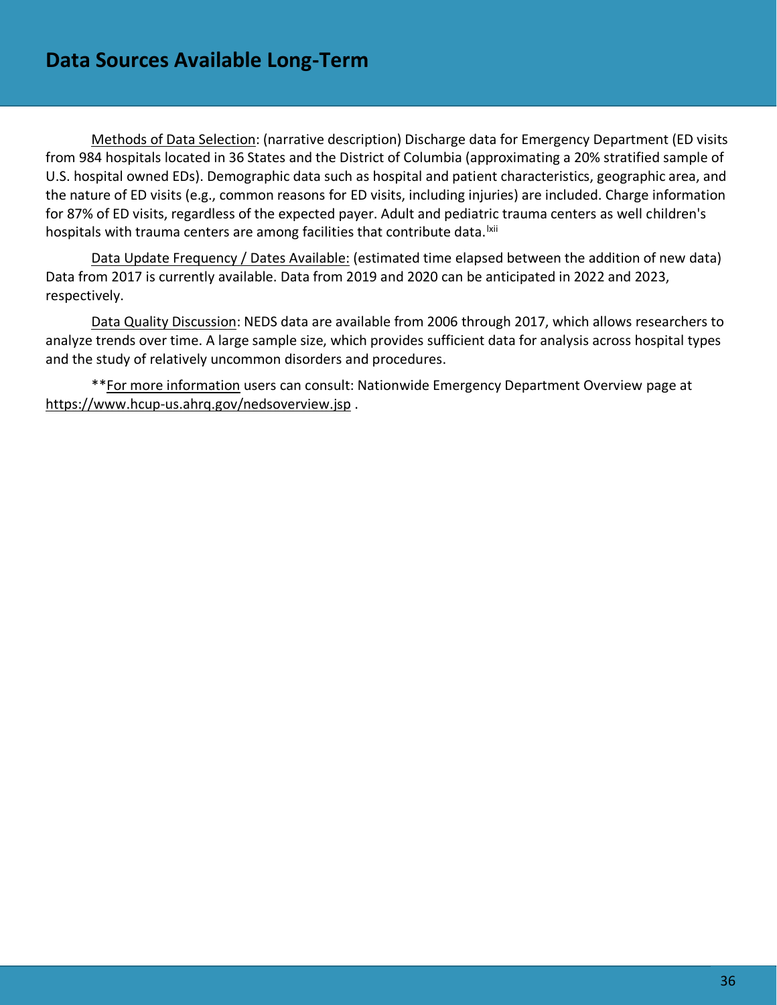Methods of Data Selection: (narrative description) Discharge data for Emergency Department (ED visits from 984 hospitals located in 36 States and the District of Columbia (approximating a 20% stratified sample of U.S. hospital owned EDs). Demographic data such as hospital and patient characteristics, geographic area, and the nature of ED visits (e.g., common reasons for ED visits, including injuries) are included. Charge information for 87% of ED visits, regardless of the expected payer. Adult and pediatric trauma centers as well children's hospitals with trauma centers are among facilities that contribute data. <sup>Ixii</sup>

Data Update Frequency / Dates Available: (estimated time elapsed between the addition of new data) Data from 2017 is currently available. Data from 2019 and 2020 can be anticipated in 2022 and 2023, respectively.

Data Quality Discussion: NEDS data are available from 2006 through 2017, which allows researchers to analyze trends over time. A large sample size, which provides sufficient data for analysis across hospital types and the study of relatively uncommon disorders and procedures.

\*\*For more information users can consult: Nationwide Emergency Department Overview page at <https://www.hcup-us.ahrq.gov/nedsoverview.jsp> .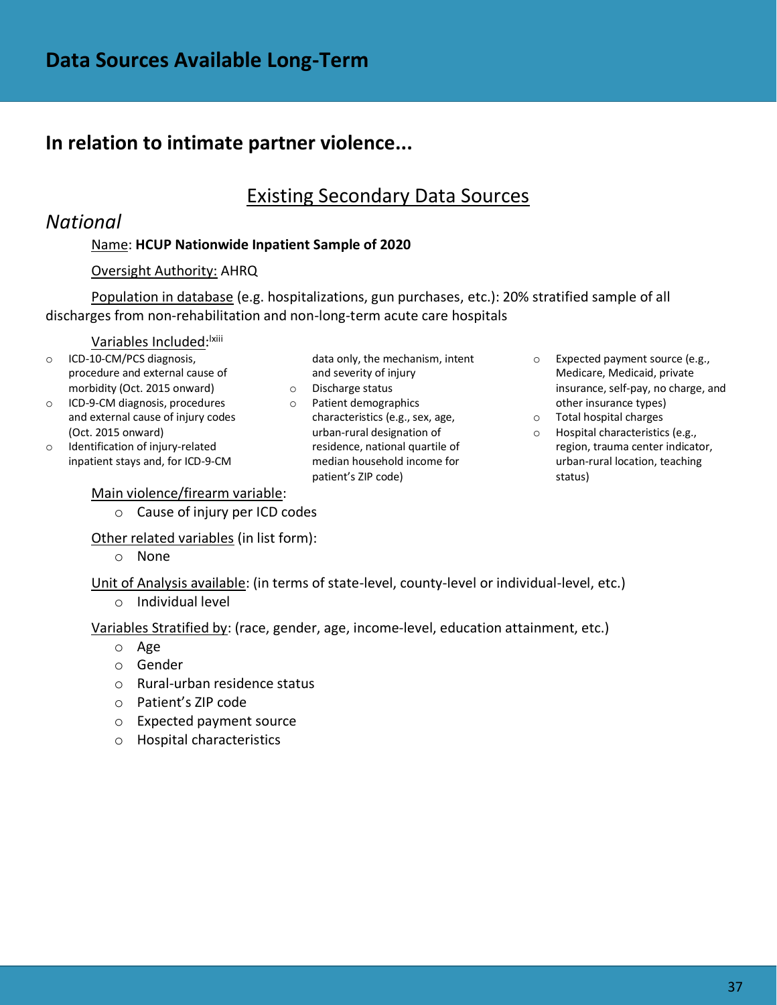# **In relation to intimate partner violence...**

### Existing Secondary Data Sources

### *National*

### Name: **HCUP Nationwide Inpatient Sample of 2020**

#### Oversight Authority: AHRQ

Population in database (e.g. hospitalizations, gun purchases, etc.): 20% stratified sample of all discharges from non-rehabilitation and non-long-term acute care hospitals

#### <u>Variables Included</u>:<sup>Ixiii</sup>

- o ICD-10-CM/PCS diagnosis, procedure and external cause of morbidity (Oct. 2015 onward)
- o ICD-9-CM diagnosis, procedures and external cause of injury codes (Oct. 2015 onward)
- o Identification of injury-related inpatient stays and, for ICD-9-CM

#### Main violence/firearm variable:

o Cause of injury per ICD codes

Other related variables (in list form):

o None

Unit of Analysis available: (in terms of state-level, county-level or individual-level, etc.)

o Individual level

Variables Stratified by: (race, gender, age, income-level, education attainment, etc.)

- o Age
- o Gender
- o Rural-urban residence status
- o Patient's ZIP code
- o Expected payment source
- o Hospital characteristics

data only, the mechanism, intent and severity of injury

- o Discharge status
- o Patient demographics characteristics (e.g., sex, age, urban-rural designation of residence, national quartile of median household income for patient's ZIP code)
- o Expected payment source (e.g., Medicare, Medicaid, private insurance, self-pay, no charge, and other insurance types)
- o Total hospital charges
- o Hospital characteristics (e.g., region, trauma center indicator, urban-rural location, teaching status)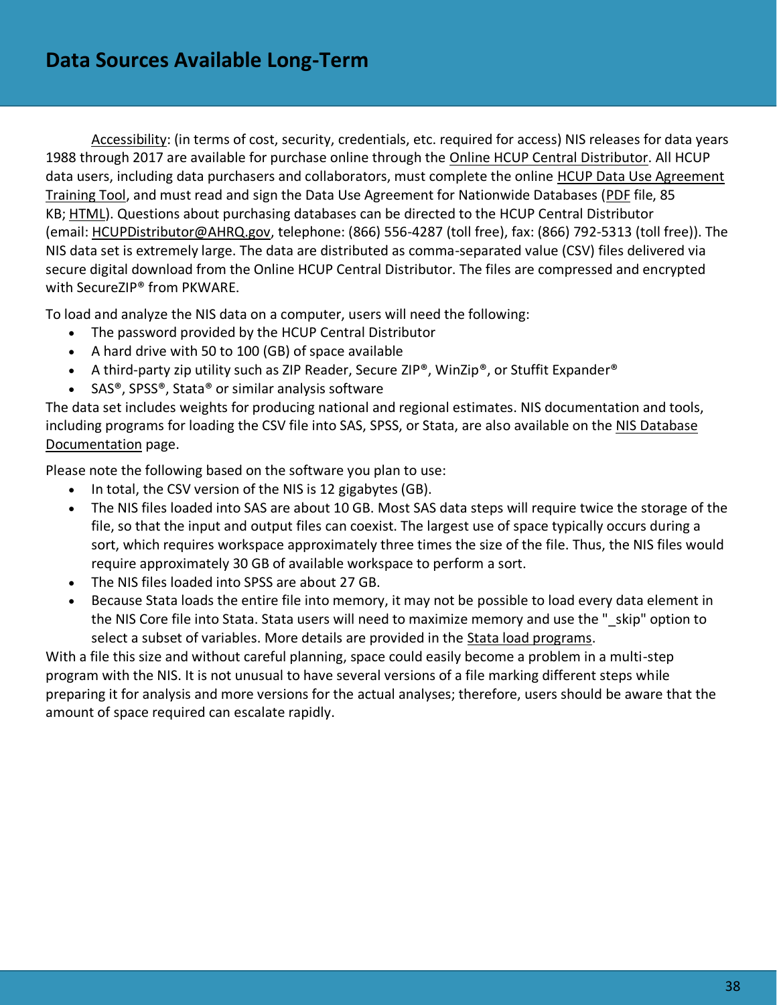Accessibility: (in terms of cost, security, credentials, etc. required for access) NIS releases for data years 1988 through 2017 are available for purchase online through the [Online HCUP Central Distributor.](https://www.hcup-us.ahrq.gov/tech_assist/centdist.jsp) All HCUP data users, including data purchasers and collaborators, must complete the online [HCUP Data Use Agreement](https://www.hcup-us.ahrq.gov/tech_assist/dua.jsp)  [Training Tool,](https://www.hcup-us.ahrq.gov/tech_assist/dua.jsp) and must read and sign the Data Use Agreement for Nationwide Databases [\(PDF](https://www.hcup-us.ahrq.gov/team/NationwideDUA.pdf) file, 85 KB; [HTML\)](https://www.hcup-us.ahrq.gov/team/NationwideDUA.jsp). Questions about purchasing databases can be directed to the HCUP Central Distributor (email: [HCUPDistributor@AHRQ.gov,](mailto:HCUPDistributor@AHRQ.gov) telephone: (866) 556-4287 (toll free), fax: (866) 792-5313 (toll free)). The NIS data set is extremely large. The data are distributed as comma-separated value (CSV) files delivered via secure digital download from the Online HCUP Central Distributor. The files are compressed and encrypted with SecureZIP® from PKWARE.

To load and analyze the NIS data on a computer, users will need the following:

- The password provided by the HCUP Central Distributor
- A hard drive with 50 to 100 (GB) of space available
- A third-party zip utility such as ZIP Reader, Secure ZIP®, WinZip®, or Stuffit Expander®
- SAS®, SPSS®, Stata® or similar analysis software

The data set includes weights for producing national and regional estimates. NIS documentation and tools, including programs for loading the CSV file into SAS, SPSS, or Stata, are also available on the [NIS Database](https://www.hcup-us.ahrq.gov/db/nation/nis/nisdbdocumentation.jsp)  [Documentation](https://www.hcup-us.ahrq.gov/db/nation/nis/nisdbdocumentation.jsp) page.

Please note the following based on the software you plan to use:

- In total, the CSV version of the NIS is 12 gigabytes (GB).
- The NIS files loaded into SAS are about 10 GB. Most SAS data steps will require twice the storage of the file, so that the input and output files can coexist. The largest use of space typically occurs during a sort, which requires workspace approximately three times the size of the file. Thus, the NIS files would require approximately 30 GB of available workspace to perform a sort.
- The NIS files loaded into SPSS are about 27 GB.
- Because Stata loads the entire file into memory, it may not be possible to load every data element in the NIS Core file into Stata. Stata users will need to maximize memory and use the " skip" option to select a subset of variables. More details are provided in the [Stata load programs.](https://www.hcup-us.ahrq.gov/db/nation/neds/nedsstataloadprog.jsp)

With a file this size and without careful planning, space could easily become a problem in a multi-step program with the NIS. It is not unusual to have several versions of a file marking different steps while preparing it for analysis and more versions for the actual analyses; therefore, users should be aware that the amount of space required can escalate rapidly.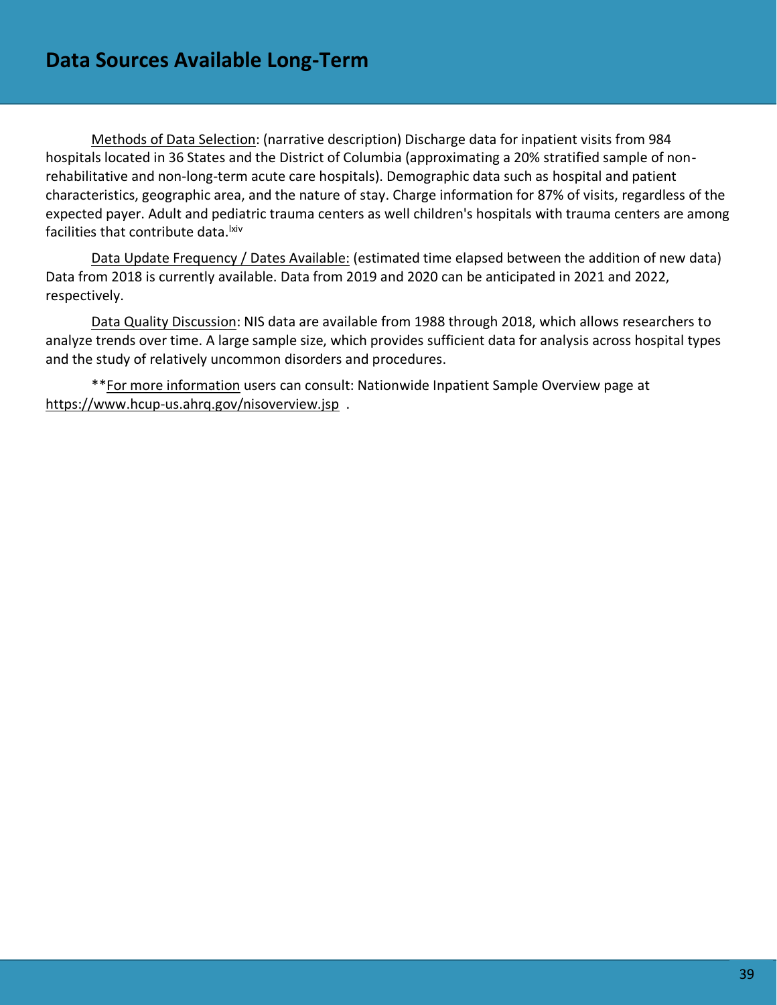Methods of Data Selection: (narrative description) Discharge data for inpatient visits from 984 hospitals located in 36 States and the District of Columbia (approximating a 20% stratified sample of nonrehabilitative and non-long-term acute care hospitals). Demographic data such as hospital and patient characteristics, geographic area, and the nature of stay. Charge information for 87% of visits, regardless of the expected payer. Adult and pediatric trauma centers as well children's hospitals with trauma centers are among facilities that contribute data. <sup>Ixiv</sup>

Data Update Frequency / Dates Available: (estimated time elapsed between the addition of new data) Data from 2018 is currently available. Data from 2019 and 2020 can be anticipated in 2021 and 2022, respectively.

Data Quality Discussion: NIS data are available from 1988 through 2018, which allows researchers to analyze trends over time. A large sample size, which provides sufficient data for analysis across hospital types and the study of relatively uncommon disorders and procedures.

\*\*For more information users can consult: Nationwide Inpatient Sample Overview page at <https://www.hcup-us.ahrq.gov/nisoverview.jsp>.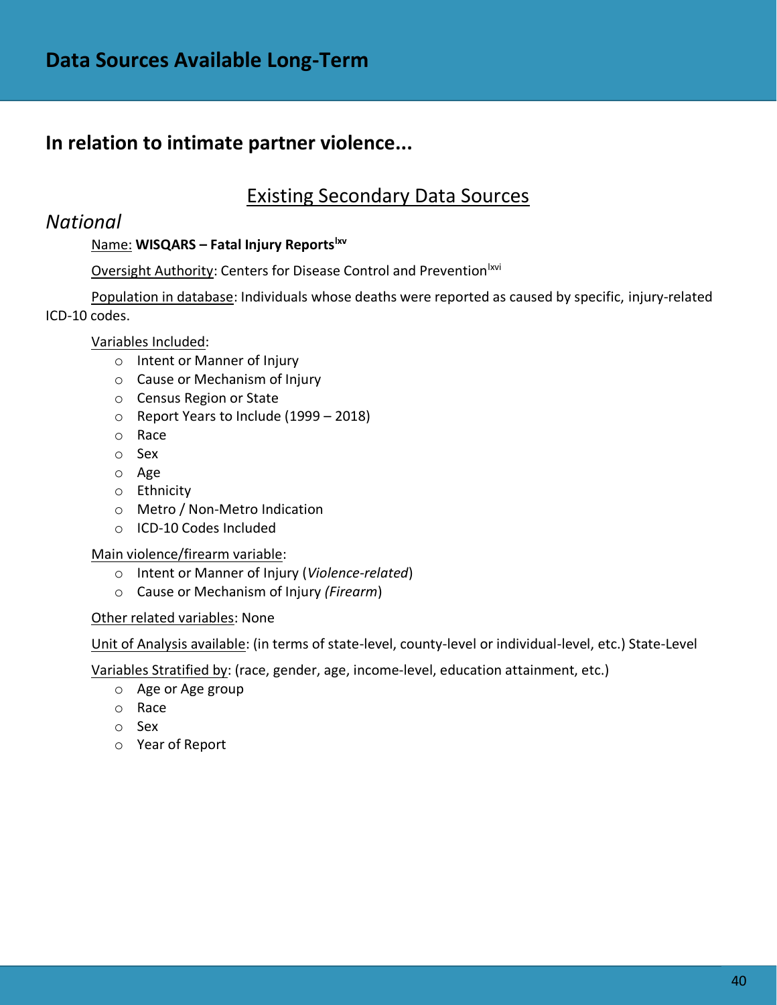# **In relation to intimate partner violence...**

### Existing Secondary Data Sources

### *National*

### Name: **WISQARS – Fatal Injury Reportslxv**

### Oversight Authority: Centers for Disease Control and Prevention<sup>lxvi</sup>

Population in database: Individuals whose deaths were reported as caused by specific, injury-related ICD-10 codes.

### Variables Included:

- o Intent or Manner of Injury
- o Cause or Mechanism of Injury
- o Census Region or State
- o Report Years to Include (1999 2018)
- o Race
- o Sex
- o Age
- o Ethnicity
- o Metro / Non-Metro Indication
- o ICD-10 Codes Included

#### Main violence/firearm variable:

- o Intent or Manner of Injury (*Violence-related*)
- o Cause or Mechanism of Injury *(Firearm*)

#### Other related variables: None

Unit of Analysis available: (in terms of state-level, county-level or individual-level, etc.) State-Level

Variables Stratified by: (race, gender, age, income-level, education attainment, etc.)

- o Age or Age group
- o Race
- o Sex
- o Year of Report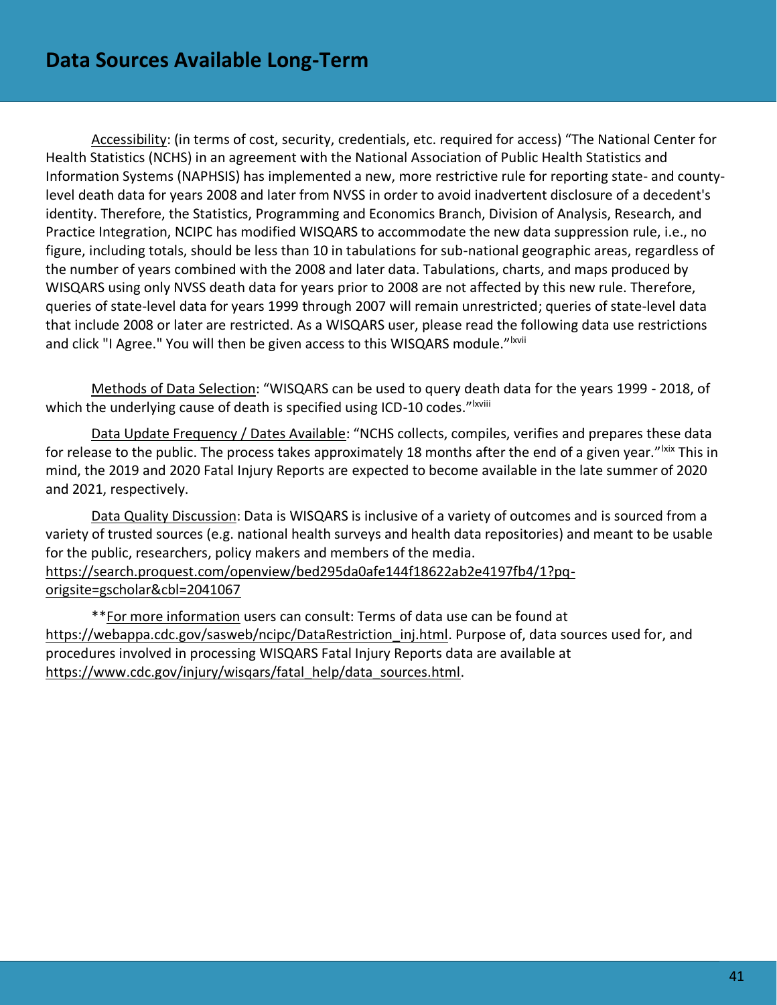Accessibility: (in terms of cost, security, credentials, etc. required for access) "The National Center for Health Statistics (NCHS) in an agreement with the National Association of Public Health Statistics and Information Systems (NAPHSIS) has implemented a new, more restrictive rule for reporting state- and countylevel death data for years 2008 and later from NVSS in order to avoid inadvertent disclosure of a decedent's identity. Therefore, the Statistics, Programming and Economics Branch, Division of Analysis, Research, and Practice Integration, NCIPC has modified WISQARS to accommodate the new data suppression rule, i.e., no figure, including totals, should be less than 10 in tabulations for sub-national geographic areas, regardless of the number of years combined with the 2008 and later data. Tabulations, charts, and maps produced by WISQARS using only NVSS death data for years prior to 2008 are not affected by this new rule. Therefore, queries of state-level data for years 1999 through 2007 will remain unrestricted; queries of state-level data that include 2008 or later are restricted. As a WISQARS user, please read the following data use restrictions and click "I Agree." You will then be given access to this WISQARS module."<sup>Ixvii</sup>

Methods of Data Selection: "WISQARS can be used to query death data for the years 1999 - 2018, of which the underlying cause of death is specified using ICD-10 codes."<sup>Ixviii</sup>

Data Update Frequency / Dates Available: "NCHS collects, compiles, verifies and prepares these data for release to the public. The process takes approximately 18 months after the end of a given year."<sup>Ixix</sup> This in mind, the 2019 and 2020 Fatal Injury Reports are expected to become available in the late summer of 2020 and 2021, respectively.

Data Quality Discussion: Data is WISQARS is inclusive of a variety of outcomes and is sourced from a variety of trusted sources (e.g. national health surveys and health data repositories) and meant to be usable for the public, researchers, policy makers and members of the media. [https://search.proquest.com/openview/bed295da0afe144f18622ab2e4197fb4/1?pq](https://search.proquest.com/openview/bed295da0afe144f18622ab2e4197fb4/1?pq-origsite=gscholar&cbl=2041067)[origsite=gscholar&cbl=2041067](https://search.proquest.com/openview/bed295da0afe144f18622ab2e4197fb4/1?pq-origsite=gscholar&cbl=2041067)

\*\*For more information users can consult: Terms of data use can be found at https://webappa.cdc.gov/sasweb/ncipc/DataRestriction inj.html. Purpose of, data sources used for, and procedures involved in processing WISQARS Fatal Injury Reports data are available at [https://www.cdc.gov/injury/wisqars/fatal\\_help/data\\_sources.html.](https://www.cdc.gov/injury/wisqars/fatal_help/data_sources.html)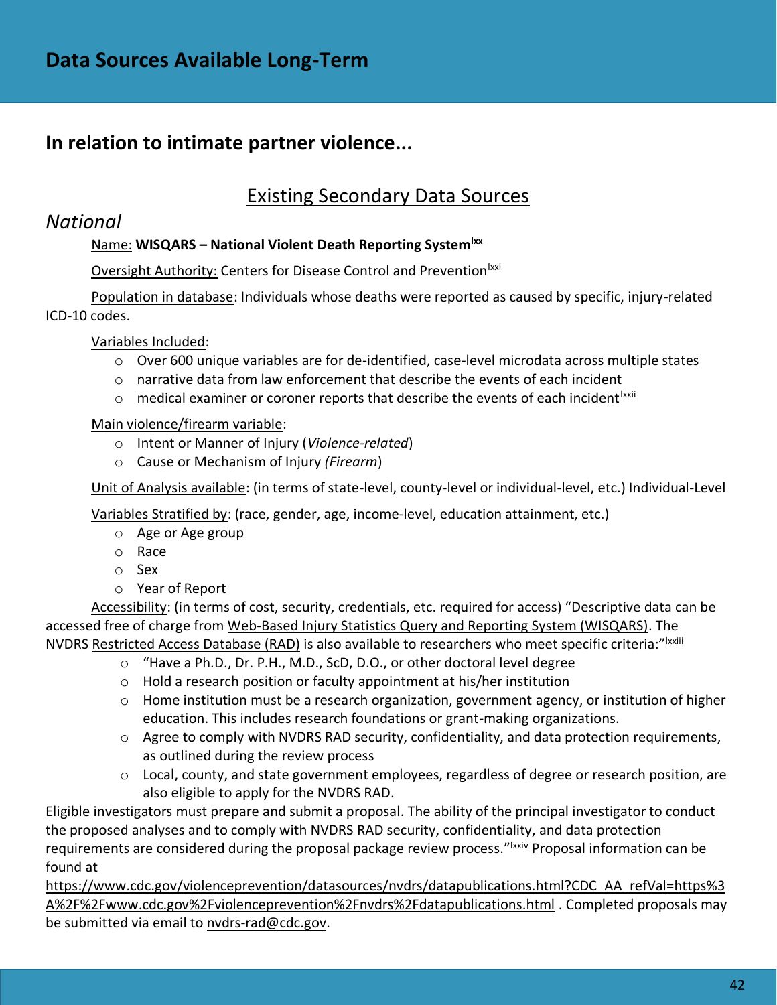# **In relation to intimate partner violence...**

# Existing Secondary Data Sources

### *National*

### Name: **WISQARS – National Violent Death Reporting Systemlxx**

Oversight Authority: Centers for Disease Control and Prevention<sup>lxxi</sup>

Population in database: Individuals whose deaths were reported as caused by specific, injury-related ICD-10 codes.

Variables Included:

- $\circ$  Over 600 unique variables are for de-identified, case-level microdata across multiple states
- $\circ$  narrative data from law enforcement that describe the events of each incident
- $\circ$  medical examiner or coroner reports that describe the events of each incident  ${}^{lxxii}$

### Main violence/firearm variable:

- o Intent or Manner of Injury (*Violence-related*)
- o Cause or Mechanism of Injury *(Firearm*)

Unit of Analysis available: (in terms of state-level, county-level or individual-level, etc.) Individual-Level

Variables Stratified by: (race, gender, age, income-level, education attainment, etc.)

- o Age or Age group
- o Race
- o Sex
- o Year of Report

Accessibility: (in terms of cost, security, credentials, etc. required for access) "Descriptive data can be accessed free of charge from [Web-Based Injury Statistics Query and Reporting System \(WISQARS\).](https://wisqars.cdc.gov:8443/nvdrs/nvdrsDisplay.jsp) The NVDRS [Restricted Access Database \(RAD\)](https://www.cdc.gov/violenceprevention/nvdrs/publications.html) is also available to researchers who meet specific criteria:"|xxiii

- o "Have a Ph.D., Dr. P.H., M.D., ScD, D.O., or other doctoral level degree
	- o Hold a research position or faculty appointment at his/her institution
	- $\circ$  Home institution must be a research organization, government agency, or institution of higher education. This includes research foundations or grant-making organizations.
	- $\circ$  Agree to comply with NVDRS RAD security, confidentiality, and data protection requirements, as outlined during the review process
	- o Local, county, and state government employees, regardless of degree or research position, are also eligible to apply for the NVDRS RAD.

Eligible investigators must prepare and submit a proposal. The ability of the principal investigator to conduct the proposed analyses and to comply with NVDRS RAD security, confidentiality, and data protection requirements are considered during the proposal package review process."<sup>Ixxiv</sup> Proposal information can be found at

[https://www.cdc.gov/violenceprevention/datasources/nvdrs/datapublications.html?CDC\\_AA\\_refVal=https%3](https://www.cdc.gov/violenceprevention/datasources/nvdrs/datapublications.html?CDC_AA_refVal=https%3A%2F%2Fwww.cdc.gov%2Fviolenceprevention%2Fnvdrs%2Fdatapublications.html) [A%2F%2Fwww.cdc.gov%2Fviolenceprevention%2Fnvdrs%2Fdatapublications.html](https://www.cdc.gov/violenceprevention/datasources/nvdrs/datapublications.html?CDC_AA_refVal=https%3A%2F%2Fwww.cdc.gov%2Fviolenceprevention%2Fnvdrs%2Fdatapublications.html) . Completed proposals may be submitted via email to [nvdrs-rad@cdc.gov.](mailto:nvdrs-rad@cdc.gov)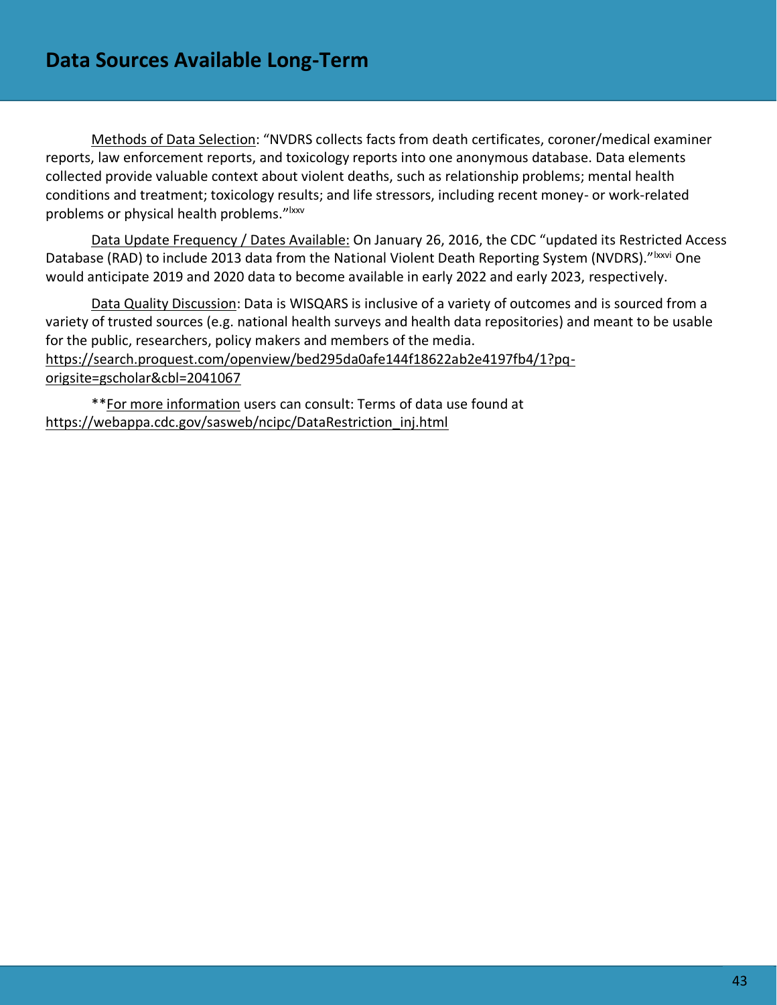Methods of Data Selection: "NVDRS collects facts from death certificates, coroner/medical examiner reports, law enforcement reports, and toxicology reports into one anonymous database. Data elements collected provide valuable context about violent deaths, such as relationship problems; mental health conditions and treatment; toxicology results; and life stressors, including recent money- or work-related problems or physical health problems."<sup>Ixxv</sup>

Data Update Frequency / Dates Available: On January 26, 2016, the CDC "updated its Restricted Access Database (RAD) to include 2013 data from the National Violent Death Reporting System (NVDRS)."<sup>Ixxvi</sup> One would anticipate 2019 and 2020 data to become available in early 2022 and early 2023, respectively.

Data Quality Discussion: Data is WISQARS is inclusive of a variety of outcomes and is sourced from a variety of trusted sources (e.g. national health surveys and health data repositories) and meant to be usable for the public, researchers, policy makers and members of the media. [https://search.proquest.com/openview/bed295da0afe144f18622ab2e4197fb4/1?pq](https://search.proquest.com/openview/bed295da0afe144f18622ab2e4197fb4/1?pq-origsite=gscholar&cbl=2041067)[origsite=gscholar&cbl=2041067](https://search.proquest.com/openview/bed295da0afe144f18622ab2e4197fb4/1?pq-origsite=gscholar&cbl=2041067)

\*\*For more information users can consult: Terms of data use found at [https://webappa.cdc.gov/sasweb/ncipc/DataRestriction\\_inj.html](https://webappa.cdc.gov/sasweb/ncipc/DataRestriction_inj.html)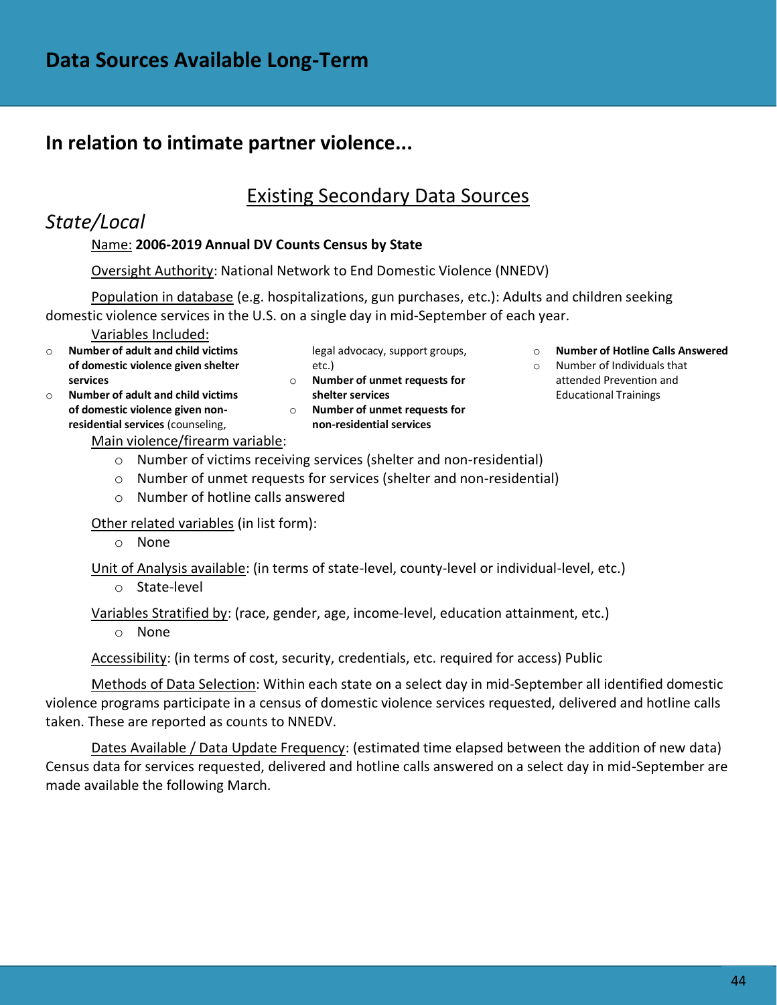# **In relation to intimate partner violence...**

# Existing Secondary Data Sources

# *State/Local*

### Name: **2006-2019 Annual DV Counts Census by State**

Oversight Authority: National Network to End Domestic Violence (NNEDV)

Population in database (e.g. hospitalizations, gun purchases, etc.): Adults and children seeking domestic violence services in the U.S. on a single day in mid-September of each year.

Variables Included:

- o **Number of adult and child victims of domestic violence given shelter services**
- o **Number of adult and child victims of domestic violence given nonresidential services** (counseling,
- legal advocacy, support groups, etc.) o **Number of unmet requests for**
- **shelter services**  o **Number of unmet requests for non-residential services**
- o **Number of Hotline Calls Answered**  o Number of Individuals that
- attended Prevention and Educational Trainings

Main violence/firearm variable:

- o Number of victims receiving services (shelter and non-residential)
- o Number of unmet requests for services (shelter and non-residential)
- o Number of hotline calls answered

Other related variables (in list form):

o None

Unit of Analysis available: (in terms of state-level, county-level or individual-level, etc.)

o State-level

Variables Stratified by: (race, gender, age, income-level, education attainment, etc.)

o None

Accessibility: (in terms of cost, security, credentials, etc. required for access) Public

Methods of Data Selection: Within each state on a select day in mid-September all identified domestic violence programs participate in a census of domestic violence services requested, delivered and hotline calls taken. These are reported as counts to NNEDV.

Dates Available / Data Update Frequency: (estimated time elapsed between the addition of new data) Census data for services requested, delivered and hotline calls answered on a select day in mid-September are made available the following March.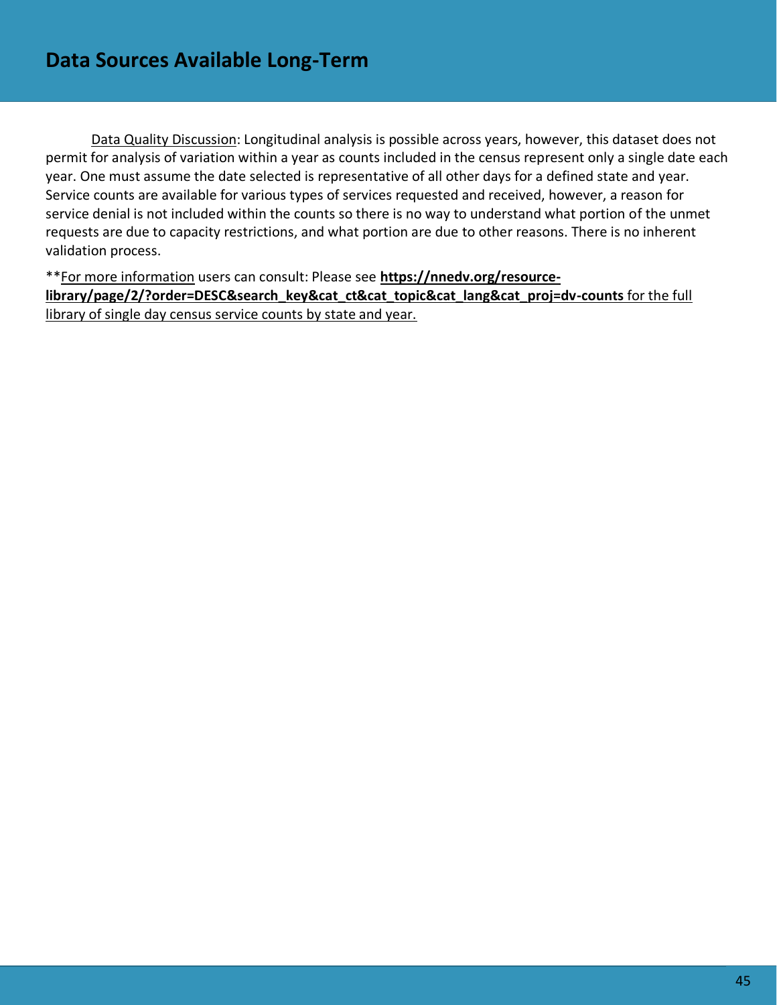Data Quality Discussion: Longitudinal analysis is possible across years, however, this dataset does not permit for analysis of variation within a year as counts included in the census represent only a single date each year. One must assume the date selected is representative of all other days for a defined state and year. Service counts are available for various types of services requested and received, however, a reason for service denial is not included within the counts so there is no way to understand what portion of the unmet requests are due to capacity restrictions, and what portion are due to other reasons. There is no inherent validation process.

\*\*For more information users can consult: Please see **[https://nnedv.org/resource](https://nnedv.org/resource-library/page/2/?order=DESC&search_key&cat_ct&cat_topic&cat_lang&cat_proj=dv-counts)[library/page/2/?order=DESC&search\\_key&cat\\_ct&cat\\_topic&cat\\_lang&cat\\_proj=dv-counts](https://nnedv.org/resource-library/page/2/?order=DESC&search_key&cat_ct&cat_topic&cat_lang&cat_proj=dv-counts)** for the full library of single day census service counts by state and year.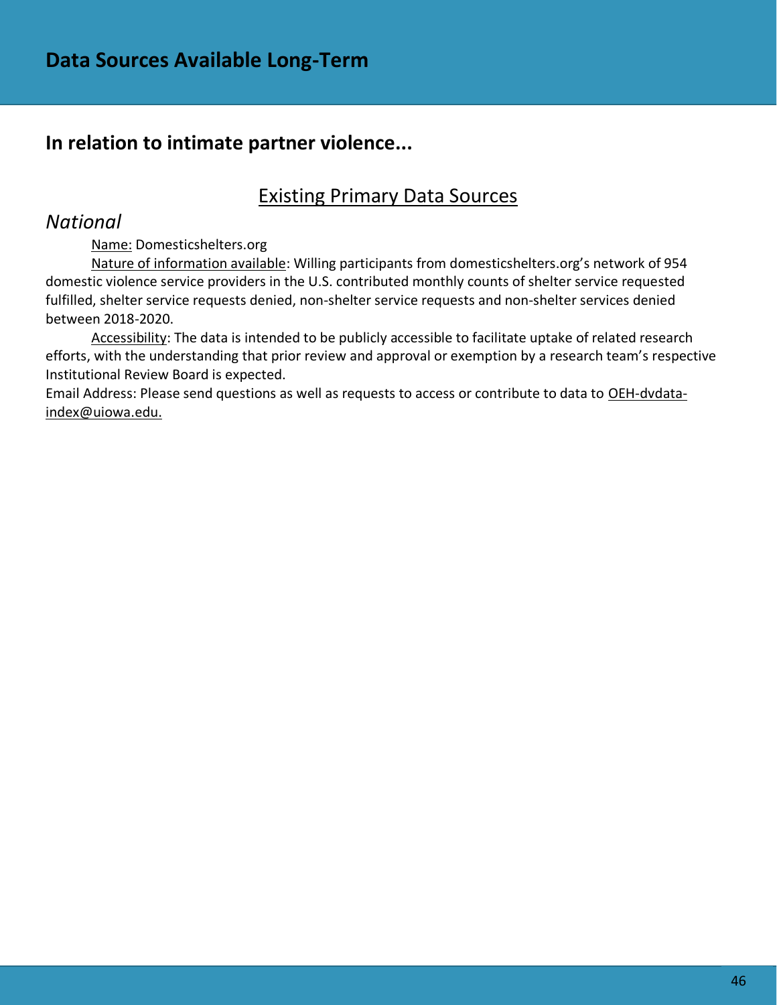# **In relation to intimate partner violence...**

# Existing Primary Data Sources

### *National*

Name: Domesticshelters.org

Nature of information available: Willing participants from domesticshelters.org's network of 954 domestic violence service providers in the U.S. contributed monthly counts of shelter service requested fulfilled, shelter service requests denied, non-shelter service requests and non-shelter services denied between 2018-2020.

Accessibility: The data is intended to be publicly accessible to facilitate uptake of related research efforts, with the understanding that prior review and approval or exemption by a research team's respective Institutional Review Board is expected.

Email Address: Please send questions as well as requests to access or contribute to data to [OEH-dvdata](mailto:OEH-dvdata-index@uiowa.edu)[index@uiowa.edu.](mailto:OEH-dvdata-index@uiowa.edu)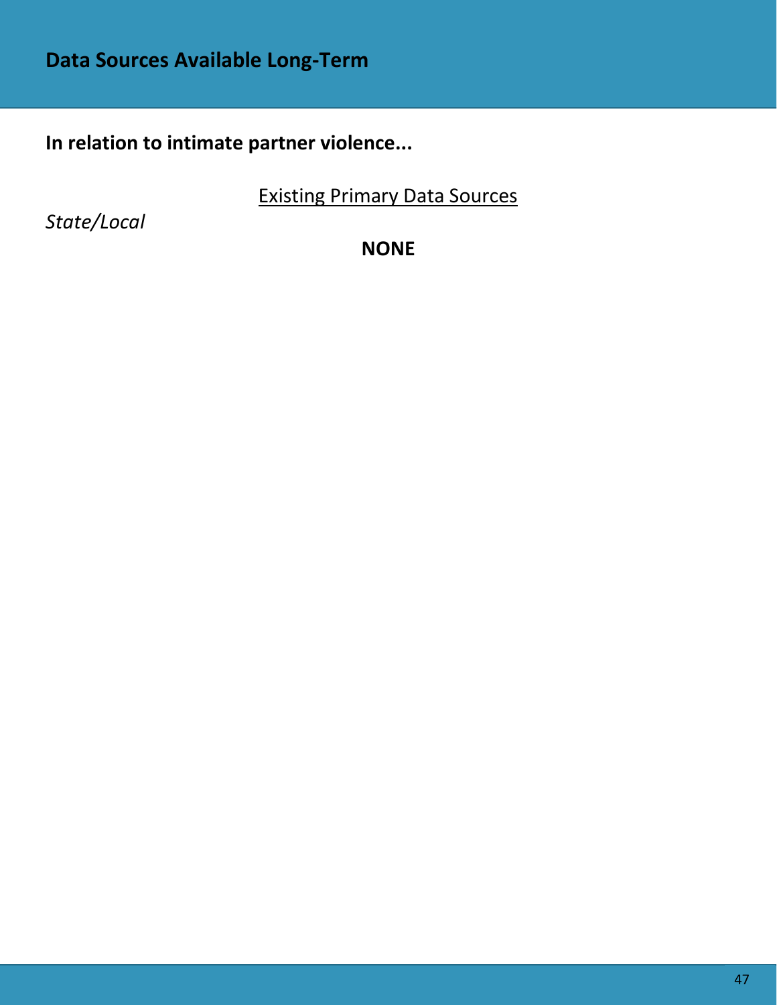**In relation to intimate partner violence...**

Existing Primary Data Sources

*State/Local*

**NONE**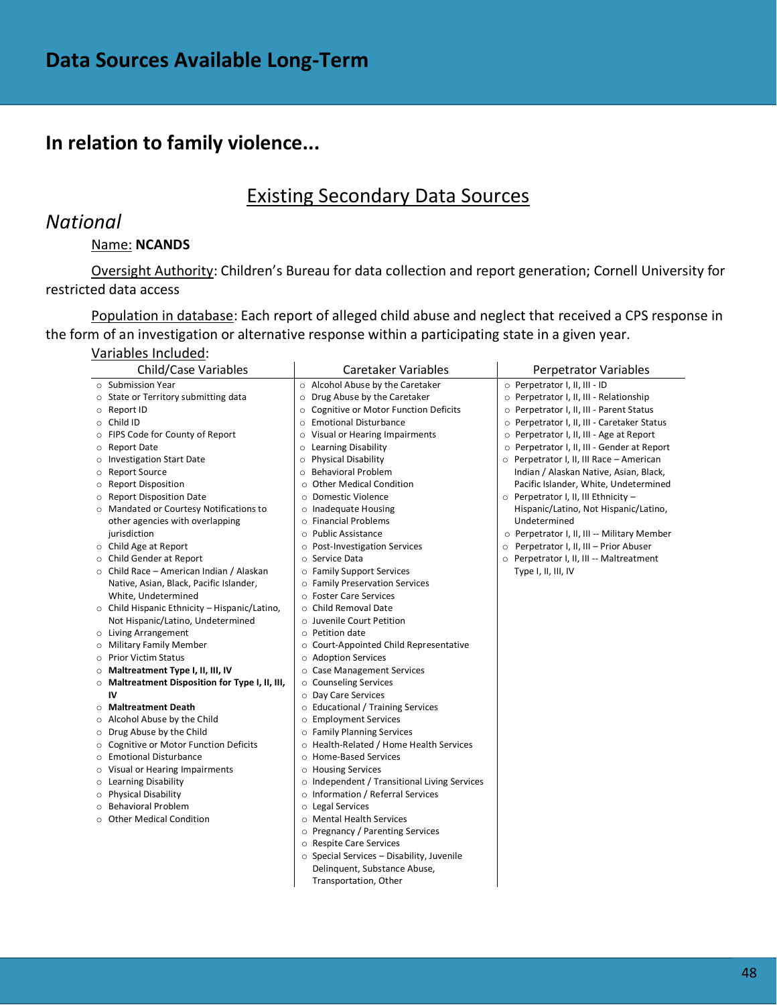# **In relation to family violence...**

### Existing Secondary Data Sources

### *National*

### Name: **NCANDS**

Oversight Authority: Children's Bureau for data collection and report generation; Cornell University for restricted data access

Population in database: Each report of alleged child abuse and neglect that received a CPS response in the form of an investigation or alternative response within a participating state in a given year.

#### Variables Included:

| Child/Case Variables                                   | Caretaker Variables                                | Perpetrator Variables                          |
|--------------------------------------------------------|----------------------------------------------------|------------------------------------------------|
| $\circ$ Submission Year                                | o Alcohol Abuse by the Caretaker                   | O Perpetrator I, II, III - ID                  |
| State or Territory submitting data<br>$\circ$          | Drug Abuse by the Caretaker<br>O                   | O Perpetrator I, II, III - Relationship        |
| Report ID<br>$\circ$                                   | Cognitive or Motor Function Deficits<br>$\circ$    | O Perpetrator I, II, III - Parent Status       |
| Child ID<br>$\circ$                                    | <b>Emotional Disturbance</b><br>$\circ$            | O Perpetrator I, II, III - Caretaker Status    |
| FIPS Code for County of Report<br>$\circ$              | Visual or Hearing Impairments<br>O                 | ○ Perpetrator I, II, III - Age at Report       |
| Report Date<br>$\circ$                                 | Learning Disability<br>$\circ$                     | O Perpetrator I, II, III - Gender at Report    |
| <b>Investigation Start Date</b><br>$\circ$             | <b>Physical Disability</b><br>$\circ$              | $\circ$ Perpetrator I, II, III Race - American |
| <b>Report Source</b><br>$\circ$                        | <b>Behavioral Problem</b><br>O                     | Indian / Alaskan Native, Asian, Black,         |
| <b>Report Disposition</b><br>$\circ$                   | <b>Other Medical Condition</b><br>$\circ$          | Pacific Islander, White, Undetermined          |
| <b>Report Disposition Date</b><br>∩                    | <b>Domestic Violence</b><br>$\circ$                | ○ Perpetrator I, II, III Ethnicity -           |
| ○ Mandated or Courtesy Notifications to                | o Inadequate Housing                               | Hispanic/Latino, Not Hispanic/Latino,          |
| other agencies with overlapping                        | o Financial Problems                               | Undetermined                                   |
| jurisdiction                                           | ○ Public Assistance                                | O Perpetrator I, II, III -- Military Member    |
| ○ Child Age at Report                                  | ○ Post-Investigation Services                      | O Perpetrator I, II, III - Prior Abuser        |
| ○ Child Gender at Report                               | ○ Service Data                                     | O Perpetrator I, II, III -- Maltreatment       |
| $\circ$ Child Race – American Indian / Alaskan         | o Family Support Services                          | Type I, II, III, IV                            |
| Native, Asian, Black, Pacific Islander,                | o Family Preservation Services                     |                                                |
| White, Undetermined                                    | ○ Foster Care Services                             |                                                |
| $\circ$ Child Hispanic Ethnicity – Hispanic/Latino,    | ○ Child Removal Date                               |                                                |
| Not Hispanic/Latino, Undetermined                      | o Juvenile Court Petition                          |                                                |
| o Living Arrangement                                   | $\circ$ Petition date                              |                                                |
| <b>Military Family Member</b><br>$\circ$               | ○ Court-Appointed Child Representative             |                                                |
| <b>Prior Victim Status</b><br>$\Omega$                 | ○ Adoption Services                                |                                                |
| Maltreatment Type I, II, III, IV<br>$\circ$            | <b>Case Management Services</b><br>$\circ$         |                                                |
| O Maltreatment Disposition for Type I, II, III,        | ○ Counseling Services                              |                                                |
| IV                                                     | O Day Care Services                                |                                                |
| <b>Maltreatment Death</b><br>$\circ$                   | o Educational / Training Services                  |                                                |
| Alcohol Abuse by the Child<br>$\circ$                  | ○ Employment Services                              |                                                |
| Drug Abuse by the Child<br>$\circ$                     | o Family Planning Services                         |                                                |
| <b>Cognitive or Motor Function Deficits</b><br>$\circ$ | ○ Health-Related / Home Health Services            |                                                |
| <b>Emotional Disturbance</b><br>$\circ$                | O Home-Based Services                              |                                                |
| Visual or Hearing Impairments<br>$\circ$               | o Housing Services                                 |                                                |
| Learning Disability<br>$\circ$                         | $\circ$ Independent / Transitional Living Services |                                                |
| <b>Physical Disability</b><br>$\circ$                  | ○ Information / Referral Services                  |                                                |
| <b>Behavioral Problem</b><br>$\Omega$                  | o Legal Services                                   |                                                |
| <b>Other Medical Condition</b>                         | ○ Mental Health Services                           |                                                |
|                                                        | ○ Pregnancy / Parenting Services                   |                                                |
|                                                        | ○ Respite Care Services                            |                                                |
|                                                        | $\circ$ Special Services – Disability, Juvenile    |                                                |
|                                                        | Delinquent, Substance Abuse,                       |                                                |
|                                                        | Transportation, Other                              |                                                |
|                                                        |                                                    |                                                |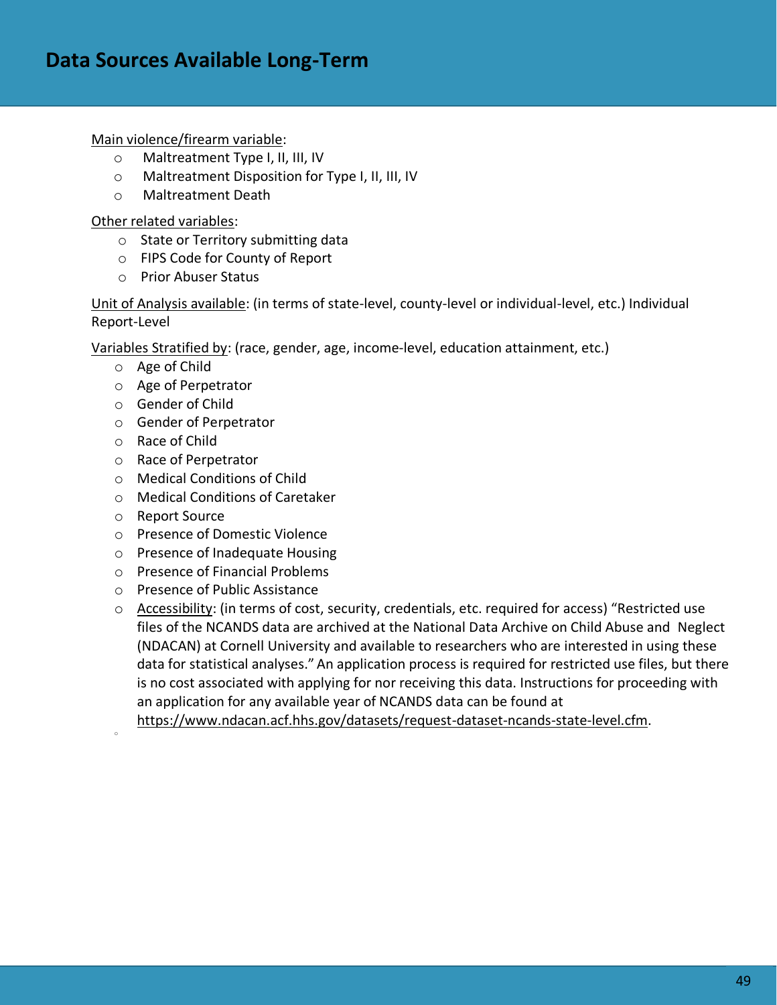#### Main violence/firearm variable:

- o Maltreatment Type I, II, III, IV
- o Maltreatment Disposition for Type I, II, III, IV
- o Maltreatment Death

### Other related variables:

- o State or Territory submitting data
- o FIPS Code for County of Report
- o Prior Abuser Status

Unit of Analysis available: (in terms of state-level, county-level or individual-level, etc.) Individual Report-Level

Variables Stratified by: (race, gender, age, income-level, education attainment, etc.)

- o Age of Child
- o Age of Perpetrator
- o Gender of Child
- o Gender of Perpetrator
- o Race of Child
- o Race of Perpetrator
- o Medical Conditions of Child
- o Medical Conditions of Caretaker
- o Report Source

o

- o Presence of Domestic Violence
- o Presence of Inadequate Housing
- o Presence of Financial Problems
- o Presence of Public Assistance
- $\circ$  Accessibility: (in terms of cost, security, credentials, etc. required for access) "Restricted use files of the NCANDS data are archived at the National Data Archive on Child Abuse and Neglect (NDACAN) at Cornell University and available to researchers who are interested in using these data for statistical analyses." An application process is required for restricted use files, but there is no cost associated with applying for nor receiving this data. Instructions for proceeding with an application for any available year of NCANDS data can be found at

[https://www.ndacan.acf.hhs.gov/datasets/request-dataset-ncands-state-level.cfm.](https://www.ndacan.acf.hhs.gov/datasets/request-dataset-ncands-state-level.cfm)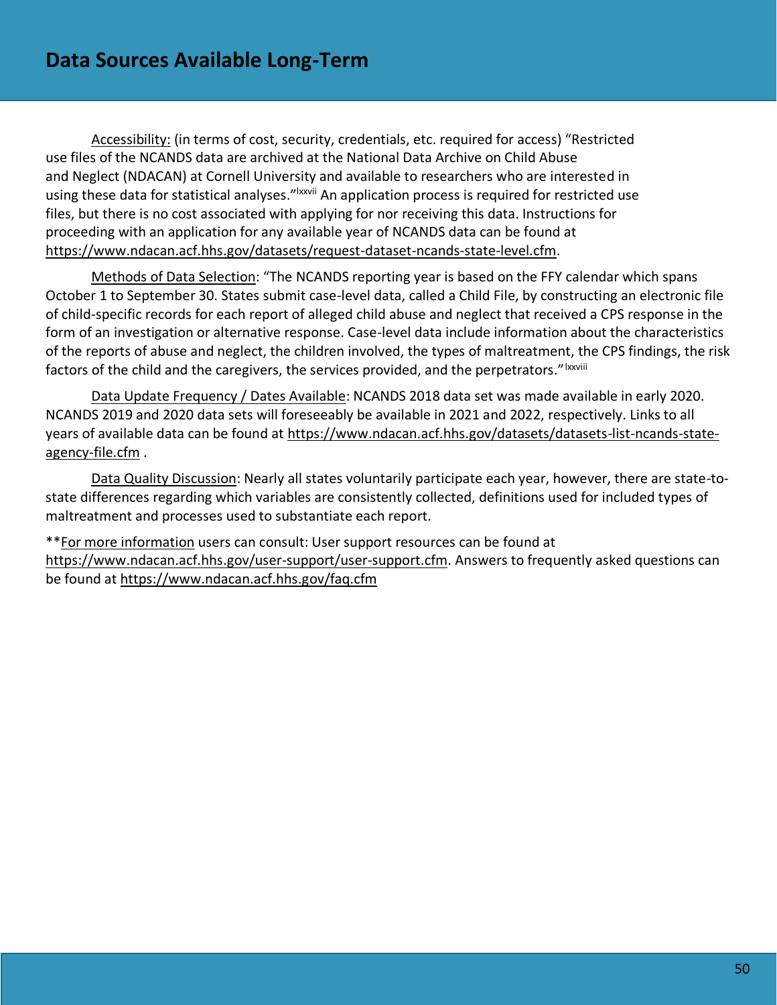Accessibility: (in terms of cost, security, credentials, etc. required for access) "Restricted use files of the NCANDS data are archived at the National Data Archive on Child Abuse and Neglect (NDACAN) at Cornell University and available to researchers who are interested in using these data for statistical analyses."<sup>Ixxvii</sup> An application process is required for restricted use files, but there is no cost associated with applying for nor receiving this data. Instructions for proceeding with an application for any available year of NCANDS data can be found at [https://www.ndacan.acf.hhs.gov/datasets/request-dataset-ncands-state-level.cfm.](https://www.ndacan.acf.hhs.gov/datasets/request-dataset-ncands-state-level.cfm)

Methods of Data Selection: "The NCANDS reporting year is based on the FFY calendar which spans October 1 to September 30. States submit case-level data, called a Child File, by constructing an electronic file of child-specific records for each report of alleged child abuse and neglect that received a CPS response in the form of an investigation or alternative response. Case-level data include information about the characteristics of the reports of abuse and neglect, the children involved, the types of maltreatment, the CPS findings, the risk factors of the child and the caregivers, the services provided, and the perpetrators."Ixxviii

Data Update Frequency / Dates Available: NCANDS 2018 data set was made available in early 2020. NCANDS 2019 and 2020 data sets will foreseeably be available in 2021 and 2022, respectively. Links to all years of available data can be found at [https://www.ndacan.acf.hhs.gov/datasets/datasets-list-ncands-state](https://www.ndacan.acf.hhs.gov/datasets/datasets-list-ncands-state-agency-file.cfm)[agency-file.cfm](https://www.ndacan.acf.hhs.gov/datasets/datasets-list-ncands-state-agency-file.cfm) .

Data Quality Discussion: Nearly all states voluntarily participate each year, however, there are state-tostate differences regarding which variables are consistently collected, definitions used for included types of maltreatment and processes used to substantiate each report.

\*\*For more information users can consult: User support resources can be found at [https://www.ndacan.acf.hhs.gov/user-support/user-support.cfm.](https://www.ndacan.acf.hhs.gov/user-support/user-support.cfm) Answers to frequently asked questions can be found at<https://www.ndacan.acf.hhs.gov/faq.cfm>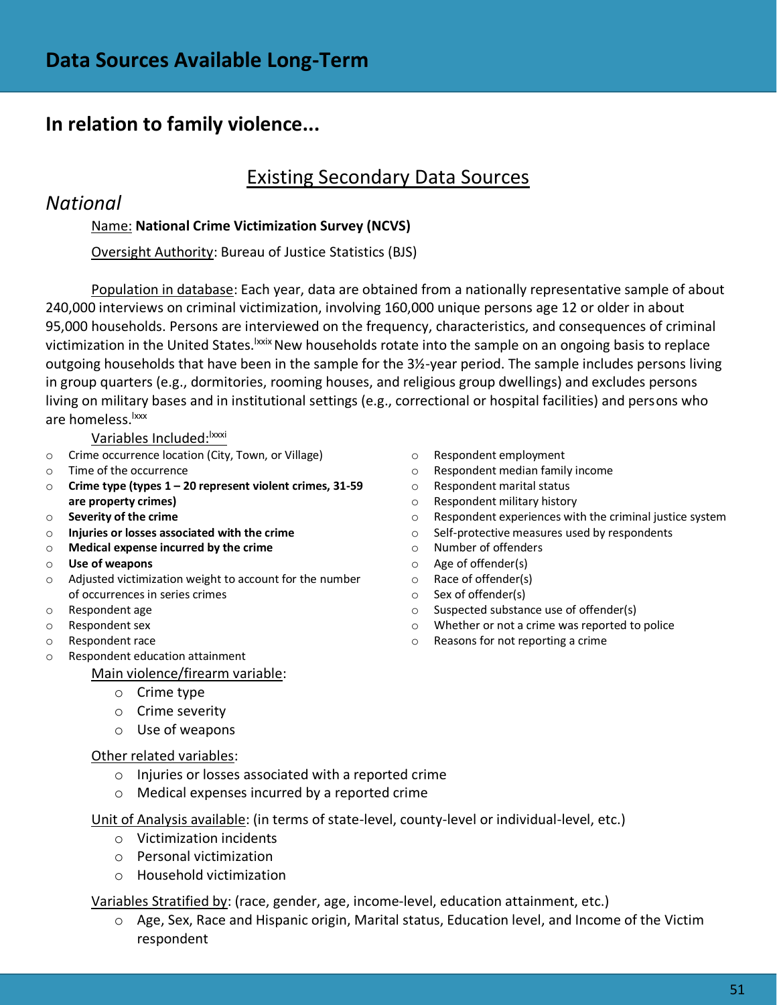### **In relation to family violence...**

# Existing Secondary Data Sources

### *National*

### Name: **National Crime Victimization Survey (NCVS)**

Oversight Authority: Bureau of Justice Statistics (BJS)

Population in database: Each year, data are obtained from a nationally representative sample of about 240,000 interviews on criminal victimization, involving 160,000 unique persons age 12 or older in about 95,000 households. Persons are interviewed on the frequency, characteristics, and consequences of criminal victimization in the United States.<sup>Ixxix</sup> New households rotate into the sample on an ongoing basis to replace outgoing households that have been in the sample for the 3½-year period. The sample includes persons living in group quarters (e.g., dormitories, rooming houses, and religious group dwellings) and excludes persons living on military bases and in institutional settings (e.g., correctional or hospital facilities) and persons who are homeless.<sup>Ixxx</sup>

Variables Included: Xxxi

- o Crime occurrence location (City, Town, or Village)
- o Time of the occurrence
- o **Crime type (types 1 – 20 represent violent crimes, 31-59 are property crimes)**
- o **Severity of the crime**
- o **Injuries or losses associated with the crime**
- o **Medical expense incurred by the crime**
- o **Use of weapons**
- o Adjusted victimization weight to account for the number of occurrences in series crimes
- o Respondent age
- o Respondent sex
- o Respondent race
- o Respondent education attainment

Main violence/firearm variable:

- o Crime type
- o Crime severity
- o Use of weapons

#### Other related variables:

- o Injuries or losses associated with a reported crime
- o Medical expenses incurred by a reported crime

Unit of Analysis available: (in terms of state-level, county-level or individual-level, etc.)

- o Victimization incidents
- o Personal victimization
- o Household victimization

Variables Stratified by: (race, gender, age, income-level, education attainment, etc.)

o Age, Sex, Race and Hispanic origin, Marital status, Education level, and Income of the Victim respondent

- o Respondent employment
- o Respondent median family income
- o Respondent marital status
- o Respondent military history
- o Respondent experiences with the criminal justice system
- o Self-protective measures used by respondents
- o Number of offenders
- o Age of offender(s)
- o Race of offender(s)
- o Sex of offender(s)
- o Suspected substance use of offender(s)
- o Whether or not a crime was reported to police
- o Reasons for not reporting a crime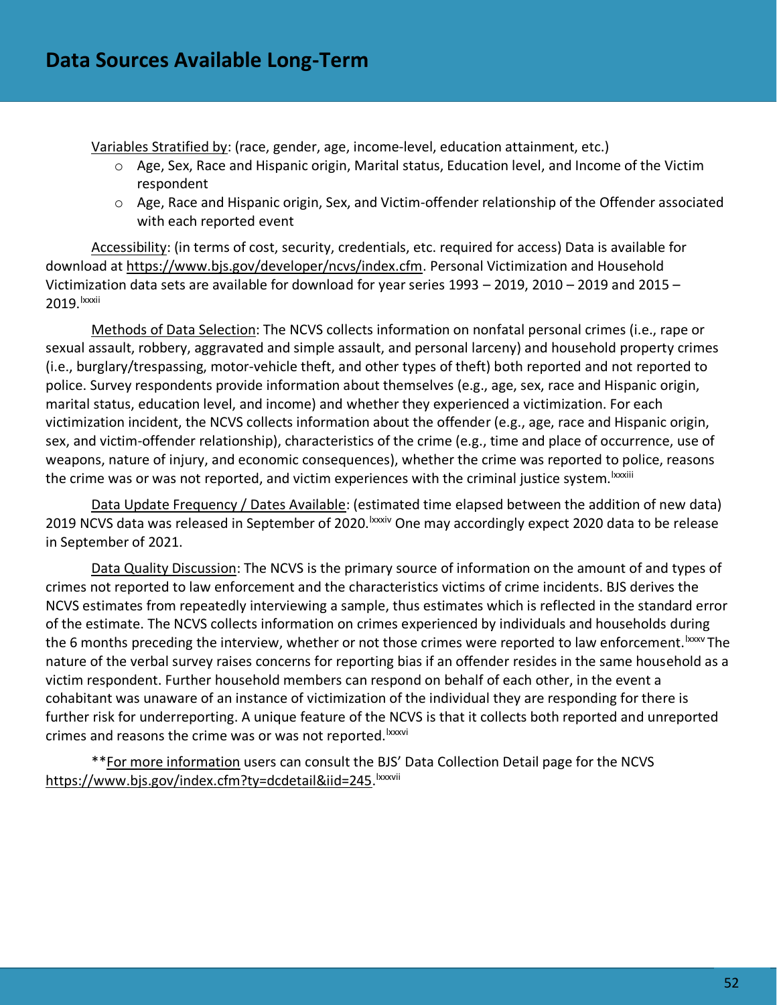Variables Stratified by: (race, gender, age, income-level, education attainment, etc.)

- o Age, Sex, Race and Hispanic origin, Marital status, Education level, and Income of the Victim respondent
- o Age, Race and Hispanic origin, Sex, and Victim-offender relationship of the Offender associated with each reported event

Accessibility: (in terms of cost, security, credentials, etc. required for access) Data is available for download at [https://www.bjs.gov/developer/ncvs/index.cfm.](https://www.bjs.gov/developer/ncvs/index.cfm) Personal Victimization and Household Victimization data sets are available for download for year series 1993 – 2019, 2010 – 2019 and 2015 – 2019. Ixxxii

Methods of Data Selection: The NCVS collects information on nonfatal personal crimes (i.e., rape or sexual assault, robbery, aggravated and simple assault, and personal larceny) and household property crimes (i.e., burglary/trespassing, motor-vehicle theft, and other types of theft) both reported and not reported to police. Survey respondents provide information about themselves (e.g., age, sex, race and Hispanic origin, marital status, education level, and income) and whether they experienced a victimization. For each victimization incident, the NCVS collects information about the offender (e.g., age, race and Hispanic origin, sex, and victim-offender relationship), characteristics of the crime (e.g., time and place of occurrence, use of weapons, nature of injury, and economic consequences), whether the crime was reported to police, reasons the crime was or was not reported, and victim experiences with the criminal justice system. <sup>Ixxxiii</sup>

Data Update Frequency / Dates Available: (estimated time elapsed between the addition of new data) 2019 NCVS data was released in September of 2020. xxxiv One may accordingly expect 2020 data to be release in September of 2021.

Data Quality Discussion: The NCVS is the primary source of information on the amount of and types of crimes not reported to law enforcement and the characteristics victims of crime incidents. BJS derives the NCVS estimates from repeatedly interviewing a sample, thus estimates which is reflected in the standard error of the estimate. The NCVS collects information on crimes experienced by individuals and households during the 6 months preceding the interview, whether or not those crimes were reported to law enforcement. Ixxxv The nature of the verbal survey raises concerns for reporting bias if an offender resides in the same household as a victim respondent. Further household members can respond on behalf of each other, in the event a cohabitant was unaware of an instance of victimization of the individual they are responding for there is further risk for underreporting. A unique feature of the NCVS is that it collects both reported and unreported crimes and reasons the crime was or was not reported.<sup>Ixxxvi</sup>

\*\*For more information users can consult the BJS' Data Collection Detail page for the NCVS [https://www.bjs.gov/index.cfm?ty=dcdetail&iid=245.](https://www.bjs.gov/index.cfm?ty=dcdetail&iid=245) lxxxvii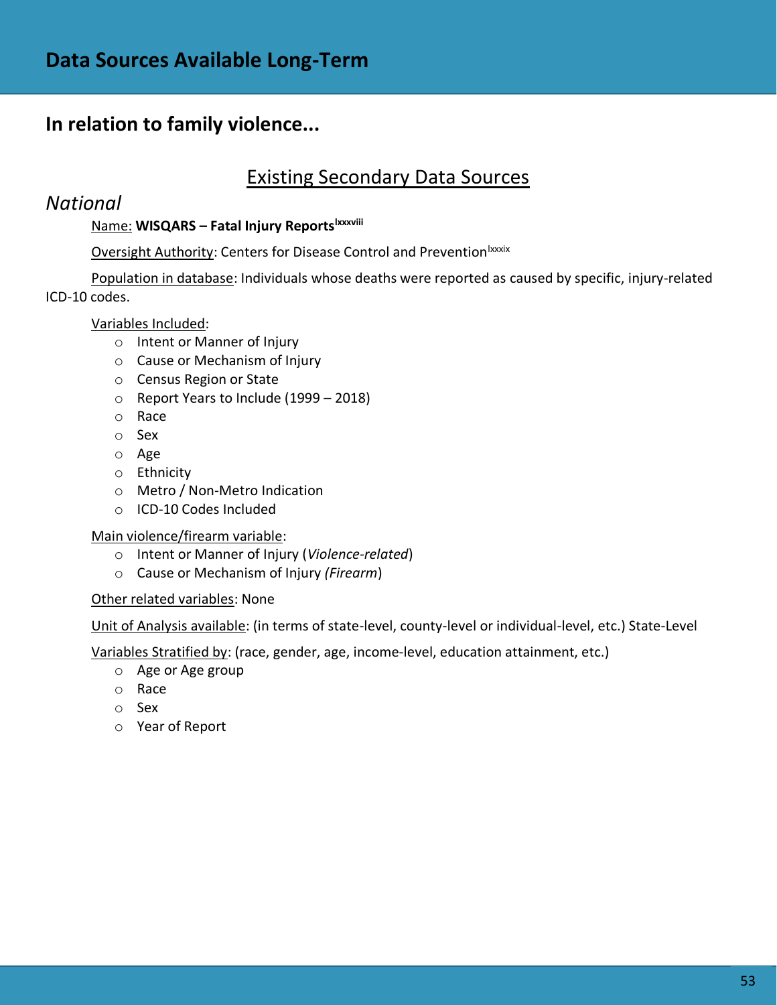# **In relation to family violence...**

# Existing Secondary Data Sources

### *National*

### Name: **WISQARS – Fatal Injury Reportslxxxviii**

Oversight Authority: Centers for Disease Control and Prevention<sup>Ixxxix</sup>

Population in database: Individuals whose deaths were reported as caused by specific, injury-related ICD-10 codes.

### Variables Included:

- o Intent or Manner of Injury
- o Cause or Mechanism of Injury
- o Census Region or State
- o Report Years to Include (1999 2018)
- o Race
- o Sex
- o Age
- o Ethnicity
- o Metro / Non-Metro Indication
- o ICD-10 Codes Included

#### Main violence/firearm variable:

- o Intent or Manner of Injury (*Violence-related*)
- o Cause or Mechanism of Injury *(Firearm*)

#### Other related variables: None

Unit of Analysis available: (in terms of state-level, county-level or individual-level, etc.) State-Level

Variables Stratified by: (race, gender, age, income-level, education attainment, etc.)

- o Age or Age group
- o Race
- o Sex
- o Year of Report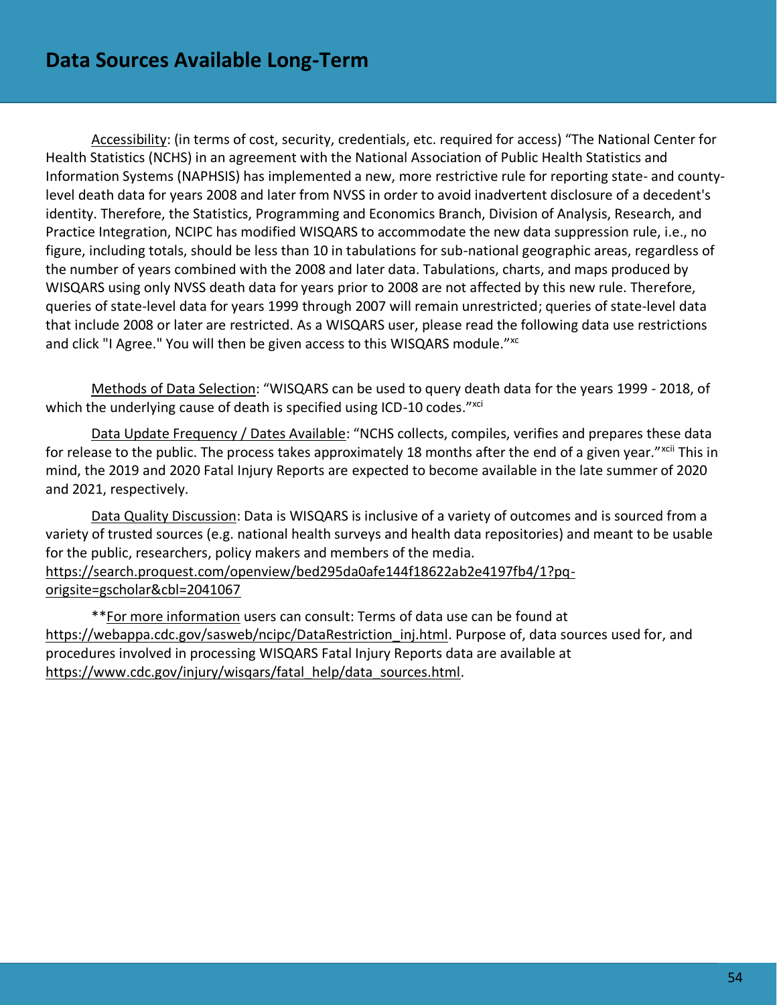Accessibility: (in terms of cost, security, credentials, etc. required for access) "The National Center for Health Statistics (NCHS) in an agreement with the National Association of Public Health Statistics and Information Systems (NAPHSIS) has implemented a new, more restrictive rule for reporting state- and countylevel death data for years 2008 and later from NVSS in order to avoid inadvertent disclosure of a decedent's identity. Therefore, the Statistics, Programming and Economics Branch, Division of Analysis, Research, and Practice Integration, NCIPC has modified WISQARS to accommodate the new data suppression rule, i.e., no figure, including totals, should be less than 10 in tabulations for sub-national geographic areas, regardless of the number of years combined with the 2008 and later data. Tabulations, charts, and maps produced by WISQARS using only NVSS death data for years prior to 2008 are not affected by this new rule. Therefore, queries of state-level data for years 1999 through 2007 will remain unrestricted; queries of state-level data that include 2008 or later are restricted. As a WISQARS user, please read the following data use restrictions and click "I Agree." You will then be given access to this WISQARS module."<sup>xc</sup>

Methods of Data Selection: "WISQARS can be used to query death data for the years 1999 - 2018, of which the underlying cause of death is specified using ICD-10 codes."xci

Data Update Frequency / Dates Available: "NCHS collects, compiles, verifies and prepares these data for release to the public. The process takes approximately 18 months after the end of a given year."<sup>xcii</sup> This in mind, the 2019 and 2020 Fatal Injury Reports are expected to become available in the late summer of 2020 and 2021, respectively.

Data Quality Discussion: Data is WISQARS is inclusive of a variety of outcomes and is sourced from a variety of trusted sources (e.g. national health surveys and health data repositories) and meant to be usable for the public, researchers, policy makers and members of the media. [https://search.proquest.com/openview/bed295da0afe144f18622ab2e4197fb4/1?pq](https://search.proquest.com/openview/bed295da0afe144f18622ab2e4197fb4/1?pq-origsite=gscholar&cbl=2041067)[origsite=gscholar&cbl=2041067](https://search.proquest.com/openview/bed295da0afe144f18622ab2e4197fb4/1?pq-origsite=gscholar&cbl=2041067)

\*\*For more information users can consult: Terms of data use can be found at https://webappa.cdc.gov/sasweb/ncipc/DataRestriction inj.html. Purpose of, data sources used for, and procedures involved in processing WISQARS Fatal Injury Reports data are available at [https://www.cdc.gov/injury/wisqars/fatal\\_help/data\\_sources.html.](https://www.cdc.gov/injury/wisqars/fatal_help/data_sources.html)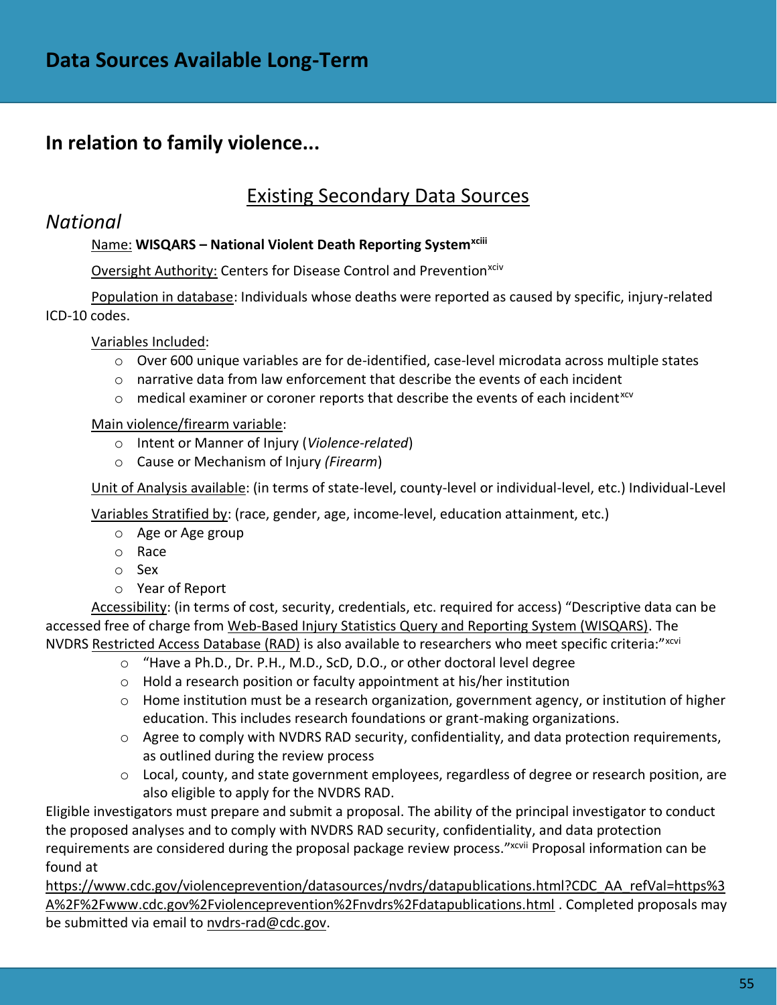# **In relation to family violence...**

# Existing Secondary Data Sources

### *National*

### Name: **WISQARS – National Violent Death Reporting Systemxciii**

Oversight Authority: Centers for Disease Control and Prevention<sup>xciv</sup>

Population in database: Individuals whose deaths were reported as caused by specific, injury-related ICD-10 codes.

Variables Included:

- $\circ$  Over 600 unique variables are for de-identified, case-level microdata across multiple states
- o narrative data from law enforcement that describe the events of each incident
- $\circ$  medical examiner or coroner reports that describe the events of each incident<sup>xcv</sup>

### Main violence/firearm variable:

- o Intent or Manner of Injury (*Violence-related*)
- o Cause or Mechanism of Injury *(Firearm*)

Unit of Analysis available: (in terms of state-level, county-level or individual-level, etc.) Individual-Level

Variables Stratified by: (race, gender, age, income-level, education attainment, etc.)

- o Age or Age group
- o Race
- o Sex
- o Year of Report

Accessibility: (in terms of cost, security, credentials, etc. required for access) "Descriptive data can be accessed free of charge from [Web-Based Injury Statistics Query and Reporting System \(WISQARS\).](https://wisqars.cdc.gov:8443/nvdrs/nvdrsDisplay.jsp) The NVDRS [Restricted Access Database \(RAD\)](https://www.cdc.gov/violenceprevention/nvdrs/publications.html) is also available to researchers who meet specific criteria:"xcvi

- o "Have a Ph.D., Dr. P.H., M.D., ScD, D.O., or other doctoral level degree
	- o Hold a research position or faculty appointment at his/her institution
	- $\circ$  Home institution must be a research organization, government agency, or institution of higher education. This includes research foundations or grant-making organizations.
	- $\circ$  Agree to comply with NVDRS RAD security, confidentiality, and data protection requirements, as outlined during the review process
	- o Local, county, and state government employees, regardless of degree or research position, are also eligible to apply for the NVDRS RAD.

Eligible investigators must prepare and submit a proposal. The ability of the principal investigator to conduct the proposed analyses and to comply with NVDRS RAD security, confidentiality, and data protection requirements are considered during the proposal package review process."xcvii Proposal information can be found at

[https://www.cdc.gov/violenceprevention/datasources/nvdrs/datapublications.html?CDC\\_AA\\_refVal=https%3](https://www.cdc.gov/violenceprevention/datasources/nvdrs/datapublications.html?CDC_AA_refVal=https%3A%2F%2Fwww.cdc.gov%2Fviolenceprevention%2Fnvdrs%2Fdatapublications.html) [A%2F%2Fwww.cdc.gov%2Fviolenceprevention%2Fnvdrs%2Fdatapublications.html](https://www.cdc.gov/violenceprevention/datasources/nvdrs/datapublications.html?CDC_AA_refVal=https%3A%2F%2Fwww.cdc.gov%2Fviolenceprevention%2Fnvdrs%2Fdatapublications.html) . Completed proposals may be submitted via email to [nvdrs-rad@cdc.gov.](mailto:nvdrs-rad@cdc.gov)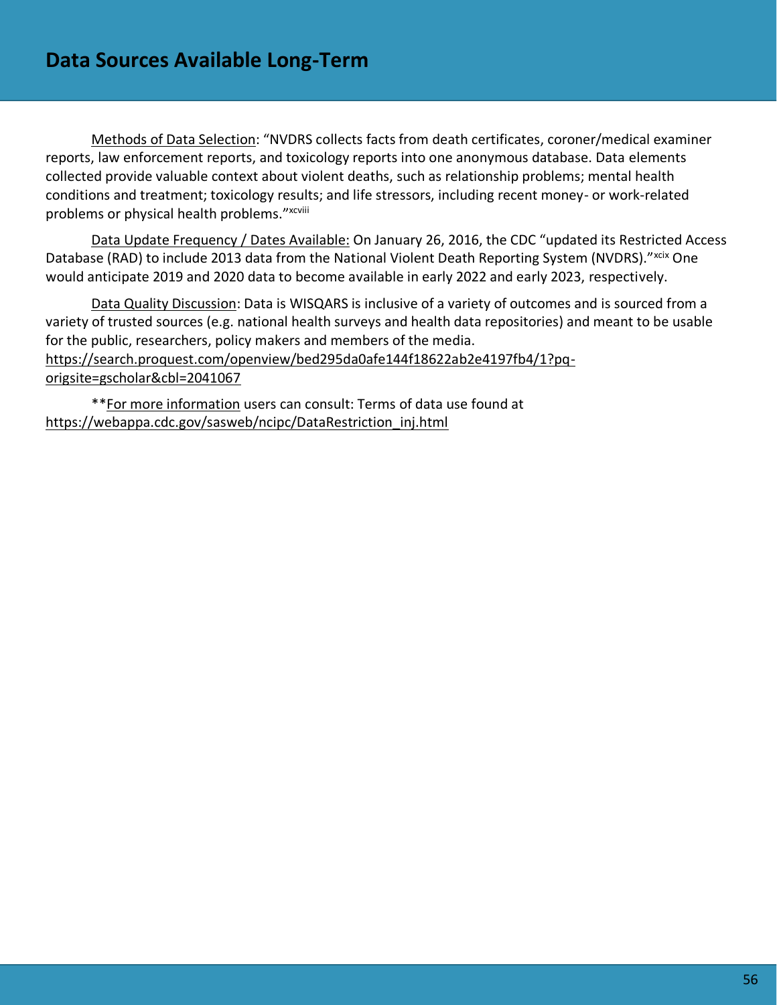Methods of Data Selection: "NVDRS collects facts from death certificates, coroner/medical examiner reports, law enforcement reports, and toxicology reports into one anonymous database. Data elements collected provide valuable context about violent deaths, such as relationship problems; mental health conditions and treatment; toxicology results; and life stressors, including recent money- or work-related problems or physical health problems."xcviii

Data Update Frequency / Dates Available: On January 26, 2016, the CDC "updated its Restricted Access Database (RAD) to include 2013 data from the National Violent Death Reporting System (NVDRS)."xcix One would anticipate 2019 and 2020 data to become available in early 2022 and early 2023, respectively.

Data Quality Discussion: Data is WISQARS is inclusive of a variety of outcomes and is sourced from a variety of trusted sources (e.g. national health surveys and health data repositories) and meant to be usable for the public, researchers, policy makers and members of the media. [https://search.proquest.com/openview/bed295da0afe144f18622ab2e4197fb4/1?pq](https://search.proquest.com/openview/bed295da0afe144f18622ab2e4197fb4/1?pq-origsite=gscholar&cbl=2041067)[origsite=gscholar&cbl=2041067](https://search.proquest.com/openview/bed295da0afe144f18622ab2e4197fb4/1?pq-origsite=gscholar&cbl=2041067)

\*\*For more information users can consult: Terms of data use found at [https://webappa.cdc.gov/sasweb/ncipc/DataRestriction\\_inj.html](https://webappa.cdc.gov/sasweb/ncipc/DataRestriction_inj.html)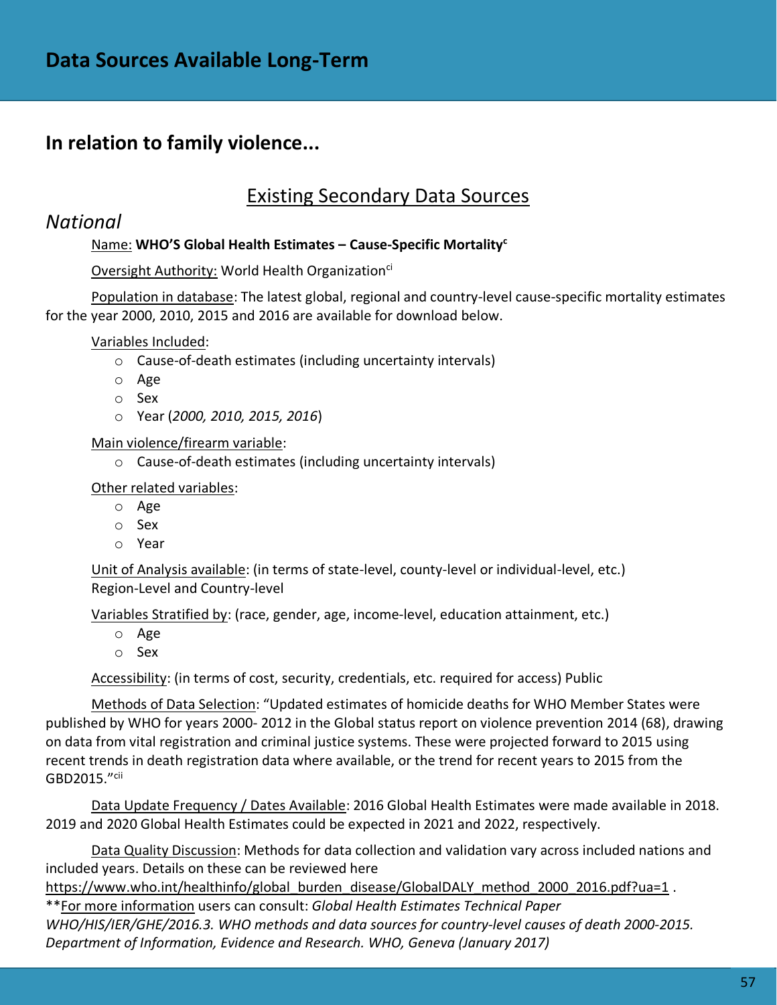### **In relation to family violence...**

### Existing Secondary Data Sources

### *National*

### Name: **WHO'S Global Health Estimates – Cause-Specific Mortality<sup>c</sup>**

#### Oversight Authority: World Health Organization<sup>ci</sup>

Population in database: The latest global, regional and country-level cause-specific mortality estimates for the year 2000, 2010, 2015 and 2016 are available for download below.

Variables Included:

- o Cause-of-death estimates (including uncertainty intervals)
- o Age
- o Sex
- o Year (*2000, 2010, 2015, 2016*)

Main violence/firearm variable:

o Cause-of-death estimates (including uncertainty intervals)

Other related variables:

- o Age
- o Sex
- o Year

Unit of Analysis available: (in terms of state-level, county-level or individual-level, etc.) Region-Level and Country-level

Variables Stratified by: (race, gender, age, income-level, education attainment, etc.)

- o Age
- o Sex

Accessibility: (in terms of cost, security, credentials, etc. required for access) Public

Methods of Data Selection: "Updated estimates of homicide deaths for WHO Member States were published by WHO for years 2000‐ 2012 in the Global status report on violence prevention 2014 (68), drawing on data from vital registration and criminal justice systems. These were projected forward to 2015 using recent trends in death registration data where available, or the trend for recent years to 2015 from the GBD2015."cii

Data Update Frequency / Dates Available: 2016 Global Health Estimates were made available in 2018. 2019 and 2020 Global Health Estimates could be expected in 2021 and 2022, respectively.

Data Quality Discussion: Methods for data collection and validation vary across included nations and included years. Details on these can be reviewed here

[https://www.who.int/healthinfo/global\\_burden\\_disease/GlobalDALY\\_method\\_2000\\_2016.pdf?ua=1](https://www.who.int/healthinfo/global_burden_disease/GlobalDALY_method_2000_2016.pdf?ua=1) .

\*\*For more information users can consult: *Global Health Estimates Technical Paper WHO/HIS/IER/GHE/2016.3. WHO methods and data sources for country‐level causes of death 2000‐2015. Department of Information, Evidence and Research. WHO, Geneva (January 2017)*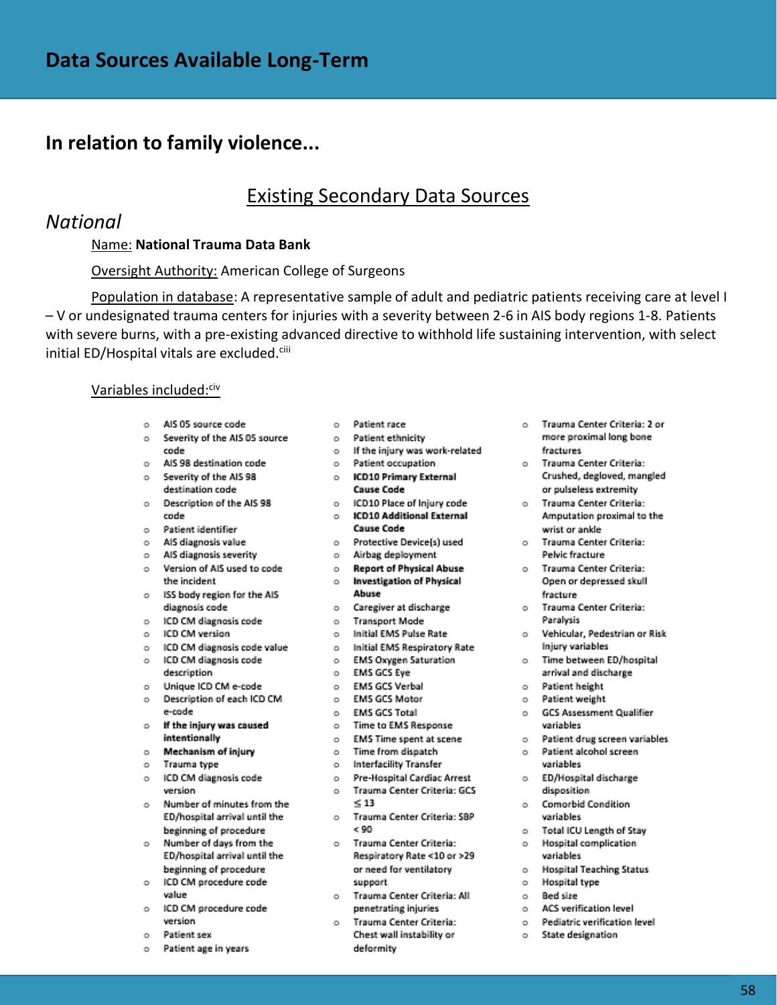### **In relation to family violence...**

### Existing Secondary Data Sources

### *National*

#### Name: **National Trauma Data Bank**

#### Oversight Authority: American College of Surgeons

Population in database: A representative sample of adult and pediatric patients receiving care at level I – V or undesignated trauma centers for injuries with a severity between 2-6 in AIS body regions 1-8. Patients with severe burns, with a pre-existing advanced directive to withhold life sustaining intervention, with select initial ED/Hospital vitals are excluded.<sup>ciii</sup>

#### Variables included:<sup>civ</sup>

- o AIS 05 source code
- o Severity of the AIS 05 source code
- AIS 98 destination code  $\sim$
- AIS 98 destination code<br>Severity of the AIS 98<br>destination code  $\circ$ destination code
- Description of the AIS 98 o ICD10 Place of Injury code  $\sim$ code
- Patient identifier  $\circ$
- AIS diagnosis value  $\sim$
- AIS diagnosis severity  $\sim$
- Version of AIS used to code  $\sim$ the incident
- o ISS body region for the AIS diagnosis code
- $\alpha$
- $\sim$ ICD CM version
- $\sim$
- $\sim$
- description
- Unique ICD CM e-code o EMS GCS Verbal<br>Description of each ICD CM o EMS GCS Motor o Unique ICD CM e-code  $\circ$
- e-code If the injury was caused  $\circ$
- intentionally
- Mechanism of injury  $\sim$
- $\circ$ Trauma type
- ICD CM diagnosis code  $\circ$ version
- Number of minutes from the  $\circ$ ED/hospital arrival until the beginning of procedure
- Number of days from the  $\circ$ ED/hospital arrival until the beginning of procedure  $\circ$ ICD CM procedure code
- value
- o ICD CM procedure code version
- Patient sex
- Patient age in years  $\sim$
- o Patient race
- o Patient ethnicity o If the injury was work-related
- o Patient occupation
- o ICD10 Primary External
	- **Cause Code**
	- o ICD10 Additional External Cause Code
	- o Protective Device(s) used
- o Airbag deployment
- **O** Report of Physical Abuse
- o Investigation of Physical Abuse
- o Caregiver at discharge
	-
- o Initial EMS Pulse Rate
- ICD CM diagnosis code value  $\overline{a}$  o Initial EMS Respiratory Rate<br>ICD CM diagnosis code  $\overline{a}$  o EMS Oxygen Saturation
	-
	- o EMS GCS Eye
		-
		-
	- o EMS GCS Total
	- o Time to EMS Response
	- o EMS Time spent at scene
	- o Time from dispatch
	- o Interfacility Transfer
	- o Pre-Hospital Cardiac Arrest o Trauma Center Criteria: GCS  $< 13$
	- o Trauma Center Criteria: SBP  $< 90$
	- o Trauma Center Criteria: Respiratory Rate <10 or >29 or need for ventilatory support
	- o Trauma Center Criteria: All penetrating injuries
	- o Trauma Center Criteria: Chest wall instability or deformity
- o Trauma Center Criteria: 2 or more proximal long bone fractures
- o Trauma Center Criteria: Crushed, degloved, mangled or pulseless extremity
- o Trauma Center Criteria: Amputation proximal to the wrist or ankle
- o Trauma Center Criteria: Pelvic fracture
- o Trauma Center Criteria: Open or depressed skull fracture
- o Trauma Center Criteria: Paralysis
- o Vehicular, Pedestrian or Risk Injury variables
- o Time between ED/hospital arrival and discharge
- o Patient height
- o Patient weight
- o GCS Assessment Qualifier variables
- o Patient drug screen variables
- o Patient alcohol screen variables
- o ED/Hospital discharge disposition
- o Comorbid Condition variables
- o Total ICU Length of Stay
- o Hospital complication variables
- o Hospital Teaching Status
- o Hospital type
- o Bed size
- o ACS verification level
- o Pediatric verification level
- o State designation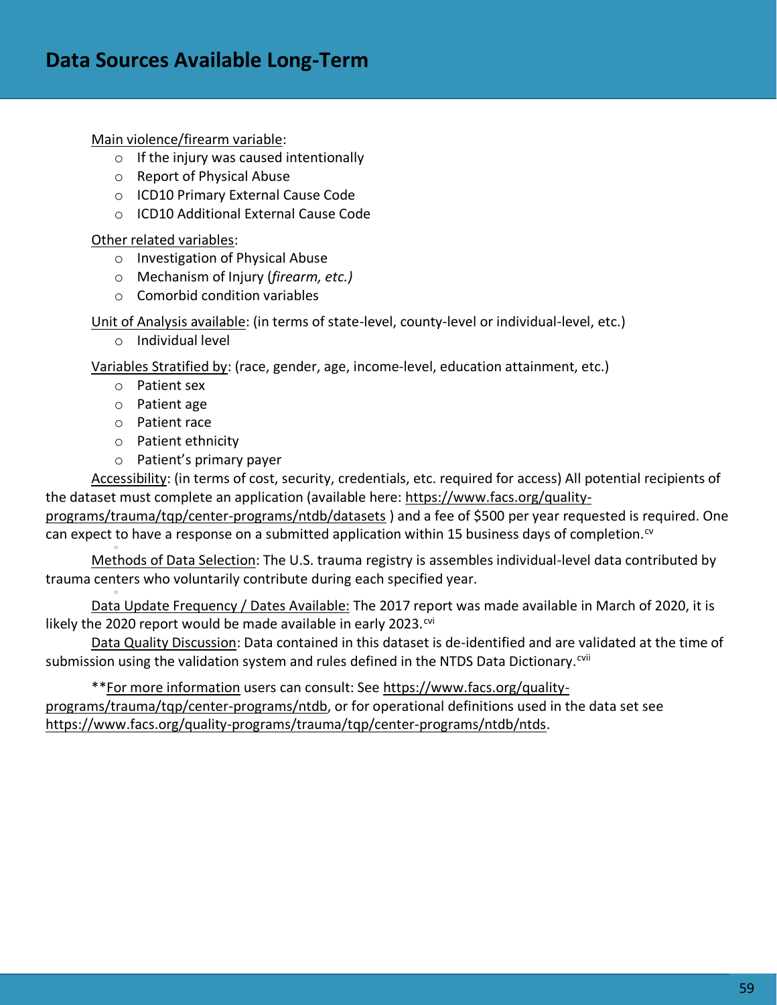Main violence/firearm variable:

- o If the injury was caused intentionally
- o Report of Physical Abuse
- o ICD10 Primary External Cause Code
- o ICD10 Additional External Cause Code

Other related variables:

- o Investigation of Physical Abuse
- o Mechanism of Injury (*firearm, etc.)*
- o Comorbid condition variables

Unit of Analysis available: (in terms of state-level, county-level or individual-level, etc.)

o Individual level

Variables Stratified by: (race, gender, age, income-level, education attainment, etc.)

- o Patient sex
- o Patient age
- o Patient race

o

o

- o Patient ethnicity
- o Patient's primary payer

Accessibility: (in terms of cost, security, credentials, etc. required for access) All potential recipients of the dataset must complete an application (available here: [https://www.facs.org/quality-](https://www.facs.org/quality-programs/trauma/tqp/center-programs/ntdb/datasets)

[programs/trauma/tqp/center-programs/ntdb/datasets](https://www.facs.org/quality-programs/trauma/tqp/center-programs/ntdb/datasets) ) and a fee of \$500 per year requested is required. One can expect to have a response on a submitted application within 15 business days of completion. $\alpha$ 

Methods of Data Selection: The U.S. trauma registry is assembles individual-level data contributed by trauma centers who voluntarily contribute during each specified year.

Data Update Frequency / Dates Available: The 2017 report was made available in March of 2020, it is likely the 2020 report would be made available in early 2023. $\frac{1}{2}$ 

Data Quality Discussion: Data contained in this dataset is de-identified and are validated at the time of submission using the validation system and rules defined in the NTDS Data Dictionary.<sup>cvii</sup>

\*\*For more information users can consult: See [https://www.facs.org/quality](https://www.facs.org/quality-programs/trauma/tqp/center-programs/ntdb)[programs/trauma/tqp/center-programs/ntdb,](https://www.facs.org/quality-programs/trauma/tqp/center-programs/ntdb) or for operational definitions used in the data set see [https://www.facs.org/quality-programs/trauma/tqp/center-programs/ntdb/ntds.](https://www.facs.org/quality-programs/trauma/tqp/center-programs/ntdb/ntds)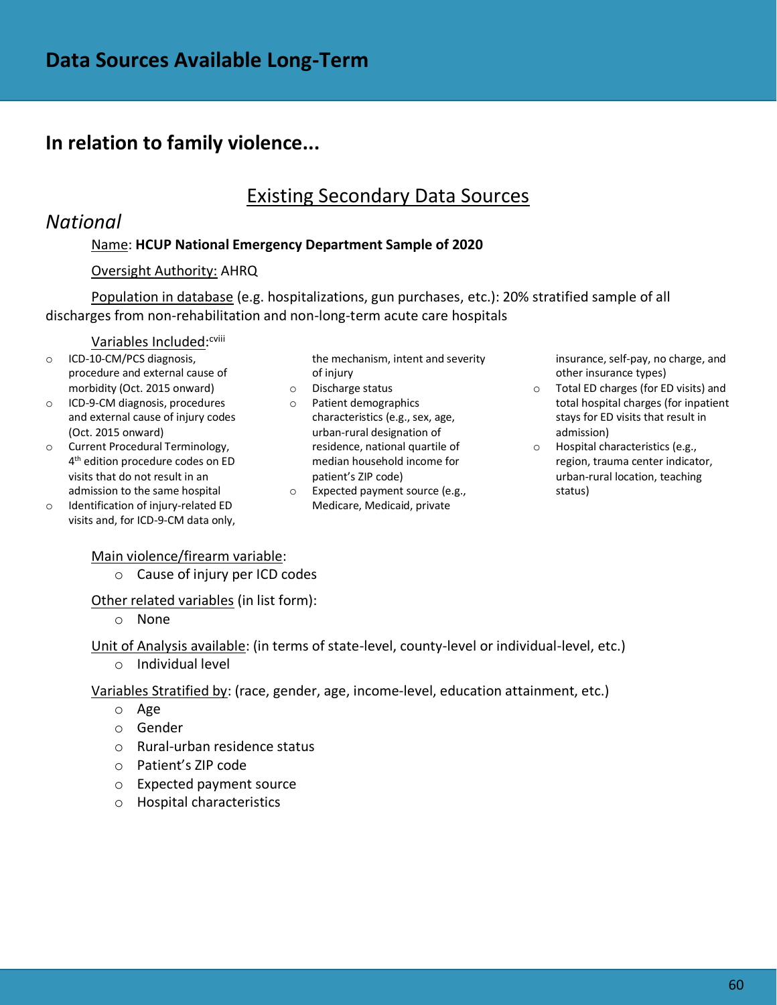### **In relation to family violence...**

### Existing Secondary Data Sources

### *National*

### Name: **HCUP National Emergency Department Sample of 2020**

#### Oversight Authority: AHRQ

Population in database (e.g. hospitalizations, gun purchases, etc.): 20% stratified sample of all discharges from non-rehabilitation and non-long-term acute care hospitals

### <u>Variables Included</u>:<sup>cviii</sup>

- o ICD-10-CM/PCS diagnosis, procedure and external cause of morbidity (Oct. 2015 onward)
- o ICD-9-CM diagnosis, procedures and external cause of injury codes (Oct. 2015 onward)
- o Current Procedural Terminology, 4 th edition procedure codes on ED visits that do not result in an admission to the same hospital
- o Identification of injury-related ED visits and, for ICD-9-CM data only,

the mechanism, intent and severity of injury

- o Discharge status
- o Patient demographics characteristics (e.g., sex, age, urban-rural designation of residence, national quartile of median household income for patient's ZIP code)
- o Expected payment source (e.g., Medicare, Medicaid, private

insurance, self-pay, no charge, and other insurance types)

- o Total ED charges (for ED visits) and total hospital charges (for inpatient stays for ED visits that result in admission)
- o Hospital characteristics (e.g., region, trauma center indicator, urban-rural location, teaching status)

#### Main violence/firearm variable:

o Cause of injury per ICD codes

Other related variables (in list form):

o None

Unit of Analysis available: (in terms of state-level, county-level or individual-level, etc.)

o Individual level

Variables Stratified by: (race, gender, age, income-level, education attainment, etc.)

- o Age
- o Gender
- o Rural-urban residence status
- o Patient's ZIP code
- o Expected payment source
- o Hospital characteristics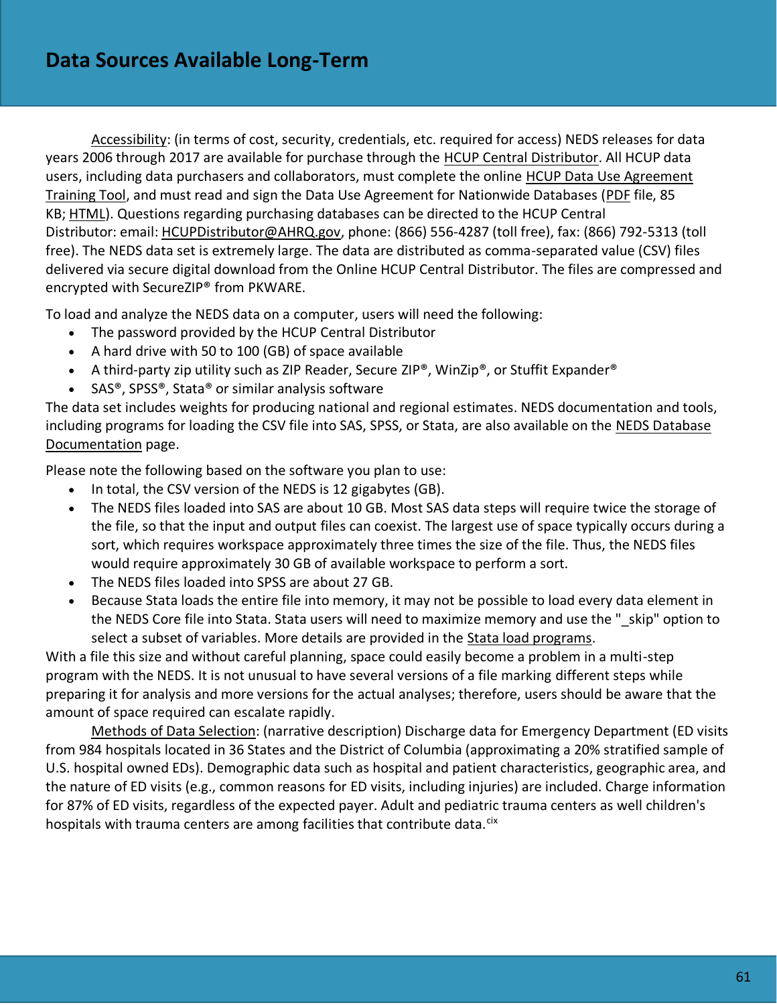Accessibility: (in terms of cost, security, credentials, etc. required for access) NEDS releases for data years 2006 through 2017 are available for purchase through the [HCUP Central Distributor.](https://www.hcup-us.ahrq.gov/tech_assist/centdist.jsp) All HCUP data users, including data purchasers and collaborators, must complete the online [HCUP Data Use Agreement](https://www.hcup-us.ahrq.gov/tech_assist/dua.jsp)  [Training Tool,](https://www.hcup-us.ahrq.gov/tech_assist/dua.jsp) and must read and sign the Data Use Agreement for Nationwide Databases [\(PDF](https://www.hcup-us.ahrq.gov/team/NationwideDUA.pdf) file, 85 KB; [HTML\)](https://www.hcup-us.ahrq.gov/team/NationwideDUA.jsp). Questions regarding purchasing databases can be directed to the HCUP Central Distributor: email: [HCUPDistributor@AHRQ.gov,](mailto:HCUPDistributor@AHRQ.gov) phone: (866) 556-4287 (toll free), fax: (866) 792-5313 (toll free). The NEDS data set is extremely large. The data are distributed as comma-separated value (CSV) files delivered via secure digital download from the Online HCUP Central Distributor. The files are compressed and encrypted with SecureZIP® from PKWARE.

To load and analyze the NEDS data on a computer, users will need the following:

- The password provided by the HCUP Central Distributor
- A hard drive with 50 to 100 (GB) of space available
- A third-party zip utility such as ZIP Reader, Secure ZIP®, WinZip®, or Stuffit Expander®
- SAS®, SPSS®, Stata® or similar analysis software

The data set includes weights for producing national and regional estimates. NEDS documentation and tools, including programs for loading the CSV file into SAS, SPSS, or Stata, are also available on the [NEDS Database](https://www.hcup-us.ahrq.gov/db/nation/neds/nedsdbdocumentation.jsp)  [Documentation](https://www.hcup-us.ahrq.gov/db/nation/neds/nedsdbdocumentation.jsp) page.

Please note the following based on the software you plan to use:

- In total, the CSV version of the NEDS is 12 gigabytes (GB).
- The NEDS files loaded into SAS are about 10 GB. Most SAS data steps will require twice the storage of the file, so that the input and output files can coexist. The largest use of space typically occurs during a sort, which requires workspace approximately three times the size of the file. Thus, the NEDS files would require approximately 30 GB of available workspace to perform a sort.
- The NEDS files loaded into SPSS are about 27 GB.
- Because Stata loads the entire file into memory, it may not be possible to load every data element in the NEDS Core file into Stata. Stata users will need to maximize memory and use the " skip" option to select a subset of variables. More details are provided in the [Stata load programs.](https://www.hcup-us.ahrq.gov/db/nation/neds/nedsstataloadprog.jsp)

With a file this size and without careful planning, space could easily become a problem in a multi-step program with the NEDS. It is not unusual to have several versions of a file marking different steps while preparing it for analysis and more versions for the actual analyses; therefore, users should be aware that the amount of space required can escalate rapidly.

Methods of Data Selection: (narrative description) Discharge data for Emergency Department (ED visits from 984 hospitals located in 36 States and the District of Columbia (approximating a 20% stratified sample of U.S. hospital owned EDs). Demographic data such as hospital and patient characteristics, geographic area, and the nature of ED visits (e.g., common reasons for ED visits, including injuries) are included. Charge information for 87% of ED visits, regardless of the expected payer. Adult and pediatric trauma centers as well children's hospitals with trauma centers are among facilities that contribute data.<sup>cix</sup>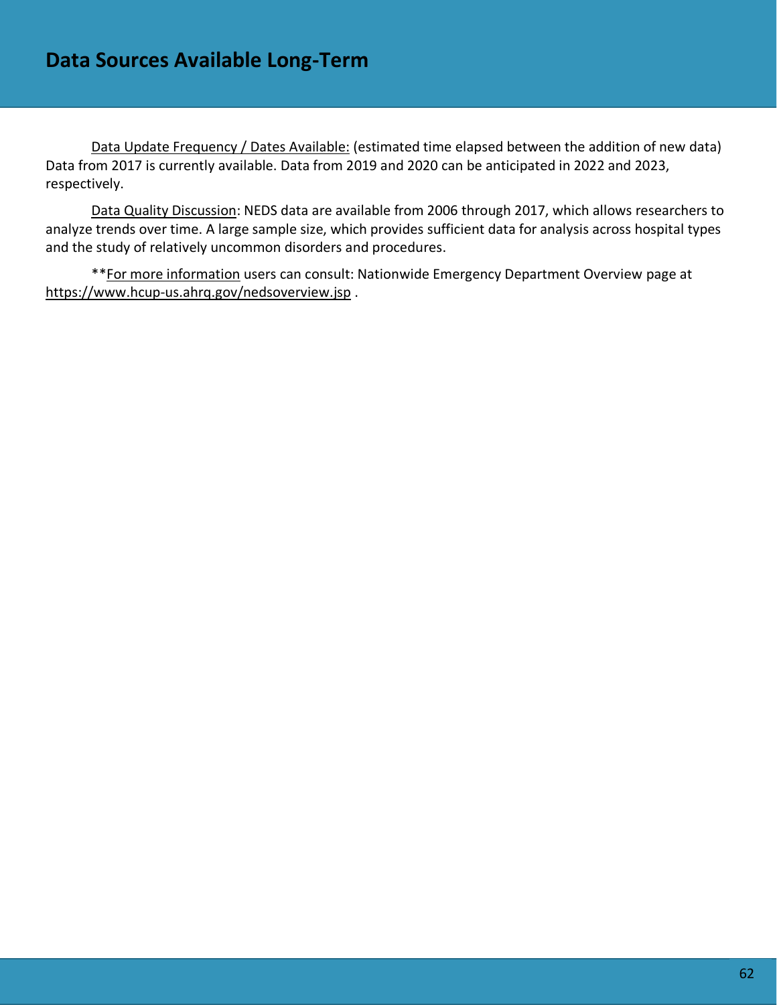Data Update Frequency / Dates Available: (estimated time elapsed between the addition of new data) Data from 2017 is currently available. Data from 2019 and 2020 can be anticipated in 2022 and 2023, respectively.

Data Quality Discussion: NEDS data are available from 2006 through 2017, which allows researchers to analyze trends over time. A large sample size, which provides sufficient data for analysis across hospital types and the study of relatively uncommon disorders and procedures.

\*\*For more information users can consult: Nationwide Emergency Department Overview page at <https://www.hcup-us.ahrq.gov/nedsoverview.jsp> .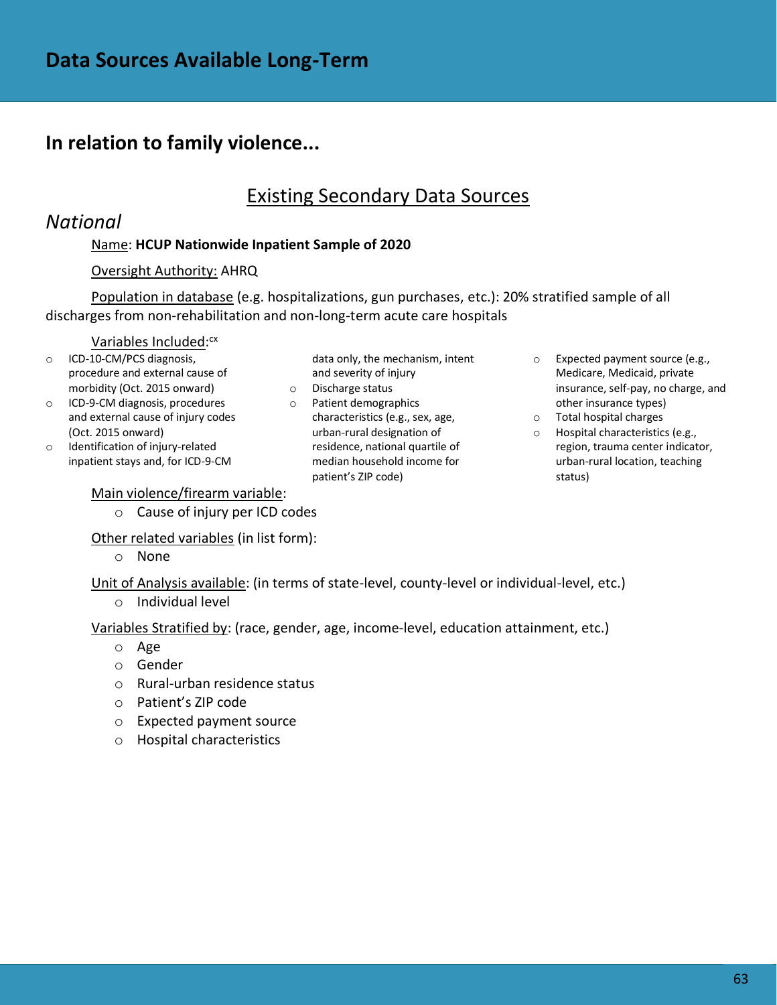### **In relation to family violence...**

### Existing Secondary Data Sources

### *National*

### Name: **HCUP Nationwide Inpatient Sample of 2020**

#### Oversight Authority: AHRQ

Population in database (e.g. hospitalizations, gun purchases, etc.): 20% stratified sample of all discharges from non-rehabilitation and non-long-term acute care hospitals

#### Variables Included: cx

- o ICD-10-CM/PCS diagnosis, procedure and external cause of morbidity (Oct. 2015 onward)
- o ICD-9-CM diagnosis, procedures and external cause of injury codes (Oct. 2015 onward)
- o Identification of injury-related inpatient stays and, for ICD-9-CM

#### Main violence/firearm variable:

o Cause of injury per ICD codes

Other related variables (in list form):

o None

Unit of Analysis available: (in terms of state-level, county-level or individual-level, etc.) o Individual level

Variables Stratified by: (race, gender, age, income-level, education attainment, etc.)

- o Age
- o Gender
- o Rural-urban residence status
- o Patient's ZIP code
- o Expected payment source
- o Hospital characteristics
- data only, the mechanism, intent and severity of injury
- o Discharge status
- o Patient demographics characteristics (e.g., sex, age, urban-rural designation of residence, national quartile of median household income for patient's ZIP code)
- o Expected payment source (e.g., Medicare, Medicaid, private insurance, self-pay, no charge, and other insurance types)
- o Total hospital charges
- o Hospital characteristics (e.g., region, trauma center indicator, urban-rural location, teaching status)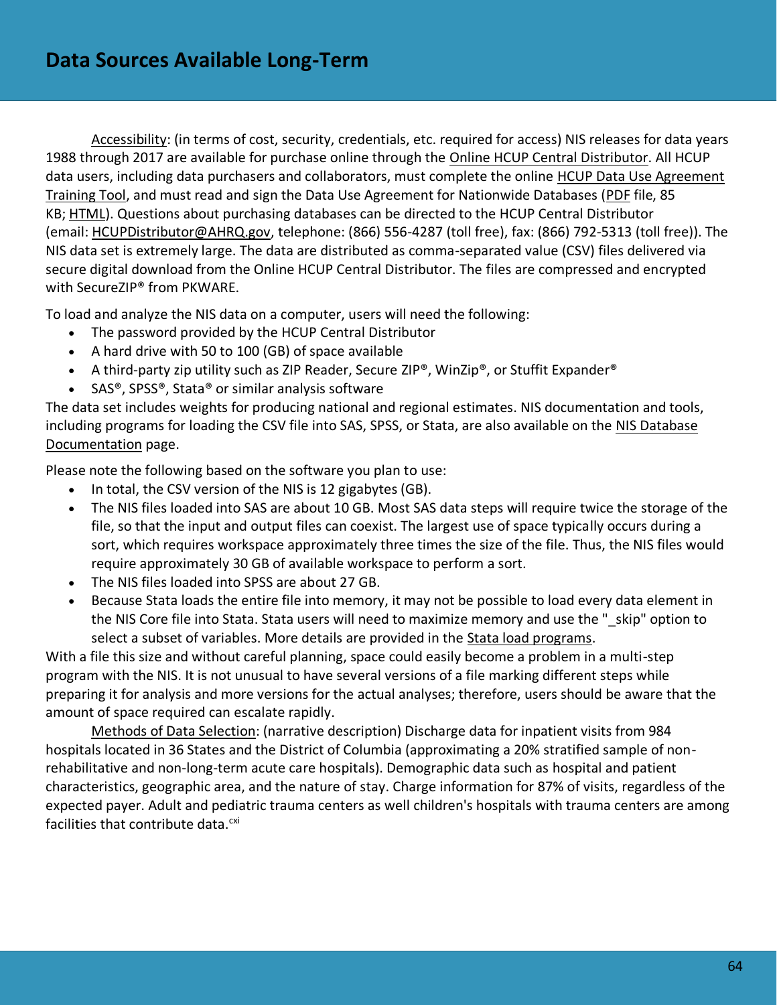Accessibility: (in terms of cost, security, credentials, etc. required for access) NIS releases for data years 1988 through 2017 are available for purchase online through the [Online HCUP Central Distributor.](https://www.hcup-us.ahrq.gov/tech_assist/centdist.jsp) All HCUP data users, including data purchasers and collaborators, must complete the online [HCUP Data Use Agreement](https://www.hcup-us.ahrq.gov/tech_assist/dua.jsp)  [Training Tool,](https://www.hcup-us.ahrq.gov/tech_assist/dua.jsp) and must read and sign the Data Use Agreement for Nationwide Databases [\(PDF](https://www.hcup-us.ahrq.gov/team/NationwideDUA.pdf) file, 85 KB; [HTML\)](https://www.hcup-us.ahrq.gov/team/NationwideDUA.jsp). Questions about purchasing databases can be directed to the HCUP Central Distributor (email: [HCUPDistributor@AHRQ.gov,](mailto:HCUPDistributor@AHRQ.gov) telephone: (866) 556-4287 (toll free), fax: (866) 792-5313 (toll free)). The NIS data set is extremely large. The data are distributed as comma-separated value (CSV) files delivered via secure digital download from the Online HCUP Central Distributor. The files are compressed and encrypted with SecureZIP® from PKWARE.

To load and analyze the NIS data on a computer, users will need the following:

- The password provided by the HCUP Central Distributor
- A hard drive with 50 to 100 (GB) of space available
- A third-party zip utility such as ZIP Reader, Secure ZIP®, WinZip®, or Stuffit Expander®
- SAS®, SPSS®, Stata® or similar analysis software

The data set includes weights for producing national and regional estimates. NIS documentation and tools, including programs for loading the CSV file into SAS, SPSS, or Stata, are also available on the [NIS Database](https://www.hcup-us.ahrq.gov/db/nation/nis/nisdbdocumentation.jsp)  [Documentation](https://www.hcup-us.ahrq.gov/db/nation/nis/nisdbdocumentation.jsp) page.

Please note the following based on the software you plan to use:

- In total, the CSV version of the NIS is 12 gigabytes (GB).
- The NIS files loaded into SAS are about 10 GB. Most SAS data steps will require twice the storage of the file, so that the input and output files can coexist. The largest use of space typically occurs during a sort, which requires workspace approximately three times the size of the file. Thus, the NIS files would require approximately 30 GB of available workspace to perform a sort.
- The NIS files loaded into SPSS are about 27 GB.
- Because Stata loads the entire file into memory, it may not be possible to load every data element in the NIS Core file into Stata. Stata users will need to maximize memory and use the " skip" option to select a subset of variables. More details are provided in the [Stata load programs.](https://www.hcup-us.ahrq.gov/db/nation/neds/nedsstataloadprog.jsp)

With a file this size and without careful planning, space could easily become a problem in a multi-step program with the NIS. It is not unusual to have several versions of a file marking different steps while preparing it for analysis and more versions for the actual analyses; therefore, users should be aware that the amount of space required can escalate rapidly.

Methods of Data Selection: (narrative description) Discharge data for inpatient visits from 984 hospitals located in 36 States and the District of Columbia (approximating a 20% stratified sample of nonrehabilitative and non-long-term acute care hospitals). Demographic data such as hospital and patient characteristics, geographic area, and the nature of stay. Charge information for 87% of visits, regardless of the expected payer. Adult and pediatric trauma centers as well children's hospitals with trauma centers are among facilities that contribute data. $<sup>cxi</sup>$ </sup>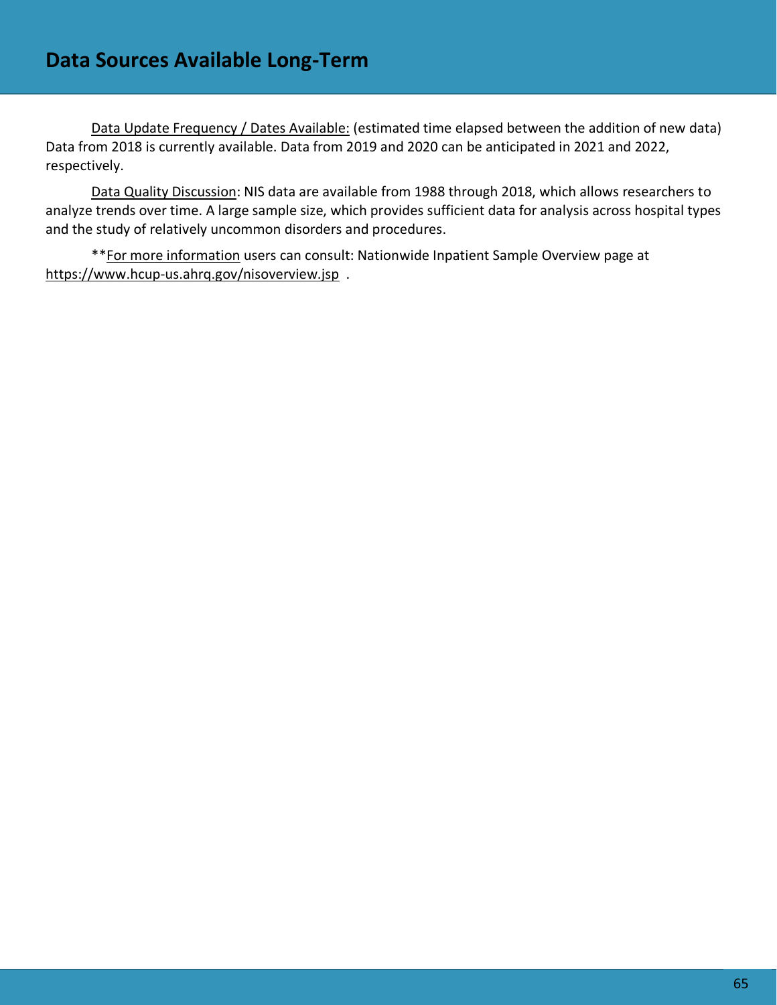Data Update Frequency / Dates Available: (estimated time elapsed between the addition of new data) Data from 2018 is currently available. Data from 2019 and 2020 can be anticipated in 2021 and 2022, respectively.

Data Quality Discussion: NIS data are available from 1988 through 2018, which allows researchers to analyze trends over time. A large sample size, which provides sufficient data for analysis across hospital types and the study of relatively uncommon disorders and procedures.

\*\*For more information users can consult: Nationwide Inpatient Sample Overview page at <https://www.hcup-us.ahrq.gov/nisoverview.jsp>.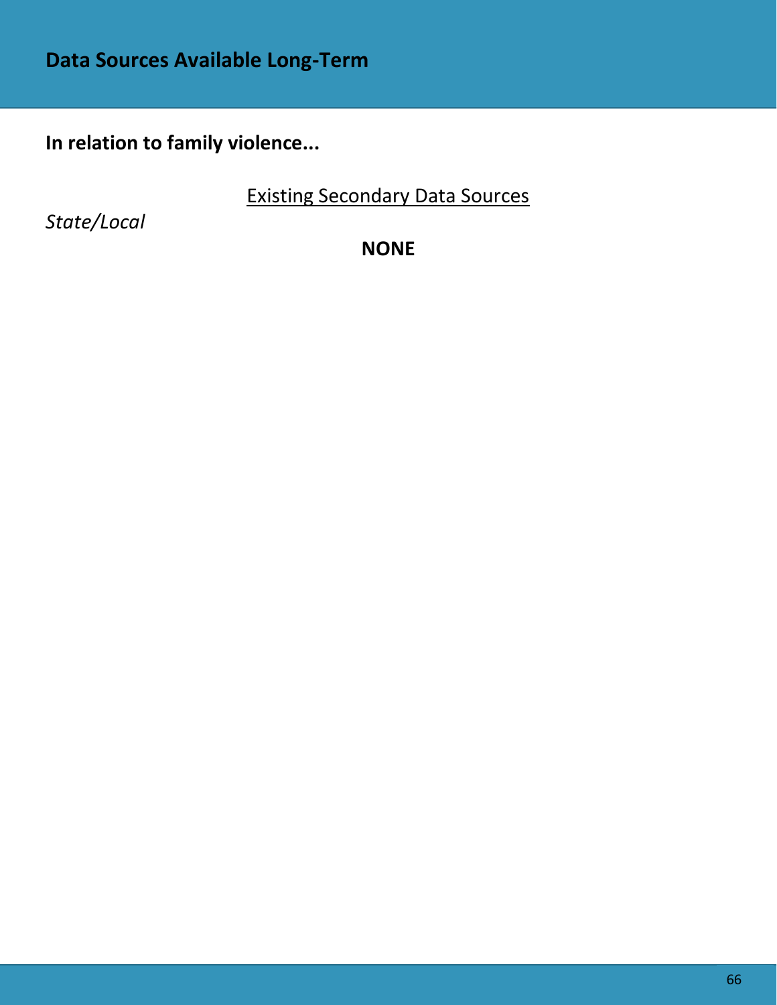**In relation to family violence...**

Existing Secondary Data Sources

*State/Local*

**NONE**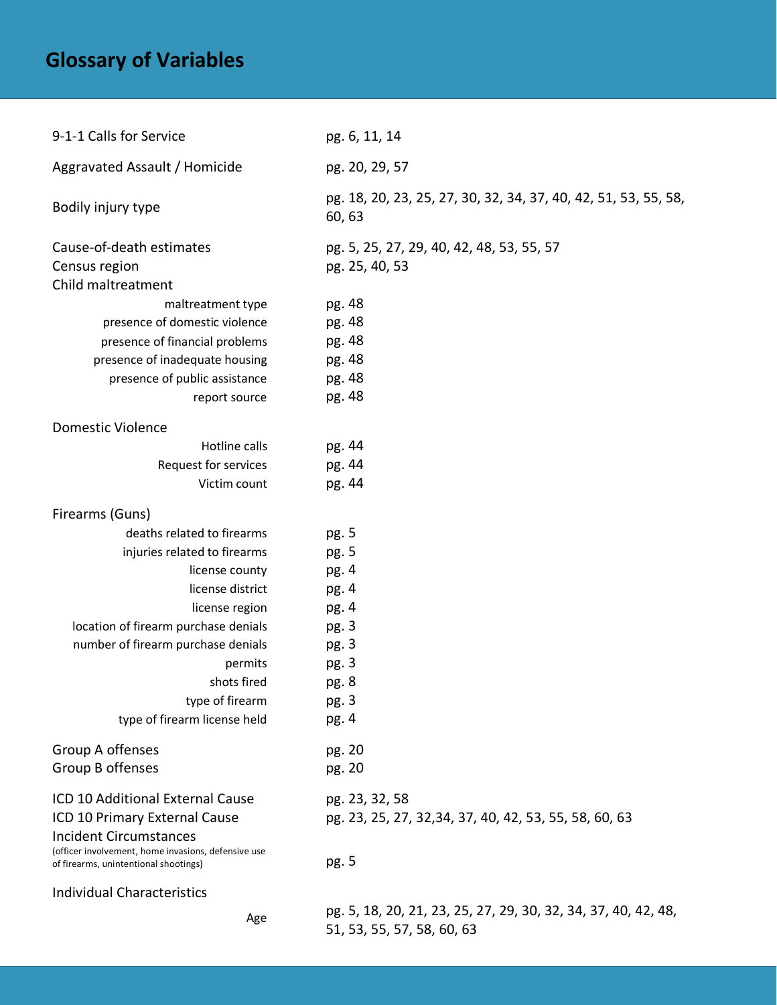# **Glossary of Variables**

| 9-1-1 Calls for Service                                                                      | pg. 6, 11, 14                                                                                |
|----------------------------------------------------------------------------------------------|----------------------------------------------------------------------------------------------|
| Aggravated Assault / Homicide                                                                | pg. 20, 29, 57                                                                               |
| Bodily injury type                                                                           | pg. 18, 20, 23, 25, 27, 30, 32, 34, 37, 40, 42, 51, 53, 55, 58,<br>60, 63                    |
| Cause-of-death estimates                                                                     | pg. 5, 25, 27, 29, 40, 42, 48, 53, 55, 57                                                    |
| Census region                                                                                | pg. 25, 40, 53                                                                               |
| Child maltreatment                                                                           |                                                                                              |
| maltreatment type                                                                            | pg. 48                                                                                       |
| presence of domestic violence                                                                | pg. 48                                                                                       |
| presence of financial problems                                                               | pg. 48                                                                                       |
| presence of inadequate housing                                                               | pg. 48                                                                                       |
| presence of public assistance                                                                | pg. 48                                                                                       |
| report source                                                                                | pg. 48                                                                                       |
| <b>Domestic Violence</b>                                                                     |                                                                                              |
| Hotline calls                                                                                | pg. 44                                                                                       |
| Request for services                                                                         | pg. 44                                                                                       |
| Victim count                                                                                 | pg. 44                                                                                       |
| Firearms (Guns)                                                                              |                                                                                              |
| deaths related to firearms                                                                   | pg. 5                                                                                        |
| injuries related to firearms                                                                 | pg. 5                                                                                        |
| license county                                                                               | pg. 4                                                                                        |
| license district                                                                             | pg. 4                                                                                        |
| license region                                                                               | pg. 4                                                                                        |
| location of firearm purchase denials                                                         | pg. 3                                                                                        |
| number of firearm purchase denials                                                           | pg. 3                                                                                        |
| permits                                                                                      | pg. 3                                                                                        |
| shots fired                                                                                  | pg. 8                                                                                        |
| type of firearm                                                                              | pg. 3                                                                                        |
| type of firearm license held                                                                 | pg. 4                                                                                        |
| Group A offenses                                                                             | pg. 20                                                                                       |
| Group B offenses                                                                             | pg. 20                                                                                       |
| ICD 10 Additional External Cause                                                             | pg. 23, 32, 58                                                                               |
| ICD 10 Primary External Cause                                                                | pg. 23, 25, 27, 32, 34, 37, 40, 42, 53, 55, 58, 60, 63                                       |
| <b>Incident Circumstances</b>                                                                |                                                                                              |
| (officer involvement, home invasions, defensive use<br>of firearms, unintentional shootings) | pg. 5                                                                                        |
| <b>Individual Characteristics</b>                                                            |                                                                                              |
| Age                                                                                          | pg. 5, 18, 20, 21, 23, 25, 27, 29, 30, 32, 34, 37, 40, 42, 48,<br>51, 53, 55, 57, 58, 60, 63 |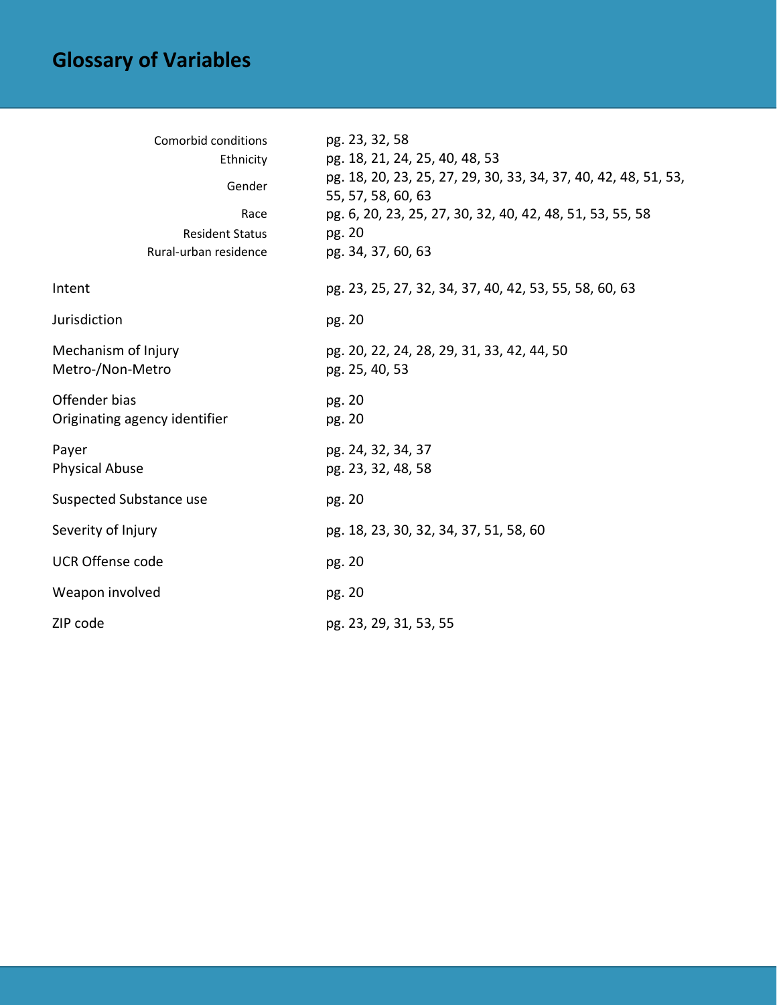# **Glossary of Variables**

| Comorbid conditions<br>Ethnicity<br>Gender<br>Race<br><b>Resident Status</b><br>Rural-urban residence | pg. 23, 32, 58<br>pg. 18, 21, 24, 25, 40, 48, 53<br>pg. 18, 20, 23, 25, 27, 29, 30, 33, 34, 37, 40, 42, 48, 51, 53,<br>55, 57, 58, 60, 63<br>pg. 6, 20, 23, 25, 27, 30, 32, 40, 42, 48, 51, 53, 55, 58<br>pg. 20<br>pg. 34, 37, 60, 63 |
|-------------------------------------------------------------------------------------------------------|----------------------------------------------------------------------------------------------------------------------------------------------------------------------------------------------------------------------------------------|
| Intent                                                                                                | pg. 23, 25, 27, 32, 34, 37, 40, 42, 53, 55, 58, 60, 63                                                                                                                                                                                 |
| Jurisdiction                                                                                          | pg. 20                                                                                                                                                                                                                                 |
| Mechanism of Injury<br>Metro-/Non-Metro                                                               | pg. 20, 22, 24, 28, 29, 31, 33, 42, 44, 50<br>pg. 25, 40, 53                                                                                                                                                                           |
| Offender bias<br>Originating agency identifier                                                        | pg. 20<br>pg. 20                                                                                                                                                                                                                       |
| Payer<br>Physical Abuse                                                                               | pg. 24, 32, 34, 37<br>pg. 23, 32, 48, 58                                                                                                                                                                                               |
| Suspected Substance use                                                                               | pg. 20                                                                                                                                                                                                                                 |
| Severity of Injury                                                                                    | pg. 18, 23, 30, 32, 34, 37, 51, 58, 60                                                                                                                                                                                                 |
| <b>UCR Offense code</b>                                                                               | pg. 20                                                                                                                                                                                                                                 |
| Weapon involved                                                                                       | pg. 20                                                                                                                                                                                                                                 |
| ZIP code                                                                                              | pg. 23, 29, 31, 53, 55                                                                                                                                                                                                                 |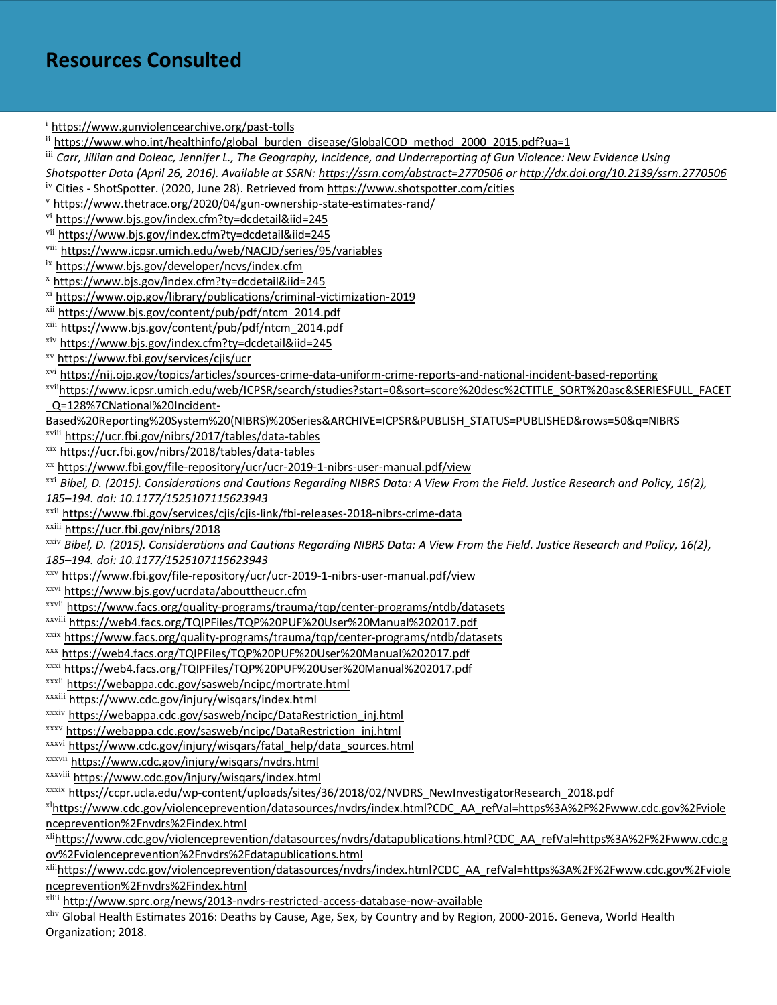# **Resources Consulted**

<sup>i</sup> <https://www.gunviolencearchive.org/past-tolls> ii [https://www.who.int/healthinfo/global\\_burden\\_disease/GlobalCOD\\_method\\_2000\\_2015.pdf?ua=1](https://www.who.int/healthinfo/global_burden_disease/GlobalCOD_method_2000_2015.pdf?ua=1) iii *Carr, Jillian and Doleac, Jennifer L., The Geography, Incidence, and Underreporting of Gun Violence: New Evidence Using Shotspotter Data (April 26, 2016). Available at SSRN: <https://ssrn.com/abstract=2770506> or [http://dx.doi.org/10.2139/ssrn.2770506](https://dx.doi.org/10.2139/ssrn.2770506)* iv Cities - ShotSpotter. (2020, June 28). Retrieved fro[m https://www.shotspotter.com/cities](https://www.shotspotter.com/cities) <sup>v</sup> <https://www.thetrace.org/2020/04/gun-ownership-state-estimates-rand/> vi <https://www.bjs.gov/index.cfm?ty=dcdetail&iid=245> vii <https://www.bjs.gov/index.cfm?ty=dcdetail&iid=245> viii <https://www.icpsr.umich.edu/web/NACJD/series/95/variables> ix <https://www.bjs.gov/developer/ncvs/index.cfm> <sup>x</sup> <https://www.bjs.gov/index.cfm?ty=dcdetail&iid=245> xi <https://www.ojp.gov/library/publications/criminal-victimization-2019> xii [https://www.bjs.gov/content/pub/pdf/ntcm\\_2014.pdf](https://www.bjs.gov/content/pub/pdf/ntcm_2014.pdf) xiii [https://www.bjs.gov/content/pub/pdf/ntcm\\_2014.pdf](https://www.bjs.gov/content/pub/pdf/ntcm_2014.pdf) xiv <https://www.bjs.gov/index.cfm?ty=dcdetail&iid=245> xv <https://www.fbi.gov/services/cjis/ucr> xvi <https://nij.ojp.gov/topics/articles/sources-crime-data-uniform-crime-reports-and-national-incident-based-reporting> xvii[https://www.icpsr.umich.edu/web/ICPSR/search/studies?start=0&sort=score%20desc%2CTITLE\\_SORT%20asc&SERIESFULL\\_FACET](https://www.icpsr.umich.edu/web/ICPSR/search/studies?start=0&sort=score%20desc%2CTITLE_SORT%20asc&SERIESFULL_FACET_Q=128%7CNational%20Incident-Based%20Reporting%20System%20(NIBRS)%20Series&ARCHIVE=ICPSR&PUBLISH_STATUS=PUBLISHED&rows=50&q=NIBRS) [\\_Q=128%7CNational%20Incident-](https://www.icpsr.umich.edu/web/ICPSR/search/studies?start=0&sort=score%20desc%2CTITLE_SORT%20asc&SERIESFULL_FACET_Q=128%7CNational%20Incident-Based%20Reporting%20System%20(NIBRS)%20Series&ARCHIVE=ICPSR&PUBLISH_STATUS=PUBLISHED&rows=50&q=NIBRS)[Based%20Reporting%20System%20\(NIBRS\)%20Series&ARCHIVE=ICPSR&PUBLISH\\_STATUS=PUBLISHED&rows=50&q=NIBRS](https://www.icpsr.umich.edu/web/ICPSR/search/studies?start=0&sort=score%20desc%2CTITLE_SORT%20asc&SERIESFULL_FACET_Q=128%7CNational%20Incident-Based%20Reporting%20System%20(NIBRS)%20Series&ARCHIVE=ICPSR&PUBLISH_STATUS=PUBLISHED&rows=50&q=NIBRS) xviii <https://ucr.fbi.gov/nibrs/2017/tables/data-tables> xix <https://ucr.fbi.gov/nibrs/2018/tables/data-tables> xx <https://www.fbi.gov/file-repository/ucr/ucr-2019-1-nibrs-user-manual.pdf/view> xxi *Bibel, D. (2015). Considerations and Cautions Regarding NIBRS Data: A View From the Field. Justice Research and Policy, 16(2), 185–194. doi: 10.1177/1525107115623943* xxii <https://www.fbi.gov/services/cjis/cjis-link/fbi-releases-2018-nibrs-crime-data> xxiii <https://ucr.fbi.gov/nibrs/2018> xxiv *Bibel, D. (2015). Considerations and Cautions Regarding NIBRS Data: A View From the Field. Justice Research and Policy, 16(2), 185–194. doi: 10.1177/1525107115623943* xxv <https://www.fbi.gov/file-repository/ucr/ucr-2019-1-nibrs-user-manual.pdf/view> xxvi <https://www.bjs.gov/ucrdata/abouttheucr.cfm> xxvii <https://www.facs.org/quality-programs/trauma/tqp/center-programs/ntdb/datasets> xxviii <https://web4.facs.org/TQIPFiles/TQP%20PUF%20User%20Manual%202017.pdf> xxix <https://www.facs.org/quality-programs/trauma/tqp/center-programs/ntdb/datasets> xxx <https://web4.facs.org/TQIPFiles/TQP%20PUF%20User%20Manual%202017.pdf> xxxi <https://web4.facs.org/TQIPFiles/TQP%20PUF%20User%20Manual%202017.pdf> xxxii <https://webappa.cdc.gov/sasweb/ncipc/mortrate.html> xxxiii <https://www.cdc.gov/injury/wisqars/index.html> xxxiv [https://webappa.cdc.gov/sasweb/ncipc/DataRestriction\\_inj.html](https://webappa.cdc.gov/sasweb/ncipc/DataRestriction_inj.html) xxxv [https://webappa.cdc.gov/sasweb/ncipc/DataRestriction\\_inj.html](https://webappa.cdc.gov/sasweb/ncipc/DataRestriction_inj.html) xxxvi [https://www.cdc.gov/injury/wisqars/fatal\\_help/data\\_sources.html](https://www.cdc.gov/injury/wisqars/fatal_help/data_sources.html) xxxvii <https://www.cdc.gov/injury/wisqars/nvdrs.html> xxxviii <https://www.cdc.gov/injury/wisqars/index.html> xxxix [https://ccpr.ucla.edu/wp-content/uploads/sites/36/2018/02/NVDRS\\_NewInvestigatorResearch\\_2018.pdf](https://ccpr.ucla.edu/wp-content/uploads/sites/36/2018/02/NVDRS_NewInvestigatorResearch_2018.pdf) xl[https://www.cdc.gov/violenceprevention/datasources/nvdrs/index.html?CDC\\_AA\\_refVal=https%3A%2F%2Fwww.cdc.gov%2Fviole](https://www.cdc.gov/violenceprevention/datasources/nvdrs/index.html?CDC_AA_refVal=https%3A%2F%2Fwww.cdc.gov%2Fviolenceprevention%2Fnvdrs%2Findex.html) [nceprevention%2Fnvdrs%2Findex.html](https://www.cdc.gov/violenceprevention/datasources/nvdrs/index.html?CDC_AA_refVal=https%3A%2F%2Fwww.cdc.gov%2Fviolenceprevention%2Fnvdrs%2Findex.html) xli[https://www.cdc.gov/violenceprevention/datasources/nvdrs/datapublications.html?CDC\\_AA\\_refVal=https%3A%2F%2Fwww.cdc.g](https://www.cdc.gov/violenceprevention/datasources/nvdrs/datapublications.html?CDC_AA_refVal=https%3A%2F%2Fwww.cdc.gov%2Fviolenceprevention%2Fnvdrs%2Fdatapublications.html) [ov%2Fviolenceprevention%2Fnvdrs%2Fdatapublications.html](https://www.cdc.gov/violenceprevention/datasources/nvdrs/datapublications.html?CDC_AA_refVal=https%3A%2F%2Fwww.cdc.gov%2Fviolenceprevention%2Fnvdrs%2Fdatapublications.html) xlii[https://www.cdc.gov/violenceprevention/datasources/nvdrs/index.html?CDC\\_AA\\_refVal=https%3A%2F%2Fwww.cdc.gov%2Fviole](https://www.cdc.gov/violenceprevention/datasources/nvdrs/index.html?CDC_AA_refVal=https%3A%2F%2Fwww.cdc.gov%2Fviolenceprevention%2Fnvdrs%2Findex.html) [nceprevention%2Fnvdrs%2Findex.html](https://www.cdc.gov/violenceprevention/datasources/nvdrs/index.html?CDC_AA_refVal=https%3A%2F%2Fwww.cdc.gov%2Fviolenceprevention%2Fnvdrs%2Findex.html)

xliii <http://www.sprc.org/news/2013-nvdrs-restricted-access-database-now-available>

xliv Global Health Estimates 2016: Deaths by Cause, Age, Sex, by Country and by Region, 2000-2016. Geneva, World Health Organization; 2018.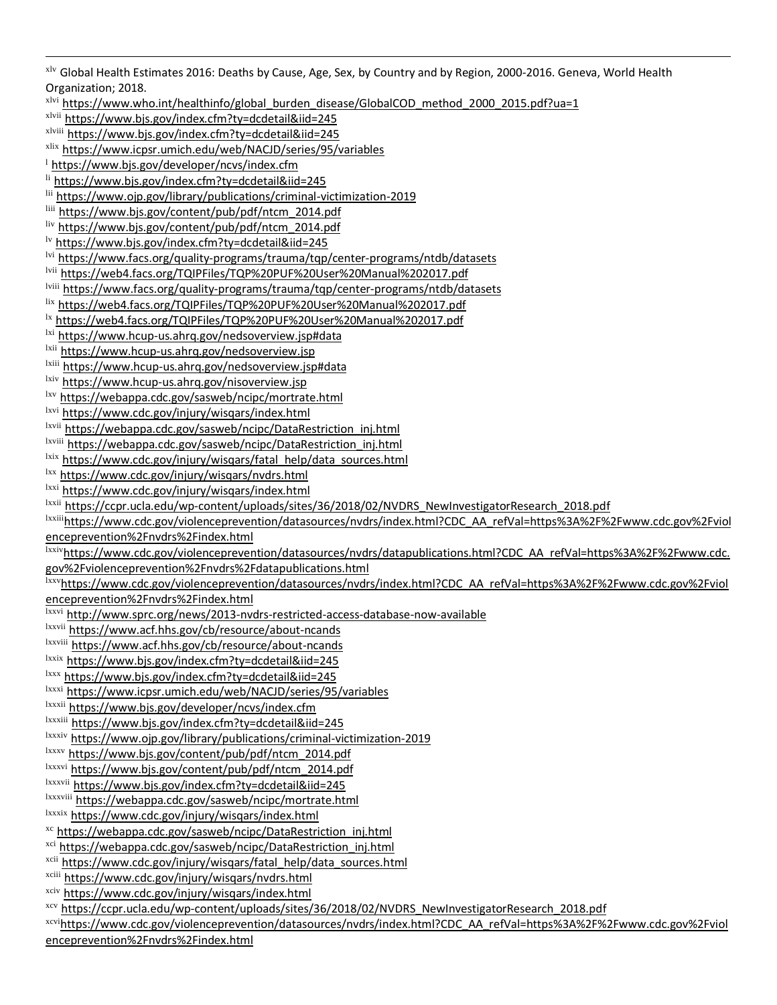xlv Global Health Estimates 2016: Deaths by Cause, Age, Sex, by Country and by Region, 2000-2016. Geneva, World Health Organization; 2018.

xlvi [https://www.who.int/healthinfo/global\\_burden\\_disease/GlobalCOD\\_method\\_2000\\_2015.pdf?ua=1](https://www.who.int/healthinfo/global_burden_disease/GlobalCOD_method_2000_2015.pdf?ua=1) xlvii <https://www.bjs.gov/index.cfm?ty=dcdetail&iid=245> xlviii <https://www.bjs.gov/index.cfm?ty=dcdetail&iid=245> xlix <https://www.icpsr.umich.edu/web/NACJD/series/95/variables> <sup>1</sup> <https://www.bjs.gov/developer/ncvs/index.cfm> li <https://www.bjs.gov/index.cfm?ty=dcdetail&iid=245> lii <https://www.ojp.gov/library/publications/criminal-victimization-2019> liii [https://www.bjs.gov/content/pub/pdf/ntcm\\_2014.pdf](https://www.bjs.gov/content/pub/pdf/ntcm_2014.pdf) liv [https://www.bjs.gov/content/pub/pdf/ntcm\\_2014.pdf](https://www.bjs.gov/content/pub/pdf/ntcm_2014.pdf) lv <https://www.bjs.gov/index.cfm?ty=dcdetail&iid=245> lvi <https://www.facs.org/quality-programs/trauma/tqp/center-programs/ntdb/datasets> lvii <https://web4.facs.org/TQIPFiles/TQP%20PUF%20User%20Manual%202017.pdf> lviii <https://www.facs.org/quality-programs/trauma/tqp/center-programs/ntdb/datasets> lix <https://web4.facs.org/TQIPFiles/TQP%20PUF%20User%20Manual%202017.pdf> <sup>1x</sup> <https://web4.facs.org/TQIPFiles/TQP%20PUF%20User%20Manual%202017.pdf> lxi <https://www.hcup-us.ahrq.gov/nedsoverview.jsp#data> <sup>1xii</sup> <https://www.hcup-us.ahrq.gov/nedsoverview.jsp> lxiii <https://www.hcup-us.ahrq.gov/nedsoverview.jsp#data> <sup>lxiv</sup> https://www.hcup-us.ahrq.gov/nisoverview.jsp lxv <https://webappa.cdc.gov/sasweb/ncipc/mortrate.html> lxvi <https://www.cdc.gov/injury/wisqars/index.html> lxvii [https://webappa.cdc.gov/sasweb/ncipc/DataRestriction\\_inj.html](https://webappa.cdc.gov/sasweb/ncipc/DataRestriction_inj.html) lxviii [https://webappa.cdc.gov/sasweb/ncipc/DataRestriction\\_inj.html](https://webappa.cdc.gov/sasweb/ncipc/DataRestriction_inj.html) lxix [https://www.cdc.gov/injury/wisqars/fatal\\_help/data\\_sources.html](https://www.cdc.gov/injury/wisqars/fatal_help/data_sources.html) lxx <https://www.cdc.gov/injury/wisqars/nvdrs.html> lxxi <https://www.cdc.gov/injury/wisqars/index.html> <sup>Ixxii</sup> [https://ccpr.ucla.edu/wp-content/uploads/sites/36/2018/02/NVDRS\\_NewInvestigatorResearch\\_2018.pdf](https://ccpr.ucla.edu/wp-content/uploads/sites/36/2018/02/NVDRS_NewInvestigatorResearch_2018.pdf) lxxiii[https://www.cdc.gov/violenceprevention/datasources/nvdrs/index.html?CDC\\_AA\\_refVal=https%3A%2F%2Fwww.cdc.gov%2Fviol](https://www.cdc.gov/violenceprevention/datasources/nvdrs/index.html?CDC_AA_refVal=https%3A%2F%2Fwww.cdc.gov%2Fviolenceprevention%2Fnvdrs%2Findex.html) [enceprevention%2Fnvdrs%2Findex.html](https://www.cdc.gov/violenceprevention/datasources/nvdrs/index.html?CDC_AA_refVal=https%3A%2F%2Fwww.cdc.gov%2Fviolenceprevention%2Fnvdrs%2Findex.html) lxxiv[https://www.cdc.gov/violenceprevention/datasources/nvdrs/datapublications.html?CDC\\_AA\\_refVal=https%3A%2F%2Fwww.cdc.](https://www.cdc.gov/violenceprevention/datasources/nvdrs/datapublications.html?CDC_AA_refVal=https%3A%2F%2Fwww.cdc.gov%2Fviolenceprevention%2Fnvdrs%2Fdatapublications.html) [gov%2Fviolenceprevention%2Fnvdrs%2Fdatapublications.html](https://www.cdc.gov/violenceprevention/datasources/nvdrs/datapublications.html?CDC_AA_refVal=https%3A%2F%2Fwww.cdc.gov%2Fviolenceprevention%2Fnvdrs%2Fdatapublications.html) lxxv[https://www.cdc.gov/violenceprevention/datasources/nvdrs/index.html?CDC\\_AA\\_refVal=https%3A%2F%2Fwww.cdc.gov%2Fviol](https://www.cdc.gov/violenceprevention/datasources/nvdrs/index.html?CDC_AA_refVal=https%3A%2F%2Fwww.cdc.gov%2Fviolenceprevention%2Fnvdrs%2Findex.html) [enceprevention%2Fnvdrs%2Findex.html](https://www.cdc.gov/violenceprevention/datasources/nvdrs/index.html?CDC_AA_refVal=https%3A%2F%2Fwww.cdc.gov%2Fviolenceprevention%2Fnvdrs%2Findex.html) lxxvi <http://www.sprc.org/news/2013-nvdrs-restricted-access-database-now-available> lxxvii <https://www.acf.hhs.gov/cb/resource/about-ncands> lxxviii <https://www.acf.hhs.gov/cb/resource/about-ncands> lxxix <https://www.bjs.gov/index.cfm?ty=dcdetail&iid=245> lxxx <https://www.bjs.gov/index.cfm?ty=dcdetail&iid=245> lxxxi <https://www.icpsr.umich.edu/web/NACJD/series/95/variables> lxxxii <https://www.bjs.gov/developer/ncvs/index.cfm> lxxxiii <https://www.bjs.gov/index.cfm?ty=dcdetail&iid=245> lxxxiv <https://www.ojp.gov/library/publications/criminal-victimization-2019> lxxxv [https://www.bjs.gov/content/pub/pdf/ntcm\\_2014.pdf](https://www.bjs.gov/content/pub/pdf/ntcm_2014.pdf) lxxxvi [https://www.bjs.gov/content/pub/pdf/ntcm\\_2014.pdf](https://www.bjs.gov/content/pub/pdf/ntcm_2014.pdf) lxxxvii <https://www.bjs.gov/index.cfm?ty=dcdetail&iid=245> lxxxviii <https://webappa.cdc.gov/sasweb/ncipc/mortrate.html> lxxxix <https://www.cdc.gov/injury/wisqars/index.html> xc [https://webappa.cdc.gov/sasweb/ncipc/DataRestriction\\_inj.html](https://webappa.cdc.gov/sasweb/ncipc/DataRestriction_inj.html) xci [https://webappa.cdc.gov/sasweb/ncipc/DataRestriction\\_inj.html](https://webappa.cdc.gov/sasweb/ncipc/DataRestriction_inj.html) xcii [https://www.cdc.gov/injury/wisqars/fatal\\_help/data\\_sources.html](https://www.cdc.gov/injury/wisqars/fatal_help/data_sources.html) xciii <https://www.cdc.gov/injury/wisqars/nvdrs.html> xciv <https://www.cdc.gov/injury/wisqars/index.html> xcv [https://ccpr.ucla.edu/wp-content/uploads/sites/36/2018/02/NVDRS\\_NewInvestigatorResearch\\_2018.pdf](https://ccpr.ucla.edu/wp-content/uploads/sites/36/2018/02/NVDRS_NewInvestigatorResearch_2018.pdf) xcvi[https://www.cdc.gov/violenceprevention/datasources/nvdrs/index.html?CDC\\_AA\\_refVal=https%3A%2F%2Fwww.cdc.gov%2Fviol](https://www.cdc.gov/violenceprevention/datasources/nvdrs/index.html?CDC_AA_refVal=https%3A%2F%2Fwww.cdc.gov%2Fviolenceprevention%2Fnvdrs%2Findex.html) [enceprevention%2Fnvdrs%2Findex.html](https://www.cdc.gov/violenceprevention/datasources/nvdrs/index.html?CDC_AA_refVal=https%3A%2F%2Fwww.cdc.gov%2Fviolenceprevention%2Fnvdrs%2Findex.html)